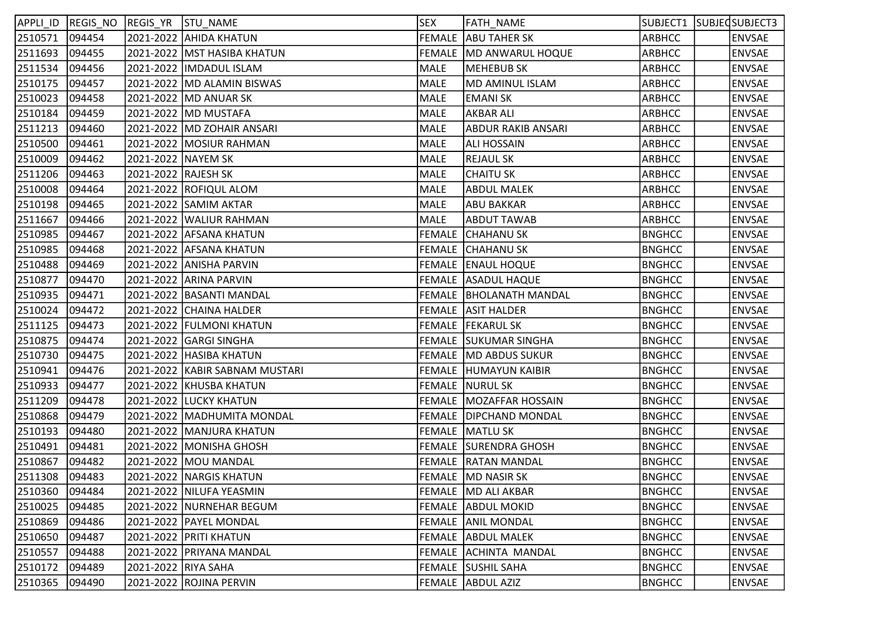| APPLI ID       | REGIS NO REGIS YR STU NAME |                      |                                 | <b>SEX</b>  | FATH_NAME                 |               | SUBJECT1 SUBJEDSUBJECT3 |
|----------------|----------------------------|----------------------|---------------------------------|-------------|---------------------------|---------------|-------------------------|
| 2510571        | 094454                     |                      | 2021-2022 AHIDA KHATUN          |             | FEMALE ABU TAHER SK       | <b>ARBHCC</b> | <b>ENVSAE</b>           |
| 2511693        | 094455                     |                      | 2021-2022  MST HASIBA KHATUN    |             | FEMALE   MD ANWARUL HOQUE | <b>ARBHCC</b> | <b>ENVSAE</b>           |
| 2511534        | 094456                     |                      | 2021-2022  IMDADUL ISLAM        | MALE        | <b>MEHEBUB SK</b>         | <b>ARBHCC</b> | <b>ENVSAE</b>           |
| 2510175        | 094457                     |                      | 2021-2022  MD ALAMIN BISWAS     | MALE        | MD AMINUL ISLAM           | <b>ARBHCC</b> | <b>ENVSAE</b>           |
| 2510023        | 094458                     |                      | 2021-2022  MD ANUAR SK          | <b>MALE</b> | <b>EMANI SK</b>           | <b>ARBHCC</b> | <b>ENVSAE</b>           |
| 2510184        | 094459                     |                      | 2021-2022  MD MUSTAFA           | <b>MALE</b> | <b>AKBAR ALI</b>          | <b>ARBHCC</b> | <b>ENVSAE</b>           |
| 2511213        | 094460                     |                      | 2021-2022   MD ZOHAIR ANSARI    | <b>MALE</b> | <b>ABDUR RAKIB ANSARI</b> | ARBHCC        | <b>ENVSAE</b>           |
| 2510500        | 094461                     |                      | 2021-2022  MOSIUR RAHMAN        | <b>MALE</b> | <b>ALI HOSSAIN</b>        | ARBHCC        | <b>ENVSAE</b>           |
| 2510009        | 094462                     | 2021-2022  NAYEM SK  |                                 | <b>MALE</b> | <b>REJAUL SK</b>          | <b>ARBHCC</b> | <b>ENVSAE</b>           |
| 2511206        | 094463                     | 2021-2022  RAJESH SK |                                 | <b>MALE</b> | <b>CHAITU SK</b>          | ARBHCC        | <b>ENVSAE</b>           |
| 2510008        | 094464                     |                      | 2021-2022 ROFIQUL ALOM          | <b>MALE</b> | <b>ABDUL MALEK</b>        | <b>ARBHCC</b> | <b>ENVSAE</b>           |
| 2510198        | 094465                     |                      | 2021-2022 SAMIM AKTAR           | <b>MALE</b> | <b>ABU BAKKAR</b>         | <b>ARBHCC</b> | <b>ENVSAE</b>           |
| 2511667        | 094466                     |                      | 2021-2022  WALIUR RAHMAN        | <b>MALE</b> | <b>ABDUT TAWAB</b>        | ARBHCC        | <b>ENVSAE</b>           |
| 2510985        | 094467                     |                      | 2021-2022  AFSANA KHATUN        |             | FEMALE CHAHANU SK         | <b>BNGHCC</b> | <b>ENVSAE</b>           |
| 2510985        | 094468                     |                      | 2021-2022  AFSANA KHATUN        |             | FEMALE CHAHANU SK         | <b>BNGHCC</b> | <b>ENVSAE</b>           |
| 2510488        | 094469                     |                      | 2021-2022  ANISHA PARVIN        |             | FEMALE ENAUL HOQUE        | <b>BNGHCC</b> | <b>ENVSAE</b>           |
| 2510877        | 094470                     |                      | 2021-2022 ARINA PARVIN          |             | FEMALE   ASADUL HAQUE     | <b>BNGHCC</b> | <b>ENVSAE</b>           |
| 2510935        | 094471                     |                      | 2021-2022  BASANTI MANDAL       |             | FEMALE BHOLANATH MANDAL   | <b>BNGHCC</b> | <b>ENVSAE</b>           |
| 2510024        | 094472                     |                      | 2021-2022 CHAINA HALDER         |             | FEMALE ASIT HALDER        | <b>BNGHCC</b> | <b>ENVSAE</b>           |
| 2511125        | 094473                     |                      | 2021-2022 FULMONI KHATUN        |             | FEMALE   FEKARUL SK       | <b>BNGHCC</b> | <b>ENVSAE</b>           |
| 2510875        | 094474                     |                      | 2021-2022  GARGI SINGHA         |             | FEMALE SUKUMAR SINGHA     | <b>BNGHCC</b> | <b>ENVSAE</b>           |
| 2510730        | 094475                     |                      | 2021-2022  HASIBA KHATUN        |             | FEMALE MD ABDUS SUKUR     | <b>BNGHCC</b> | <b>ENVSAE</b>           |
| 2510941        | 094476                     |                      | 2021-2022  KABIR SABNAM MUSTARI |             | FEMALE HUMAYUN KAIBIR     | <b>BNGHCC</b> | <b>ENVSAE</b>           |
| 2510933        | 094477                     |                      | 2021-2022 KHUSBA KHATUN         |             | <b>FEMALE   NURUL SK</b>  | <b>BNGHCC</b> | <b>ENVSAE</b>           |
| 2511209        | 094478                     |                      | 2021-2022 LUCKY KHATUN          |             | FEMALE   MOZAFFAR HOSSAIN | <b>BNGHCC</b> | <b>ENVSAE</b>           |
| 2510868        | 094479                     |                      | 2021-2022   MADHUMITA MONDAL    |             | FEMALE   DIPCHAND MONDAL  | <b>BNGHCC</b> | <b>ENVSAE</b>           |
| 2510193        | 094480                     |                      | 2021-2022  MANJURA KHATUN       |             | FEMALE MATLU SK           | <b>BNGHCC</b> | <b>ENVSAE</b>           |
| 2510491        | 094481                     |                      | 2021-2022  MONISHA GHOSH        |             | FEMALE SURENDRA GHOSH     | <b>BNGHCC</b> | <b>ENVSAE</b>           |
| 2510867        | 094482                     |                      | 2021-2022   MOU MANDAL          |             | FEMALE   RATAN MANDAL     | <b>BNGHCC</b> | <b>ENVSAE</b>           |
| 2511308 094483 |                            |                      | 2021-2022 NARGIS KHATUN         |             | FEMALE MD NASIR SK        | <b>BNGHCC</b> | <b>ENVSAE</b>           |
| 2510360        | 094484                     |                      | 2021-2022  NILUFA YEASMIN       |             | FEMALE MD ALI AKBAR       | <b>BNGHCC</b> | <b>ENVSAE</b>           |
| 2510025        | 094485                     |                      | 2021-2022 NURNEHAR BEGUM        |             | FEMALE ABDUL MOKID        | <b>BNGHCC</b> | <b>ENVSAE</b>           |
| 2510869        | 094486                     |                      | 2021-2022  PAYEL MONDAL         |             | FEMALE ANIL MONDAL        | <b>BNGHCC</b> | <b>ENVSAE</b>           |
| 2510650        | 094487                     |                      | 2021-2022 PRITI KHATUN          |             | FEMALE ABDUL MALEK        | <b>BNGHCC</b> | <b>ENVSAE</b>           |
| 2510557        | 094488                     |                      | 2021-2022   PRIYANA MANDAL      |             | FEMALE ACHINTA MANDAL     | <b>BNGHCC</b> | <b>ENVSAE</b>           |
| 2510172        | 094489                     | 2021-2022 RIYA SAHA  |                                 |             | FEMALE SUSHIL SAHA        | <b>BNGHCC</b> | <b>ENVSAE</b>           |
| 2510365        | 094490                     |                      | 2021-2022 ROJINA PERVIN         |             | FEMALE ABDUL AZIZ         | <b>BNGHCC</b> | <b>ENVSAE</b>           |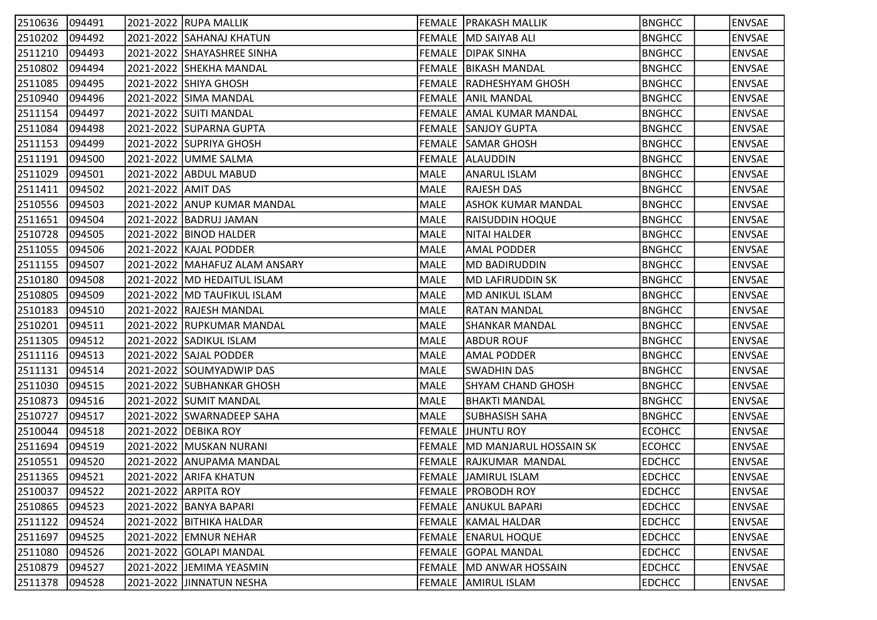| 2510636 | 094491 |                    | 2021-2022 RUPA MALLIK         |             | <b>FEMALE PRAKASH MALLIK</b>   | <b>BNGHCC</b> | <b>ENVSAE</b> |
|---------|--------|--------------------|-------------------------------|-------------|--------------------------------|---------------|---------------|
| 2510202 | 094492 |                    | 2021-2022 SAHANAJ KHATUN      |             | FEMALE   MD SAIYAB ALI         | <b>BNGHCC</b> | <b>ENVSAE</b> |
| 2511210 | 094493 |                    | 2021-2022 SHAYASHREE SINHA    |             | FEMALE DIPAK SINHA             | <b>BNGHCC</b> | <b>ENVSAE</b> |
| 2510802 | 094494 |                    | 2021-2022 SHEKHA MANDAL       |             | FEMALE   BIKASH MANDAL         | <b>BNGHCC</b> | <b>ENVSAE</b> |
| 2511085 | 094495 |                    | 2021-2022 SHIYA GHOSH         |             | FEMALE RADHESHYAM GHOSH        | <b>BNGHCC</b> | <b>ENVSAE</b> |
| 2510940 | 094496 |                    | 2021-2022 SIMA MANDAL         |             | FEMALE ANIL MANDAL             | <b>BNGHCC</b> | <b>ENVSAE</b> |
| 2511154 | 094497 |                    | 2021-2022 SUITI MANDAL        |             | FEMALE AMAL KUMAR MANDAL       | <b>BNGHCC</b> | <b>ENVSAE</b> |
| 2511084 | 094498 |                    | 2021-2022 SUPARNA GUPTA       |             | <b>FEMALE SANJOY GUPTA</b>     | <b>BNGHCC</b> | <b>ENVSAE</b> |
| 2511153 | 094499 |                    | 2021-2022 SUPRIYA GHOSH       |             | <b>FEMALE SAMAR GHOSH</b>      | <b>BNGHCC</b> | <b>ENVSAE</b> |
| 2511191 | 094500 |                    | 2021-2022 UMME SALMA          |             | <b>FEMALE ALLAUDDIN</b>        | <b>BNGHCC</b> | <b>ENVSAE</b> |
| 2511029 | 094501 |                    | 2021-2022 ABDUL MABUD         | MALE        | <b>ANARUL ISLAM</b>            | <b>BNGHCC</b> | <b>ENVSAE</b> |
| 2511411 | 094502 | 2021-2022 AMIT DAS |                               | MALE        | <b>RAJESH DAS</b>              | <b>BNGHCC</b> | <b>ENVSAE</b> |
| 2510556 | 094503 |                    | 2021-2022 ANUP KUMAR MANDAL   | MALE        | <b>ASHOK KUMAR MANDAL</b>      | <b>BNGHCC</b> | <b>ENVSAE</b> |
| 2511651 | 094504 |                    | 2021-2022   BADRUJ JAMAN      | MALE        | <b>RAISUDDIN HOQUE</b>         | <b>BNGHCC</b> | <b>ENVSAE</b> |
| 2510728 | 094505 |                    | 2021-2022 BINOD HALDER        | MALE        | NITAI HALDER                   | <b>BNGHCC</b> | <b>ENVSAE</b> |
| 2511055 | 094506 |                    | 2021-2022 KAJAL PODDER        | MALE        | <b>AMAL PODDER</b>             | <b>BNGHCC</b> | <b>ENVSAE</b> |
| 2511155 | 094507 |                    | 2021-2022 MAHAFUZ ALAM ANSARY | MALE        | <b>MD BADIRUDDIN</b>           | <b>BNGHCC</b> | <b>ENVSAE</b> |
| 2510180 | 094508 |                    | 2021-2022  MD HEDAITUL ISLAM  | MALE        | <b>MD LAFIRUDDIN SK</b>        | <b>BNGHCC</b> | <b>ENVSAE</b> |
| 2510805 | 094509 |                    | 2021-2022 MD TAUFIKUL ISLAM   | MALE        | <b>MD ANIKUL ISLAM</b>         | <b>BNGHCC</b> | <b>ENVSAE</b> |
| 2510183 | 094510 |                    | 2021-2022 RAJESH MANDAL       | MALE        | <b>RATAN MANDAL</b>            | <b>BNGHCC</b> | <b>ENVSAE</b> |
| 2510201 | 094511 |                    | 2021-2022 RUPKUMAR MANDAL     | MALE        | <b>SHANKAR MANDAL</b>          | <b>BNGHCC</b> | <b>ENVSAE</b> |
| 2511305 | 094512 |                    | 2021-2022 SADIKUL ISLAM       | MALE        | ABDUR ROUF                     | <b>BNGHCC</b> | <b>ENVSAE</b> |
| 2511116 | 094513 |                    | 2021-2022 SAJAL PODDER        | MALE        | <b>AMAL PODDER</b>             | <b>BNGHCC</b> | <b>ENVSAE</b> |
| 2511131 | 094514 |                    | 2021-2022 SOUMYADWIP DAS      | MALE        | <b>SWADHIN DAS</b>             | <b>BNGHCC</b> | <b>ENVSAE</b> |
| 2511030 | 094515 |                    | 2021-2022 SUBHANKAR GHOSH     | <b>MALE</b> | <b>SHYAM CHAND GHOSH</b>       | <b>BNGHCC</b> | <b>ENVSAE</b> |
| 2510873 | 094516 |                    | 2021-2022 SUMIT MANDAL        | MALE        | <b>BHAKTI MANDAL</b>           | <b>BNGHCC</b> | <b>ENVSAE</b> |
| 2510727 | 094517 |                    | 2021-2022 SWARNADEEP SAHA     | MALE        | SUBHASISH SAHA                 | <b>BNGHCC</b> | <b>ENVSAE</b> |
| 2510044 | 094518 |                    | 2021-2022 DEBIKA ROY          |             | FEMALE JHUNTU ROY              | <b>ECOHCC</b> | <b>ENVSAE</b> |
| 2511694 | 094519 |                    | 2021-2022 MUSKAN NURANI       |             | FEMALE  MD MANJARUL HOSSAIN SK | <b>ECOHCC</b> | <b>ENVSAE</b> |
| 2510551 | 094520 |                    | 2021-2022 ANUPAMA MANDAL      |             | FEMALE RAJKUMAR MANDAL         | <b>EDCHCC</b> | <b>ENVSAE</b> |
| 2511365 | 094521 |                    | 2021-2022 ARIFA KHATUN        |             | <b>FEMALE JAMIRUL ISLAM</b>    | <b>EDCHCC</b> | <b>ENVSAE</b> |
| 2510037 | 094522 |                    | 2021-2022 ARPITA ROY          |             | <b>FEMALE PROBODH ROY</b>      | <b>EDCHCC</b> | <b>ENVSAE</b> |
| 2510865 | 094523 |                    | 2021-2022 BANYA BAPARI        |             | <b>FEMALE ANUKUL BAPARI</b>    | <b>EDCHCC</b> | <b>ENVSAE</b> |
| 2511122 | 094524 |                    | 2021-2022   BITHIKA HALDAR    |             | FEMALE   KAMAL HALDAR          | <b>EDCHCC</b> | <b>ENVSAE</b> |
| 2511697 | 094525 |                    | 2021-2022 EMNUR NEHAR         |             | FEMALE  ENARUL HOQUE           | <b>EDCHCC</b> | <b>ENVSAE</b> |
| 2511080 | 094526 |                    | 2021-2022 GOLAPI MANDAL       |             | FEMALE GOPAL MANDAL            | <b>EDCHCC</b> | <b>ENVSAE</b> |
| 2510879 | 094527 |                    | 2021-2022 JEMIMA YEASMIN      |             | FEMALE  MD ANWAR HOSSAIN       | <b>EDCHCC</b> | <b>ENVSAE</b> |
| 2511378 | 094528 |                    | 2021-2022 JINNATUN NESHA      |             | FEMALE AMIRUL ISLAM            | <b>EDCHCC</b> | <b>ENVSAE</b> |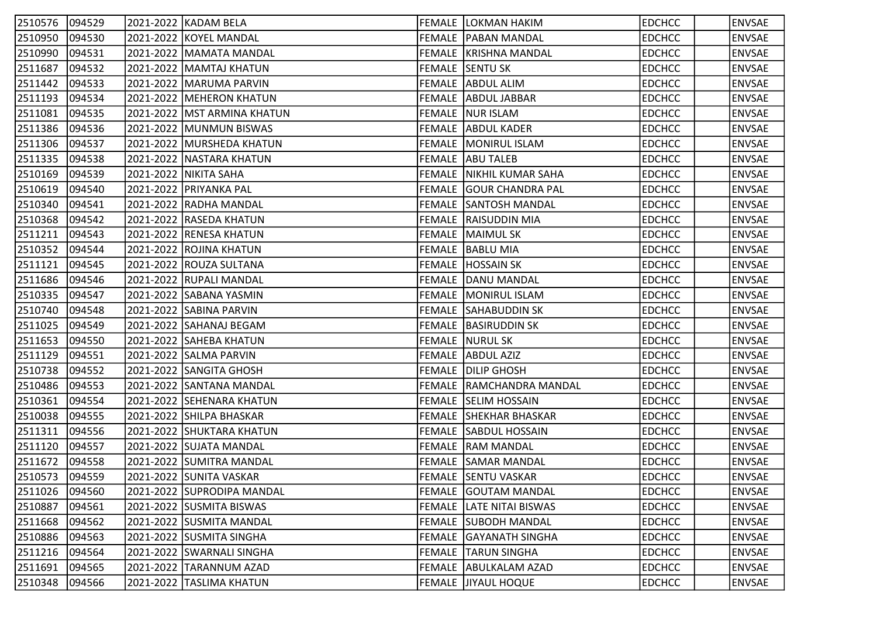| 2510576 094529 |        |           | 2021-2022 KADAM BELA          | <b>FEMALE LOKMAN HAKIM</b>     | <b>EDCHCC</b> | <b>ENVSAE</b> |
|----------------|--------|-----------|-------------------------------|--------------------------------|---------------|---------------|
| 2510950        | 094530 |           | 2021-2022 KOYEL MANDAL        | <b>FEMALE   PABAN MANDAL</b>   | <b>EDCHCC</b> | <b>ENVSAE</b> |
| 2510990        | 094531 |           | 2021-2022   MAMATA MANDAL     | FEMALE   KRISHNA MANDAL        | <b>EDCHCC</b> | <b>ENVSAE</b> |
| 2511687        | 094532 |           | 2021-2022   MAMTAJ KHATUN     | FEMALE SENTU SK                | <b>EDCHCC</b> | <b>ENVSAE</b> |
| 2511442        | 094533 |           | 2021-2022 MARUMA PARVIN       | FEMALE ABDUL ALIM              | <b>EDCHCC</b> | <b>ENVSAE</b> |
| 2511193        | 094534 |           | 2021-2022   MEHERON KHATUN    | FEMALE ABDUL JABBAR            | <b>EDCHCC</b> | <b>ENVSAE</b> |
| 2511081        | 094535 |           | 2021-2022   MST ARMINA KHATUN | <b>FEMALE NUR ISLAM</b>        | <b>EDCHCC</b> | <b>ENVSAE</b> |
| 2511386        | 094536 |           | 2021-2022 MUNMUN BISWAS       | FEMALE ABDUL KADER             | <b>EDCHCC</b> | <b>ENVSAE</b> |
| 2511306        | 094537 |           | 2021-2022   MURSHEDA KHATUN   | <b>FEMALE MONIRUL ISLAM</b>    | <b>EDCHCC</b> | <b>ENVSAE</b> |
| 2511335        | 094538 |           | 2021-2022   NASTARA KHATUN    | <b>FEMALE ABU TALEB</b>        | <b>EDCHCC</b> | <b>ENVSAE</b> |
| 2510169        | 094539 |           | 2021-2022   NIKITA SAHA       | FEMALE NIKHIL KUMAR SAHA       | <b>EDCHCC</b> | <b>ENVSAE</b> |
| 2510619        | 094540 |           | 2021-2022 PRIYANKA PAL        | <b>FEMALE GOUR CHANDRA PAL</b> | <b>EDCHCC</b> | <b>ENVSAE</b> |
| 2510340        | 094541 |           | 2021-2022 RADHA MANDAL        | <b>FEMALE SANTOSH MANDAL</b>   | <b>EDCHCC</b> | <b>ENVSAE</b> |
| 2510368        | 094542 |           | 2021-2022 RASEDA KHATUN       | FEMALE RAISUDDIN MIA           | <b>EDCHCC</b> | <b>ENVSAE</b> |
| 2511211        | 094543 |           | 2021-2022 RENESA KHATUN       | <b>FEMALE MAIMUL SK</b>        | <b>EDCHCC</b> | <b>ENVSAE</b> |
| 2510352        | 094544 |           | 2021-2022 ROJINA KHATUN       | FEMALE BABLU MIA               | <b>EDCHCC</b> | <b>ENVSAE</b> |
| 2511121        | 094545 |           | 2021-2022 ROUZA SULTANA       | FEMALE HOSSAIN SK              | <b>EDCHCC</b> | <b>ENVSAE</b> |
| 2511686        | 094546 |           | 2021-2022  RUPALI MANDAL      | FEMALE  DANU MANDAL            | <b>EDCHCC</b> | <b>ENVSAE</b> |
| 2510335        | 094547 |           | 2021-2022 SABANA YASMIN       | <b>FEMALE   MONIRUL ISLAM</b>  | <b>EDCHCC</b> | <b>ENVSAE</b> |
| 2510740        | 094548 |           | 2021-2022 SABINA PARVIN       | <b>FEMALE SAHABUDDIN SK</b>    | <b>EDCHCC</b> | <b>ENVSAE</b> |
| 2511025        | 094549 |           | 2021-2022 SAHANAJ BEGAM       | FEMALE BASIRUDDIN SK           | <b>EDCHCC</b> | <b>ENVSAE</b> |
| 2511653        | 094550 |           | 2021-2022 SAHEBA KHATUN       | <b>FEMALE NURUL SK</b>         | <b>EDCHCC</b> | <b>ENVSAE</b> |
| 2511129        | 094551 |           | 2021-2022 SALMA PARVIN        | FEMALE ABDUL AZIZ              | <b>EDCHCC</b> | <b>ENVSAE</b> |
| 2510738        | 094552 |           | 2021-2022 SANGITA GHOSH       | FEMALE DILIP GHOSH             | <b>EDCHCC</b> | <b>ENVSAE</b> |
| 2510486        | 094553 |           | 2021-2022 SANTANA MANDAL      | FEMALE RAMCHANDRA MANDAL       | <b>EDCHCC</b> | <b>ENVSAE</b> |
| 2510361        | 094554 |           | 2021-2022 SEHENARA KHATUN     | <b>FEMALE SELIM HOSSAIN</b>    | <b>EDCHCC</b> | <b>ENVSAE</b> |
| 2510038        | 094555 |           | 2021-2022 SHILPA BHASKAR      | FEMALE SHEKHAR BHASKAR         | <b>EDCHCC</b> | <b>ENVSAE</b> |
| 2511311        | 094556 |           | 2021-2022 SHUKTARA KHATUN     | <b>FEMALE SABDUL HOSSAIN</b>   | <b>EDCHCC</b> | <b>ENVSAE</b> |
| 2511120        | 094557 |           | 2021-2022 SUJATA MANDAL       | <b>FEMALE RAM MANDAL</b>       | <b>EDCHCC</b> | <b>ENVSAE</b> |
| 2511672        | 094558 |           | 2021-2022 SUMITRA MANDAL      | <b>FEMALE SAMAR MANDAL</b>     | <b>EDCHCC</b> | <b>ENVSAE</b> |
| 2510573        | 094559 |           | 2021-2022 SUNITA VASKAR       | <b>FEMALE SENTU VASKAR</b>     | <b>EDCHCC</b> | <b>ENVSAE</b> |
| 2511026        | 094560 |           | 2021-2022 SUPRODIPA MANDAL    | FEMALE GOUTAM MANDAL           | <b>EDCHCC</b> | <b>ENVSAE</b> |
| 2510887        | 094561 |           | 2021-2022 SUSMITA BISWAS      | FEMALE LATE NITAI BISWAS       | <b>EDCHCC</b> | <b>ENVSAE</b> |
| 2511668        | 094562 |           | 2021-2022 SUSMITA MANDAL      | FEMALE SUBODH MANDAL           | <b>EDCHCC</b> | <b>ENVSAE</b> |
| 2510886        | 094563 |           | 2021-2022 SUSMITA SINGHA      | FEMALE GAYANATH SINGHA         | <b>EDCHCC</b> | <b>ENVSAE</b> |
| 2511216        | 094564 |           | 2021-2022 SWARNALI SINGHA     | <b>FEMALE TARUN SINGHA</b>     | <b>EDCHCC</b> | <b>ENVSAE</b> |
| 2511691        | 094565 | 2021-2022 | TARANNUM AZAD                 | FEMALE  ABULKALAM AZAD         | <b>EDCHCC</b> | <b>ENVSAE</b> |
| 2510348        | 094566 | 2021-2022 | <b>TASLIMA KHATUN</b>         | FEMALE JIIYAUL HOQUE           | <b>EDCHCC</b> | <b>ENVSAE</b> |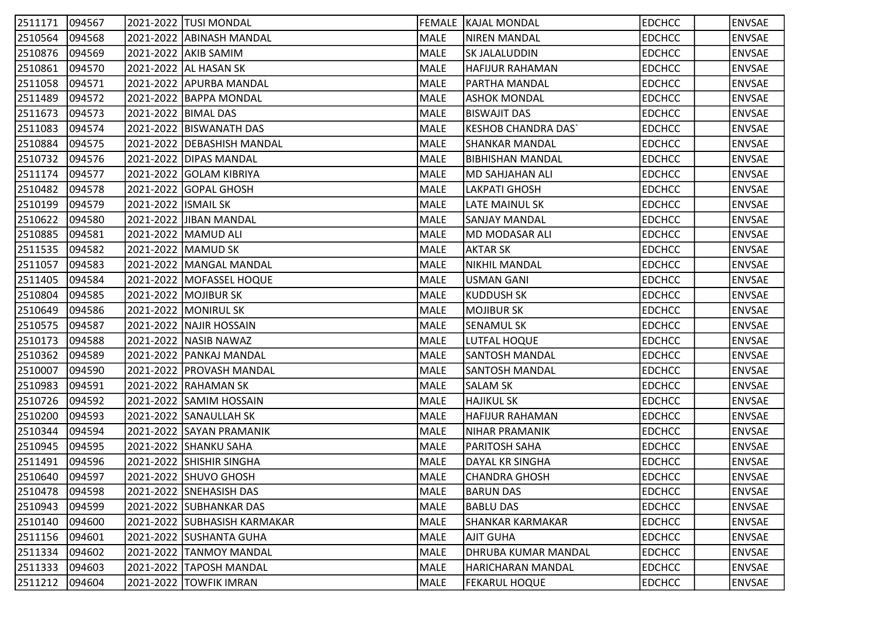| 2511171 | 094567 |                       | 2021-2022  TUSI MONDAL       |             | <b>FEMALE   KAJAL MONDAL</b> | <b>EDCHCC</b> | <b>ENVSAE</b> |
|---------|--------|-----------------------|------------------------------|-------------|------------------------------|---------------|---------------|
| 2510564 | 094568 |                       | 2021-2022 ABINASH MANDAL     | MALE        | <b>NIREN MANDAL</b>          | <b>EDCHCC</b> | <b>ENVSAE</b> |
| 2510876 | 094569 |                       | 2021-2022 AKIB SAMIM         | MALE        | <b>SK JALALUDDIN</b>         | <b>EDCHCC</b> | <b>ENVSAE</b> |
| 2510861 | 094570 |                       | 2021-2022 AL HASAN SK        | MALE        | <b>HAFIJUR RAHAMAN</b>       | <b>EDCHCC</b> | <b>ENVSAE</b> |
| 2511058 | 094571 |                       | 2021-2022 APURBA MANDAL      | MALE        | PARTHA MANDAL                | <b>EDCHCC</b> | <b>ENVSAE</b> |
| 2511489 | 094572 |                       | 2021-2022   BAPPA MONDAL     | MALE        | <b>ASHOK MONDAL</b>          | <b>EDCHCC</b> | <b>ENVSAE</b> |
| 2511673 | 094573 | 2021-2022   BIMAL DAS |                              | MALE        | <b>BISWAJIT DAS</b>          | <b>EDCHCC</b> | <b>ENVSAE</b> |
| 2511083 | 094574 |                       | 2021-2022   BISWANATH DAS    | MALE        | <b>KESHOB CHANDRA DAS`</b>   | <b>EDCHCC</b> | <b>ENVSAE</b> |
| 2510884 | 094575 |                       | 2021-2022 DEBASHISH MANDAL   | MALE        | <b>SHANKAR MANDAL</b>        | <b>EDCHCC</b> | <b>ENVSAE</b> |
| 2510732 | 094576 |                       | 2021-2022 DIPAS MANDAL       | MALE        | IBIBHISHAN MANDAL            | <b>EDCHCC</b> | <b>ENVSAE</b> |
| 2511174 | 094577 |                       | 2021-2022 GOLAM KIBRIYA      | MALE        | MD SAHJAHAN ALI              | <b>EDCHCC</b> | <b>ENVSAE</b> |
| 2510482 | 094578 |                       | 2021-2022 GOPAL GHOSH        | MALE        | <b>LAKPATI GHOSH</b>         | <b>EDCHCC</b> | <b>ENVSAE</b> |
| 2510199 | 094579 | 2021-2022 ISMAIL SK   |                              | MALE        | LATE MAINUL SK               | <b>EDCHCC</b> | <b>ENVSAE</b> |
| 2510622 | 094580 |                       | 2021-2022 JIBAN MANDAL       | MALE        | <b>SANJAY MANDAL</b>         | <b>EDCHCC</b> | <b>ENVSAE</b> |
| 2510885 | 094581 |                       | 2021-2022 MAMUD ALI          | MALE        | MD MODASAR ALI               | <b>EDCHCC</b> | <b>ENVSAE</b> |
| 2511535 | 094582 |                       | 2021-2022   MAMUD SK         | MALE        | AKTAR SK                     | <b>EDCHCC</b> | <b>ENVSAE</b> |
| 2511057 | 094583 |                       | 2021-2022   MANGAL MANDAL    | MALE        | NIKHIL MANDAL                | <b>EDCHCC</b> | <b>ENVSAE</b> |
| 2511405 | 094584 |                       | 2021-2022  MOFASSEL HOQUE    | MALE        | <b>USMAN GANI</b>            | <b>EDCHCC</b> | <b>ENVSAE</b> |
| 2510804 | 094585 |                       | 2021-2022 MOJIBUR SK         | MALE        | <b>KUDDUSH SK</b>            | <b>EDCHCC</b> | <b>ENVSAE</b> |
| 2510649 | 094586 |                       | 2021-2022  MONIRUL SK        | MALE        | <b>MOJIBUR SK</b>            | <b>EDCHCC</b> | <b>ENVSAE</b> |
| 2510575 | 094587 |                       | 2021-2022 NAJIR HOSSAIN      | MALE        | <b>SENAMUL SK</b>            | <b>EDCHCC</b> | <b>ENVSAE</b> |
| 2510173 | 094588 |                       | 2021-2022   NASIB NAWAZ      | MALE        | LUTFAL HOQUE                 | <b>EDCHCC</b> | <b>ENVSAE</b> |
| 2510362 | 094589 |                       | 2021-2022 PANKAJ MANDAL      | MALE        | <b>SANTOSH MANDAL</b>        | <b>EDCHCC</b> | <b>ENVSAE</b> |
| 2510007 | 094590 |                       | 2021-2022 PROVASH MANDAL     | MALE        | SANTOSH MANDAL               | <b>EDCHCC</b> | <b>ENVSAE</b> |
| 2510983 | 094591 |                       | 2021-2022  RAHAMAN SK        | <b>MALE</b> | SALAM SK                     | <b>EDCHCC</b> | <b>ENVSAE</b> |
| 2510726 | 094592 |                       | 2021-2022 SAMIM HOSSAIN      | MALE        | <b>HAJIKUL SK</b>            | <b>EDCHCC</b> | <b>ENVSAE</b> |
| 2510200 | 094593 |                       | 2021-2022 SANAULLAH SK       | MALE        | <b>HAFIJUR RAHAMAN</b>       | <b>EDCHCC</b> | <b>ENVSAE</b> |
| 2510344 | 094594 |                       | 2021-2022 SAYAN PRAMANIK     | MALE        | NIHAR PRAMANIK               | <b>EDCHCC</b> | <b>ENVSAE</b> |
| 2510945 | 094595 |                       | 2021-2022 SHANKU SAHA        | MALE        | PARITOSH SAHA                | <b>EDCHCC</b> | <b>ENVSAE</b> |
| 2511491 | 094596 |                       | 2021-2022 SHISHIR SINGHA     | MALE        | DAYAL KR SINGHA              | <b>EDCHCC</b> | <b>ENVSAE</b> |
| 2510640 | 094597 |                       | 2021-2022 SHUVO GHOSH        | MALE        | CHANDRA GHOSH                | <b>EDCHCC</b> | <b>ENVSAE</b> |
| 2510478 | 094598 |                       | 2021-2022 SNEHASISH DAS      | MALE        | <b>BARUN DAS</b>             | <b>EDCHCC</b> | <b>ENVSAE</b> |
| 2510943 | 094599 |                       | 2021-2022 SUBHANKAR DAS      | MALE        | <b>BABLU DAS</b>             | <b>EDCHCC</b> | <b>ENVSAE</b> |
| 2510140 | 094600 |                       | 2021-2022 SUBHASISH KARMAKAR | MALE        | <b>SHANKAR KARMAKAR</b>      | <b>EDCHCC</b> | <b>ENVSAE</b> |
| 2511156 | 094601 |                       | 2021-2022 SUSHANTA GUHA      | MALE        | <b>AJIT GUHA</b>             | <b>EDCHCC</b> | <b>ENVSAE</b> |
| 2511334 | 094602 |                       | 2021-2022 TANMOY MANDAL      | MALE        | DHRUBA KUMAR MANDAL          | <b>EDCHCC</b> | <b>ENVSAE</b> |
| 2511333 | 094603 |                       | 2021-2022 TAPOSH MANDAL      | MALE        | HARICHARAN MANDAL            | <b>EDCHCC</b> | <b>ENVSAE</b> |
| 2511212 | 094604 |                       | 2021-2022 TOWFIK IMRAN       | MALE        | <b>FEKARUL HOQUE</b>         | <b>EDCHCC</b> | <b>ENVSAE</b> |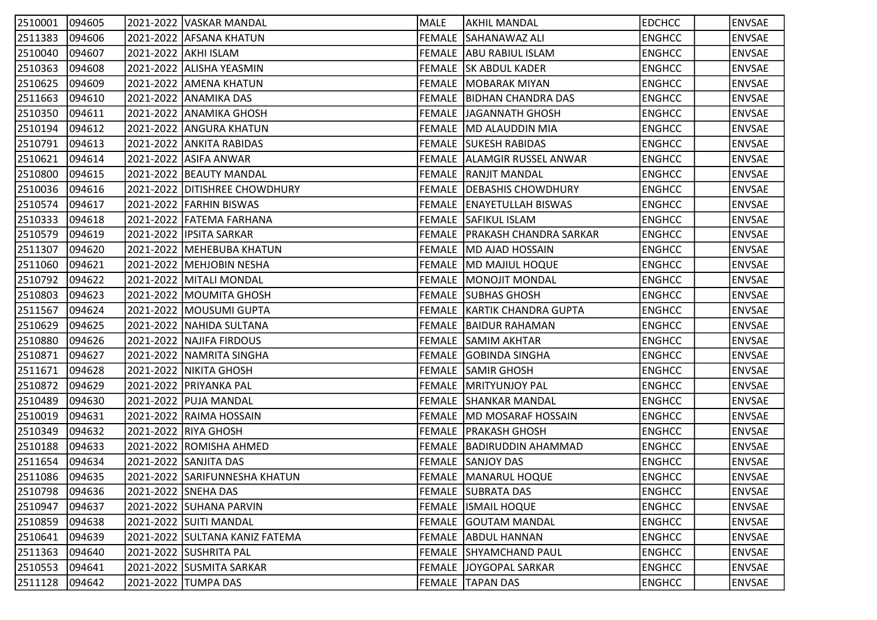| 2510001 | 094605 | 2021-2022  VASKAR MANDAL       | MALE | AKHIL MANDAL                       | <b>EDCHCC</b> | <b>ENVSAE</b> |
|---------|--------|--------------------------------|------|------------------------------------|---------------|---------------|
| 2511383 | 094606 | 2021-2022 AFSANA KHATUN        |      | FEMALE SAHANAWAZ ALI               | <b>ENGHCC</b> | <b>ENVSAE</b> |
| 2510040 | 094607 | 2021-2022 AKHI ISLAM           |      | FEMALE ABU RABIUL ISLAM            | <b>ENGHCC</b> | <b>ENVSAE</b> |
| 2510363 | 094608 | 2021-2022 ALISHA YEASMIN       |      | FEMALE SK ABDUL KADER              | <b>ENGHCC</b> | <b>ENVSAE</b> |
| 2510625 | 094609 | 2021-2022 AMENA KHATUN         |      | <b>FEMALE   MOBARAK MIYAN</b>      | <b>ENGHCC</b> | <b>ENVSAE</b> |
| 2511663 | 094610 | 2021-2022 ANAMIKA DAS          |      | FEMALE   BIDHAN CHANDRA DAS        | <b>ENGHCC</b> | <b>ENVSAE</b> |
| 2510350 | 094611 | 2021-2022 ANAMIKA GHOSH        |      | <b>FEMALE   JAGANNATH GHOSH</b>    | <b>ENGHCC</b> | <b>ENVSAE</b> |
| 2510194 | 094612 | 2021-2022 ANGURA KHATUN        |      | FEMALE MD ALAUDDIN MIA             | <b>ENGHCC</b> | <b>ENVSAE</b> |
| 2510791 | 094613 | 2021-2022 ANKITA RABIDAS       |      | <b>FEMALE SUKESH RABIDAS</b>       | <b>ENGHCC</b> | <b>ENVSAE</b> |
| 2510621 | 094614 | 2021-2022 ASIFA ANWAR          |      | FEMALE ALLAMGIR RUSSEL ANWAR       | <b>ENGHCC</b> | <b>ENVSAE</b> |
| 2510800 | 094615 | 2021-2022   BEAUTY MANDAL      |      | <b>FEMALE RANJIT MANDAL</b>        | <b>ENGHCC</b> | <b>ENVSAE</b> |
| 2510036 | 094616 | 2021-2022 DITISHREE CHOWDHURY  |      | <b>FEMALE   DEBASHIS CHOWDHURY</b> | <b>ENGHCC</b> | <b>ENVSAE</b> |
| 2510574 | 094617 | 2021-2022 FARHIN BISWAS        |      | FEMALE ENAYETULLAH BISWAS          | <b>ENGHCC</b> | <b>ENVSAE</b> |
| 2510333 | 094618 | 2021-2022 FATEMA FARHANA       |      | <b>FEMALE SAFIKUL ISLAM</b>        | <b>ENGHCC</b> | <b>ENVSAE</b> |
| 2510579 | 094619 | 2021-2022 IPSITA SARKAR        |      | FEMALE PRAKASH CHANDRA SARKAR      | <b>ENGHCC</b> | <b>ENVSAE</b> |
| 2511307 | 094620 | 2021-2022   MEHEBUBA KHATUN    |      | FEMALE MD AJAD HOSSAIN             | <b>ENGHCC</b> | <b>ENVSAE</b> |
| 2511060 | 094621 | 2021-2022   MEHJOBIN NESHA     |      | FEMALE   MD MAJIUL HOQUE           | <b>ENGHCC</b> | <b>ENVSAE</b> |
| 2510792 | 094622 | 2021-2022   MITALI MONDAL      |      | FEMALE  MONOJIT MONDAL             | <b>ENGHCC</b> | <b>ENVSAE</b> |
| 2510803 | 094623 | 2021-2022 MOUMITA GHOSH        |      | FEMALE SUBHAS GHOSH                | <b>ENGHCC</b> | <b>ENVSAE</b> |
| 2511567 | 094624 | 2021-2022  MOUSUMI GUPTA       |      | FEMALE KARTIK CHANDRA GUPTA        | <b>ENGHCC</b> | <b>ENVSAE</b> |
| 2510629 | 094625 | 2021-2022 NAHIDA SULTANA       |      | <b>FEMALE   BAIDUR RAHAMAN</b>     | <b>ENGHCC</b> | <b>ENVSAE</b> |
| 2510880 | 094626 | 2021-2022   NAJIFA FIRDOUS     |      | FEMALE SAMIM AKHTAR                | <b>ENGHCC</b> | <b>ENVSAE</b> |
| 2510871 | 094627 | 2021-2022   NAMRITA SINGHA     |      | <b>FEMALE GOBINDA SINGHA</b>       | <b>ENGHCC</b> | <b>ENVSAE</b> |
| 2511671 | 094628 | 2021-2022   NIKITA GHOSH       |      | <b>FEMALE SAMIR GHOSH</b>          | <b>ENGHCC</b> | <b>ENVSAE</b> |
| 2510872 | 094629 | 2021-2022  PRIYANKA PAL        |      | FEMALE MRITYUNJOY PAL              | <b>ENGHCC</b> | <b>ENVSAE</b> |
| 2510489 | 094630 | 2021-2022 PUJA MANDAL          |      | <b>FEMALE SHANKAR MANDAL</b>       | <b>ENGHCC</b> | <b>ENVSAE</b> |
| 2510019 | 094631 | 2021-2022 RAIMA HOSSAIN        |      | FEMALE MD MOSARAF HOSSAIN          | <b>ENGHCC</b> | <b>ENVSAE</b> |
| 2510349 | 094632 | 2021-2022 RIYA GHOSH           |      | FEMALE PRAKASH GHOSH               | <b>ENGHCC</b> | <b>ENVSAE</b> |
| 2510188 | 094633 | 2021-2022 ROMISHA AHMED        |      | FEMALE BADIRUDDIN AHAMMAD          | <b>ENGHCC</b> | <b>ENVSAE</b> |
| 2511654 | 094634 | 2021-2022 SANJITA DAS          |      | FEMALE SANJOY DAS                  | <b>ENGHCC</b> | <b>ENVSAE</b> |
| 2511086 | 094635 | 2021-2022 SARIFUNNESHA KHATUN  |      | <b>FEMALE MANARUL HOQUE</b>        | <b>ENGHCC</b> | <b>ENVSAE</b> |
| 2510798 | 094636 | 2021-2022 SNEHA DAS            |      | FEMALE SUBRATA DAS                 | <b>ENGHCC</b> | <b>ENVSAE</b> |
| 2510947 | 094637 | 2021-2022 SUHANA PARVIN        |      | <b>FEMALE ISMAIL HOQUE</b>         | <b>ENGHCC</b> | <b>ENVSAE</b> |
| 2510859 | 094638 | 2021-2022 SUITI MANDAL         |      | <b>FEMALE GOUTAM MANDAL</b>        | <b>ENGHCC</b> | <b>ENVSAE</b> |
| 2510641 | 094639 | 2021-2022 SULTANA KANIZ FATEMA |      | FEMALE ABDUL HANNAN                | <b>ENGHCC</b> | <b>ENVSAE</b> |
| 2511363 | 094640 | 2021-2022 SUSHRITA PAL         |      | FEMALE SHYAMCHAND PAUL             | <b>ENGHCC</b> | <b>ENVSAE</b> |
| 2510553 | 094641 | 2021-2022 SUSMITA SARKAR       |      | FEMALE  JOYGOPAL SARKAR            | <b>ENGHCC</b> | <b>ENVSAE</b> |
| 2511128 | 094642 | 2021-2022 TUMPA DAS            |      | FEMALE TAPAN DAS                   | <b>ENGHCC</b> | <b>ENVSAE</b> |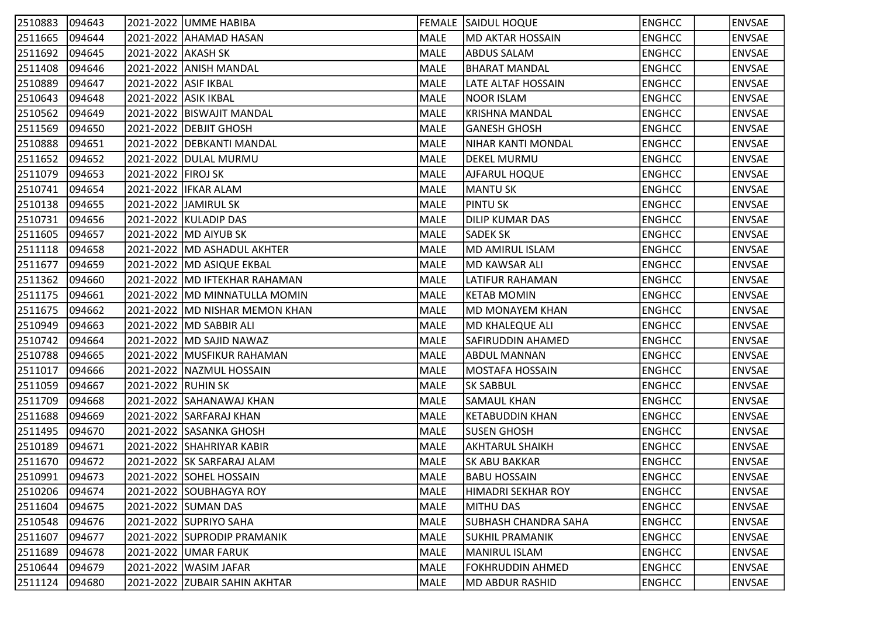| 2510883 | $ 094643\rangle$ |                      | 2021-2022 UMME HABIBA            |      | <b>FEMALE SAIDUL HOQUE</b>  | <b>ENGHCC</b> | <b>ENVSAE</b> |
|---------|------------------|----------------------|----------------------------------|------|-----------------------------|---------------|---------------|
| 2511665 | 094644           |                      | 2021-2022 AHAMAD HASAN           | MALE | <b>MD AKTAR HOSSAIN</b>     | <b>ENGHCC</b> | <b>ENVSAE</b> |
| 2511692 | 094645           | 2021-2022 AKASH SK   |                                  | MALE | <b>ABDUS SALAM</b>          | <b>ENGHCC</b> | <b>ENVSAE</b> |
| 2511408 | 094646           |                      | 2021-2022 ANISH MANDAL           | MALE | <b>BHARAT MANDAL</b>        | <b>ENGHCC</b> | <b>ENVSAE</b> |
| 2510889 | 094647           | 2021-2022 ASIF IKBAL |                                  | MALE | LATE ALTAF HOSSAIN          | <b>ENGHCC</b> | <b>ENVSAE</b> |
| 2510643 | 094648           | 2021-2022 ASIK IKBAL |                                  | MALE | <b>NOOR ISLAM</b>           | <b>ENGHCC</b> | <b>ENVSAE</b> |
| 2510562 | 094649           |                      | 2021-2022 BISWAJIT MANDAL        | MALE | <b>KRISHNA MANDAL</b>       | <b>ENGHCC</b> | <b>ENVSAE</b> |
| 2511569 | 094650           |                      | 2021-2022 DEBJIT GHOSH           | MALE | <b>GANESH GHOSH</b>         | <b>ENGHCC</b> | <b>ENVSAE</b> |
| 2510888 | 094651           |                      | 2021-2022 DEBKANTI MANDAL        | MALE | NIHAR KANTI MONDAL          | <b>ENGHCC</b> | <b>ENVSAE</b> |
| 2511652 | 094652           |                      | 2021-2022   DULAL MURMU          | MALE | <b>DEKEL MURMU</b>          | <b>ENGHCC</b> | <b>ENVSAE</b> |
| 2511079 | 094653           | 2021-2022   FIROJ SK |                                  | MALE | AJFARUL HOQUE               | <b>ENGHCC</b> | <b>ENVSAE</b> |
| 2510741 | 094654           |                      | 2021-2022 IFKAR ALAM             | MALE | MANTU SK                    | <b>ENGHCC</b> | <b>ENVSAE</b> |
| 2510138 | 094655           |                      | 2021-2022 JJAMIRUL SK            | MALE | <b>PINTU SK</b>             | <b>ENGHCC</b> | <b>ENVSAE</b> |
| 2510731 | 094656           |                      | 2021-2022 KULADIP DAS            | MALE | <b>DILIP KUMAR DAS</b>      | <b>ENGHCC</b> | <b>ENVSAE</b> |
| 2511605 | 094657           |                      | 2021-2022   MD AIYUB SK          | MALE | <b>SADEK SK</b>             | <b>ENGHCC</b> | <b>ENVSAE</b> |
| 2511118 | 094658           |                      | 2021-2022 MD ASHADUL AKHTER      | MALE | <b>MD AMIRUL ISLAM</b>      | <b>ENGHCC</b> | <b>ENVSAE</b> |
| 2511677 | 094659           |                      | 2021-2022 MD ASIQUE EKBAL        | MALE | <b>MD KAWSAR ALI</b>        | <b>ENGHCC</b> | <b>ENVSAE</b> |
| 2511362 | 094660           |                      | 2021-2022   MD IFTEKHAR RAHAMAN  | MALE | LATIFUR RAHAMAN             | <b>ENGHCC</b> | <b>ENVSAE</b> |
| 2511175 | 094661           |                      | 2021-2022   MD MINNATULLA MOMIN  | MALE | <b>KETAB MOMIN</b>          | <b>ENGHCC</b> | <b>ENVSAE</b> |
| 2511675 | 094662           |                      | 2021-2022   MD NISHAR MEMON KHAN | MALE | <b>MD MONAYEM KHAN</b>      | <b>ENGHCC</b> | <b>ENVSAE</b> |
| 2510949 | 094663           |                      | 2021-2022   MD SABBIR ALI        | MALE | MD KHALEQUE ALI             | <b>ENGHCC</b> | <b>ENVSAE</b> |
| 2510742 | 094664           |                      | 2021-2022   MD SAJID NAWAZ       | MALE | SAFIRUDDIN AHAMED           | <b>ENGHCC</b> | <b>ENVSAE</b> |
| 2510788 | 094665           |                      | 2021-2022 MUSFIKUR RAHAMAN       | MALE | <b>ABDUL MANNAN</b>         | <b>ENGHCC</b> | <b>ENVSAE</b> |
| 2511017 | 094666           |                      | 2021-2022   NAZMUL HOSSAIN       | MALE | MOSTAFA HOSSAIN             | <b>ENGHCC</b> | <b>ENVSAE</b> |
| 2511059 | 094667           | 2021-2022 RUHIN SK   |                                  | MALE | <b>SK SABBUL</b>            | <b>ENGHCC</b> | <b>ENVSAE</b> |
| 2511709 | 094668           |                      | 2021-2022 SAHANAWAJ KHAN         | MALE | <b>SAMAUL KHAN</b>          | <b>ENGHCC</b> | <b>ENVSAE</b> |
| 2511688 | 094669           |                      | 2021-2022 SARFARAJ KHAN          | MALE | KETABUDDIN KHAN             | <b>ENGHCC</b> | <b>ENVSAE</b> |
| 2511495 | 094670           |                      | 2021-2022 SASANKA GHOSH          | MALE | <b>SUSEN GHOSH</b>          | <b>ENGHCC</b> | <b>ENVSAE</b> |
| 2510189 | 094671           |                      | 2021-2022 SHAHRIYAR KABIR        | MALE | AKHTARUL SHAIKH             | <b>ENGHCC</b> | <b>ENVSAE</b> |
| 2511670 | 094672           |                      | 2021-2022 SK SARFARAJ ALAM       | MALE | <b>SK ABU BAKKAR</b>        | <b>ENGHCC</b> | <b>ENVSAE</b> |
| 2510991 | 094673           |                      | 2021-2022 SOHEL HOSSAIN          | MALE | <b>BABU HOSSAIN</b>         | <b>ENGHCC</b> | <b>ENVSAE</b> |
| 2510206 | 094674           |                      | 2021-2022 SOUBHAGYA ROY          | MALE | <b>HIMADRI SEKHAR ROY</b>   | <b>ENGHCC</b> | <b>ENVSAE</b> |
| 2511604 | 094675           |                      | 2021-2022 SUMAN DAS              | MALE | <b>MITHU DAS</b>            | <b>ENGHCC</b> | <b>ENVSAE</b> |
| 2510548 | 094676           |                      | 2021-2022 SUPRIYO SAHA           | MALE | <b>SUBHASH CHANDRA SAHA</b> | <b>ENGHCC</b> | <b>ENVSAE</b> |
| 2511607 | 094677           |                      | 2021-2022 SUPRODIP PRAMANIK      | MALE | SUKHIL PRAMANIK             | <b>ENGHCC</b> | <b>ENVSAE</b> |
| 2511689 | 094678           |                      | 2021-2022 UMAR FARUK             | MALE | MANIRUL ISLAM               | <b>ENGHCC</b> | <b>ENVSAE</b> |
| 2510644 | 094679           |                      | 2021-2022   WASIM JAFAR          | MALE | FOKHRUDDIN AHMED            | <b>ENGHCC</b> | <b>ENVSAE</b> |
| 2511124 | 094680           |                      | 2021-2022 ZUBAIR SAHIN AKHTAR    | MALE | MD ABDUR RASHID             | <b>ENGHCC</b> | <b>ENVSAE</b> |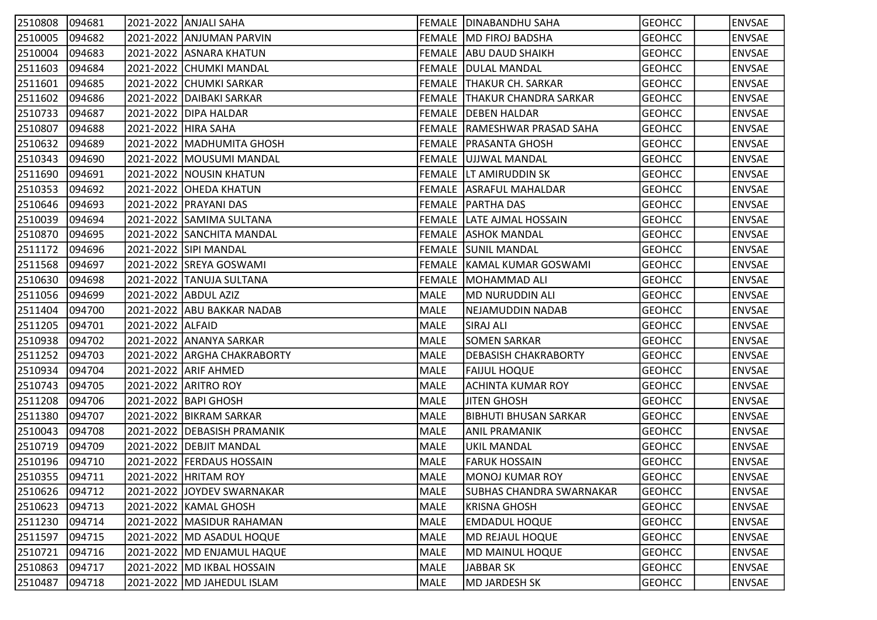| 2510808 | 094681 |                     | 2021-2022  ANJALI SAHA        |             | FEMALE DINABANDHU SAHA          | <b>GEOHCC</b> | <b>ENVSAE</b> |
|---------|--------|---------------------|-------------------------------|-------------|---------------------------------|---------------|---------------|
| 2510005 | 094682 |                     | 2021-2022 ANJUMAN PARVIN      |             | FEMALE MD FIROJ BADSHA          | <b>GEOHCC</b> | <b>ENVSAE</b> |
| 2510004 | 094683 |                     | 2021-2022 ASNARA KHATUN       |             | FEMALE ABU DAUD SHAIKH          | <b>GEOHCC</b> | <b>ENVSAE</b> |
| 2511603 | 094684 |                     | 2021-2022 CHUMKI MANDAL       |             | <b>FEMALE   DULAL MANDAL</b>    | <b>GEOHCC</b> | <b>ENVSAE</b> |
| 2511601 | 094685 |                     | 2021-2022 CHUMKI SARKAR       |             | FEMALE THAKUR CH. SARKAR        | <b>GEOHCC</b> | <b>ENVSAE</b> |
| 2511602 | 094686 |                     | 2021-2022   DAIBAKI SARKAR    |             | FEMALE THAKUR CHANDRA SARKAR    | <b>GEOHCC</b> | <b>ENVSAE</b> |
| 2510733 | 094687 |                     | 2021-2022   DIPA HALDAR       |             | <b>FEMALE   DEBEN HALDAR</b>    | <b>GEOHCC</b> | <b>ENVSAE</b> |
| 2510807 | 094688 | 2021-2022 HIRA SAHA |                               |             | FEMALE RAMESHWAR PRASAD SAHA    | <b>GEOHCC</b> | <b>ENVSAE</b> |
| 2510632 | 094689 |                     | 2021-2022   MADHUMITA GHOSH   |             | FEMALE   PRASANTA GHOSH         | <b>GEOHCC</b> | <b>ENVSAE</b> |
| 2510343 | 094690 |                     | 2021-2022   MOUSUMI MANDAL    |             | FEMALE UJJWAL MANDAL            | <b>GEOHCC</b> | <b>ENVSAE</b> |
| 2511690 | 094691 |                     | 2021-2022 NOUSIN KHATUN       |             | FEMALE LT AMIRUDDIN SK          | <b>GEOHCC</b> | <b>ENVSAE</b> |
| 2510353 | 094692 |                     | 2021-2022 OHEDA KHATUN        |             | <b>FEMALE ASRAFUL MAHALDAR</b>  | <b>GEOHCC</b> | <b>ENVSAE</b> |
| 2510646 | 094693 |                     | 2021-2022   PRAYANI DAS       |             | FEMALE   PARTHA DAS             | <b>GEOHCC</b> | <b>ENVSAE</b> |
| 2510039 | 094694 |                     | 2021-2022 SAMIMA SULTANA      |             | FEMALE LATE AJMAL HOSSAIN       | <b>GEOHCC</b> | <b>ENVSAE</b> |
| 2510870 | 094695 |                     | 2021-2022 SANCHITA MANDAL     |             | <b>FEMALE ASHOK MANDAL</b>      | <b>GEOHCC</b> | <b>ENVSAE</b> |
| 2511172 | 094696 |                     | 2021-2022 SIPI MANDAL         |             | <b>FEMALE SUNIL MANDAL</b>      | <b>GEOHCC</b> | <b>ENVSAE</b> |
| 2511568 | 094697 |                     | 2021-2022 SREYA GOSWAMI       |             | FEMALE   KAMAL KUMAR GOSWAMI    | <b>GEOHCC</b> | <b>ENVSAE</b> |
| 2510630 | 094698 |                     | 2021-2022  TANUJA SULTANA     |             | FEMALE  MOHAMMAD ALI            | <b>GEOHCC</b> | <b>ENVSAE</b> |
| 2511056 | 094699 |                     | 2021-2022 ABDUL AZIZ          | MALE        | MD NURUDDIN ALI                 | <b>GEOHCC</b> | <b>ENVSAE</b> |
| 2511404 | 094700 |                     | 2021-2022 ABU BAKKAR NADAB    | MALE        | NEJAMUDDIN NADAB                | <b>GEOHCC</b> | <b>ENVSAE</b> |
| 2511205 | 094701 | 2021-2022 ALFAID    |                               | MALE        | <b>SIRAJ ALI</b>                | <b>GEOHCC</b> | <b>ENVSAE</b> |
| 2510938 | 094702 |                     | 2021-2022 ANANYA SARKAR       | MALE        | <b>SOMEN SARKAR</b>             | <b>GEOHCC</b> | <b>ENVSAE</b> |
| 2511252 | 094703 |                     | 2021-2022 ARGHA CHAKRABORTY   | MALE        | <b>DEBASISH CHAKRABORTY</b>     | <b>GEOHCC</b> | <b>ENVSAE</b> |
| 2510934 | 094704 |                     | 2021-2022 ARIF AHMED          | MALE        | <b>FAIJUL HOQUE</b>             | <b>GEOHCC</b> | <b>ENVSAE</b> |
| 2510743 | 094705 |                     | 2021-2022 ARITRO ROY          | <b>MALE</b> | ACHINTA KUMAR ROY               | <b>GEOHCC</b> | <b>ENVSAE</b> |
| 2511208 | 094706 |                     | 2021-2022   BAPI GHOSH        | MALE        | <b>JITEN GHOSH</b>              | <b>GEOHCC</b> | <b>ENVSAE</b> |
| 2511380 | 094707 |                     | 2021-2022 BIKRAM SARKAR       | MALE        | <b>BIBHUTI BHUSAN SARKAR</b>    | <b>GEOHCC</b> | <b>ENVSAE</b> |
| 2510043 | 094708 |                     | 2021-2022   DEBASISH PRAMANIK | MALE        | <b>ANIL PRAMANIK</b>            | <b>GEOHCC</b> | <b>ENVSAE</b> |
| 2510719 | 094709 |                     | 2021-2022   DEBJIT MANDAL     | MALE        | UKIL MANDAL                     | <b>GEOHCC</b> | <b>ENVSAE</b> |
| 2510196 | 094710 |                     | 2021-2022 FERDAUS HOSSAIN     | MALE        | <b>FARUK HOSSAIN</b>            | <b>GEOHCC</b> | <b>ENVSAE</b> |
| 2510355 | 094711 |                     | 2021-2022   HRITAM ROY        | MALE        | lmonoj kumar roy                | <b>GEOHCC</b> | <b>ENVSAE</b> |
| 2510626 | 094712 |                     | 2021-2022 JJOYDEV SWARNAKAR   | MALE        | <b>SUBHAS CHANDRA SWARNAKAR</b> | <b>GEOHCC</b> | <b>ENVSAE</b> |
| 2510623 | 094713 |                     | 2021-2022 KAMAL GHOSH         | MALE        | <b>KRISNA GHOSH</b>             | <b>GEOHCC</b> | <b>ENVSAE</b> |
| 2511230 | 094714 |                     | 2021-2022   MASIDUR RAHAMAN   | MALE        | <b>EMDADUL HOQUE</b>            | <b>GEOHCC</b> | <b>ENVSAE</b> |
| 2511597 | 094715 |                     | 2021-2022   MD ASADUL HOQUE   | MALE        | MD REJAUL HOQUE                 | <b>GEOHCC</b> | <b>ENVSAE</b> |
| 2510721 | 094716 |                     | 2021-2022   MD ENJAMUL HAQUE  | MALE        | MD MAINUL HOQUE                 | <b>GEOHCC</b> | <b>ENVSAE</b> |
| 2510863 | 094717 |                     | 2021-2022   MD IKBAL HOSSAIN  | MALE        | <b>JABBAR SK</b>                | <b>GEOHCC</b> | <b>ENVSAE</b> |
| 2510487 | 094718 |                     | 2021-2022   MD JAHEDUL ISLAM  | MALE        | MD JARDESH SK                   | <b>GEOHCC</b> | <b>ENVSAE</b> |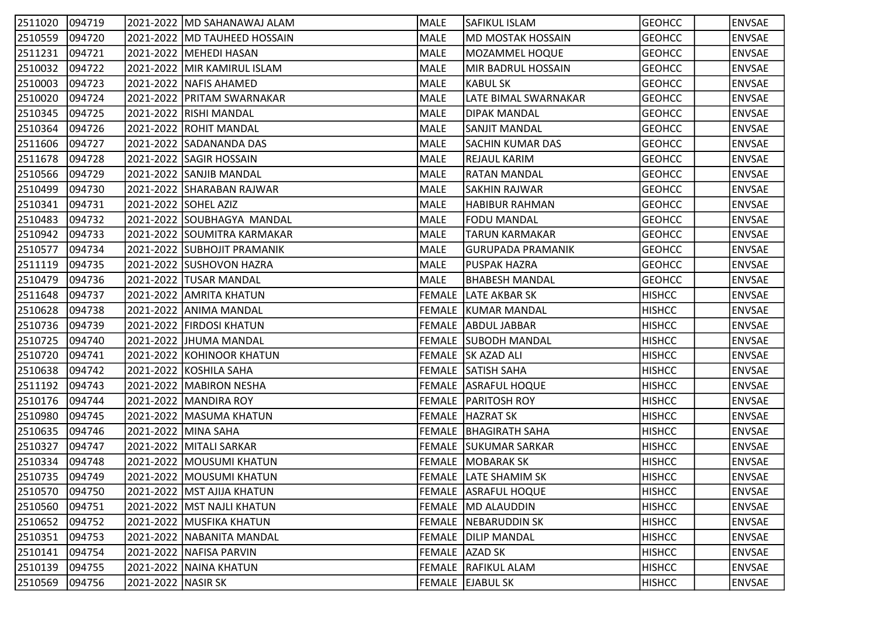| 2511020        | 094719 |                    | 2021-2022   MD SAHANAWAJ ALAM  | MALE        | <b>SAFIKUL ISLAM</b>         | <b>GEOHCC</b> | ENVSAE        |
|----------------|--------|--------------------|--------------------------------|-------------|------------------------------|---------------|---------------|
| 2510559        | 094720 |                    | 2021-2022   MD TAUHEED HOSSAIN | MALE        | MD MOSTAK HOSSAIN            | <b>GEOHCC</b> | <b>ENVSAE</b> |
| 2511231        | 094721 |                    | 2021-2022   MEHEDI HASAN       | MALE        | MOZAMMEL HOQUE               | <b>GEOHCC</b> | ENVSAE        |
| 2510032        | 094722 |                    | 2021-2022   MIR KAMIRUL ISLAM  | MALE        | MIR BADRUL HOSSAIN           | <b>GEOHCC</b> | <b>ENVSAE</b> |
| 2510003        | 094723 |                    | 2021-2022   NAFIS AHAMED       | <b>MALE</b> | <b>KABUL SK</b>              | <b>GEOHCC</b> | <b>ENVSAE</b> |
| 2510020        | 094724 |                    | 2021-2022 PRITAM SWARNAKAR     | MALE        | LATE BIMAL SWARNAKAR         | <b>GEOHCC</b> | <b>ENVSAE</b> |
| 2510345        | 094725 |                    | 2021-2022 RISHI MANDAL         | MALE        | <b>DIPAK MANDAL</b>          | <b>GEOHCC</b> | <b>ENVSAE</b> |
| 2510364        | 094726 |                    | 2021-2022 ROHIT MANDAL         | MALE        | <b>SANJIT MANDAL</b>         | <b>GEOHCC</b> | <b>ENVSAE</b> |
| 2511606        | 094727 |                    | 2021-2022 SADANANDA DAS        | MALE        | <b>SACHIN KUMAR DAS</b>      | <b>GEOHCC</b> | <b>ENVSAE</b> |
| 2511678        | 094728 |                    | 2021-2022 SAGIR HOSSAIN        | MALE        | <b>REJAUL KARIM</b>          | <b>GEOHCC</b> | <b>ENVSAE</b> |
| 2510566        | 094729 |                    | 2021-2022 SANJIB MANDAL        | MALE        | <b>RATAN MANDAL</b>          | <b>GEOHCC</b> | <b>ENVSAE</b> |
| 2510499        | 094730 |                    | 2021-2022 SHARABAN RAJWAR      | MALE        | <b>SAKHIN RAJWAR</b>         | <b>GEOHCC</b> | <b>ENVSAE</b> |
| 2510341        | 094731 |                    | 2021-2022 SOHEL AZIZ           | MALE        | <b>HABIBUR RAHMAN</b>        | <b>GEOHCC</b> | <b>ENVSAE</b> |
| 2510483        | 094732 |                    | 2021-2022 SOUBHAGYA MANDAL     | MALE        | <b>FODU MANDAL</b>           | <b>GEOHCC</b> | <b>ENVSAE</b> |
| 2510942        | 094733 |                    | 2021-2022 SOUMITRA KARMAKAR    | MALE        | <b>TARUN KARMAKAR</b>        | <b>GEOHCC</b> | <b>ENVSAE</b> |
| 2510577        | 094734 |                    | 2021-2022 SUBHOJIT PRAMANIK    | MALE        | GURUPADA PRAMANIK            | <b>GEOHCC</b> | <b>ENVSAE</b> |
| 2511119        | 094735 |                    | 2021-2022 SUSHOVON HAZRA       | <b>MALE</b> | PUSPAK HAZRA                 | <b>GEOHCC</b> | <b>ENVSAE</b> |
| 2510479        | 094736 |                    | 2021-2022  TUSAR MANDAL        | MALE        | <b>BHABESH MANDAL</b>        | <b>GEOHCC</b> | <b>ENVSAE</b> |
| 2511648        | 094737 |                    | 2021-2022 AMRITA KHATUN        |             | <b>FEMALE LATE AKBAR SK</b>  | <b>HISHCC</b> | <b>ENVSAE</b> |
| 2510628        | 094738 |                    | 2021-2022 ANIMA MANDAL         |             | FEMALE KUMAR MANDAL          | <b>HISHCC</b> | <b>ENVSAE</b> |
| 2510736        | 094739 |                    | 2021-2022 FIRDOSI KHATUN       |             | FEMALE ABDUL JABBAR          | <b>HISHCC</b> | <b>ENVSAE</b> |
| 2510725        | 094740 |                    | 2021-2022 JHUMA MANDAL         |             | <b>FEMALE SUBODH MANDAL</b>  | <b>HISHCC</b> | <b>ENVSAE</b> |
| 2510720        | 094741 |                    | 2021-2022 KOHINOOR KHATUN      |             | FEMALE SK AZAD ALI           | <b>HISHCC</b> | <b>ENVSAE</b> |
| 2510638        | 094742 |                    | 2021-2022 KOSHILA SAHA         |             | FEMALE SATISH SAHA           | <b>HISHCC</b> | <b>ENVSAE</b> |
| 2511192        | 094743 |                    | 2021-2022   MABIRON NESHA      |             | <b>FEMALE ASRAFUL HOQUE</b>  | <b>HISHCC</b> | <b>ENVSAE</b> |
| 2510176        | 094744 |                    | 2021-2022   MANDIRA ROY        |             | <b>FEMALE PARITOSH ROY</b>   | <b>HISHCC</b> | <b>ENVSAE</b> |
| 2510980        | 094745 |                    | 2021-2022   MASUMA KHATUN      |             | FEMALE HAZRAT SK             | <b>HISHCC</b> | <b>ENVSAE</b> |
| 2510635        | 094746 |                    | 2021-2022 MINA SAHA            |             | <b>FEMALE BHAGIRATH SAHA</b> | <b>HISHCC</b> | <b>ENVSAE</b> |
| 2510327        | 094747 |                    | 2021-2022   MITALI SARKAR      |             | <b>FEMALE SUKUMAR SARKAR</b> | <b>HISHCC</b> | <b>ENVSAE</b> |
| 2510334        | 094748 |                    | 2021-2022   MOUSUMI KHATUN     |             | <b>FEMALE   MOBARAK SK</b>   | <b>HISHCC</b> | <b>ENVSAE</b> |
| 2510735 094749 |        |                    | 2021-2022 MOUSUMI KHATUN       |             | FEMALE LATE SHAMIM SK        | <b>HISHCC</b> | <b>ENVSAE</b> |
| 2510570        | 094750 |                    | 2021-2022   MST AJIJA KHATUN   |             | <b>FEMALE ASRAFUL HOQUE</b>  | <b>HISHCC</b> | <b>ENVSAE</b> |
| 2510560        | 094751 |                    | 2021-2022   MST NAJLI KHATUN   |             | FEMALE MD ALAUDDIN           | <b>HISHCC</b> | <b>ENVSAE</b> |
| 2510652        | 094752 |                    | 2021-2022   MUSFIKA KHATUN     |             | FEMALE NEBARUDDIN SK         | <b>HISHCC</b> | <b>ENVSAE</b> |
| 2510351        | 094753 |                    | 2021-2022   NABANITA MANDAL    |             | FEMALE DILIP MANDAL          | <b>HISHCC</b> | <b>ENVSAE</b> |
| 2510141        | 094754 |                    | 2021-2022 NAFISA PARVIN        |             | FEMALE AZAD SK               | <b>HISHCC</b> | <b>ENVSAE</b> |
| 2510139        | 094755 |                    | 2021-2022 NAINA KHATUN         |             | FEMALE RAFIKUL ALAM          | <b>HISHCC</b> | <b>ENVSAE</b> |
| 2510569        | 094756 | 2021-2022 NASIR SK |                                |             | FEMALE EJABUL SK             | <b>HISHCC</b> | <b>ENVSAE</b> |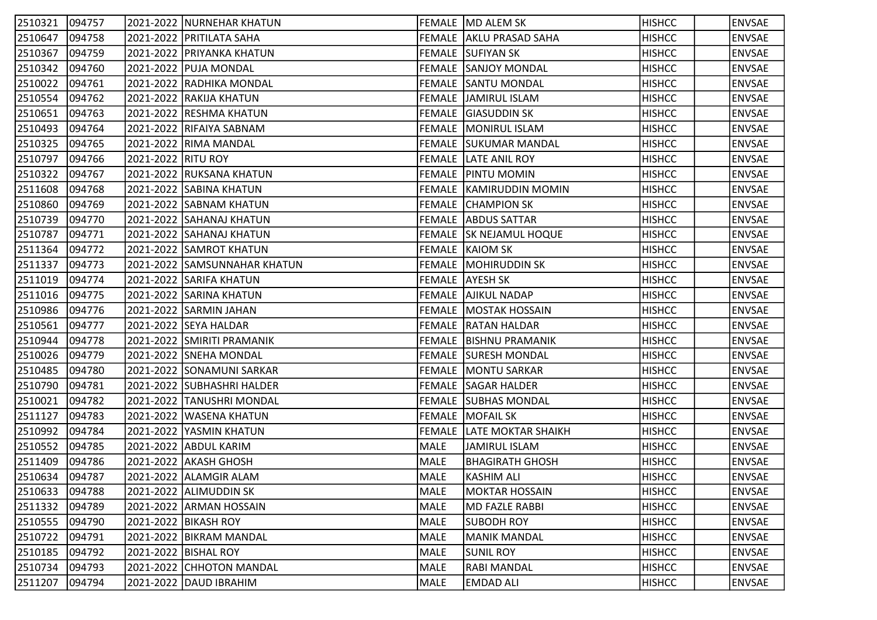| 2510321        | 094757 |                    | 2021-2022  NURNEHAR KHATUN   |      | FEMALE MD ALEM SK                | <b>HISHCC</b> | <b>ENVSAE</b> |
|----------------|--------|--------------------|------------------------------|------|----------------------------------|---------------|---------------|
| 2510647        | 094758 |                    | 2021-2022 PRITILATA SAHA     |      | FEMALE AKLU PRASAD SAHA          | <b>HISHCC</b> | <b>ENVSAE</b> |
| 2510367        | 094759 |                    | 2021-2022 PRIYANKA KHATUN    |      | <b>FEMALE SUFIYAN SK</b>         | <b>HISHCC</b> | <b>ENVSAE</b> |
| 2510342        | 094760 |                    | 2021-2022 PUJA MONDAL        |      | <b>FEMALE SANJOY MONDAL</b>      | <b>HISHCC</b> | <b>ENVSAE</b> |
| 2510022        | 094761 |                    | 2021-2022 RADHIKA MONDAL     |      | <b>FEMALE SANTU MONDAL</b>       | <b>HISHCC</b> | <b>ENVSAE</b> |
| 2510554        | 094762 |                    | 2021-2022 RAKIJA KHATUN      |      | <b>FEMALE JAMIRUL ISLAM</b>      | <b>HISHCC</b> | <b>ENVSAE</b> |
| 2510651        | 094763 |                    | 2021-2022 RESHMA KHATUN      |      | FEMALE GIASUDDIN SK              | <b>HISHCC</b> | <b>ENVSAE</b> |
| 2510493        | 094764 |                    | 2021-2022 RIFAIYA SABNAM     |      | FEMALE   MONIRUL ISLAM           | <b>HISHCC</b> | <b>ENVSAE</b> |
| 2510325        | 094765 |                    | 2021-2022 RIMA MANDAL        |      | <b>FEMALE SUKUMAR MANDAL</b>     | <b>HISHCC</b> | <b>ENVSAE</b> |
| 2510797        | 094766 | 2021-2022 RITU ROY |                              |      | <b>FEMALE LATE ANIL ROY</b>      | <b>HISHCC</b> | <b>ENVSAE</b> |
| 2510322        | 094767 |                    | 2021-2022 RUKSANA KHATUN     |      | <b>FEMALE PINTU MOMIN</b>        | <b>HISHCC</b> | <b>ENVSAE</b> |
| 2511608        | 094768 |                    | 2021-2022 SABINA KHATUN      |      | FEMALE   KAMIRUDDIN MOMIN        | <b>HISHCC</b> | <b>ENVSAE</b> |
| 2510860        | 094769 |                    | 2021-2022 SABNAM KHATUN      |      | FEMALE CHAMPION SK               | <b>HISHCC</b> | <b>ENVSAE</b> |
| 2510739        | 094770 |                    | 2021-2022 SAHANAJ KHATUN     |      | <b>FEMALE ABDUS SATTAR</b>       | <b>HISHCC</b> | <b>ENVSAE</b> |
| 2510787        | 094771 |                    | 2021-2022 SAHANAJ KHATUN     |      | <b>FEMALE SK NEJAMUL HOQUE</b>   | <b>HISHCC</b> | <b>ENVSAE</b> |
| 2511364        | 094772 |                    | 2021-2022 SAMROT KHATUN      |      | <b>FEMALE KAIOM SK</b>           | <b>HISHCC</b> | <b>ENVSAE</b> |
| 2511337        | 094773 |                    | 2021-2022 SAMSUNNAHAR KHATUN |      | FEMALE   MOHIRUDDIN SK           | <b>HISHCC</b> | <b>ENVSAE</b> |
| 2511019        | 094774 |                    | 2021-2022 SARIFA KHATUN      |      | FEMALE AYESH SK                  | <b>HISHCC</b> | <b>ENVSAE</b> |
| 2511016        | 094775 |                    | 2021-2022 SARINA KHATUN      |      | FEMALE AJIKUL NADAP              | <b>HISHCC</b> | <b>ENVSAE</b> |
| 2510986        | 094776 |                    | 2021-2022 SARMIN JAHAN       |      | FEMALE MOSTAK HOSSAIN            | <b>HISHCC</b> | <b>ENVSAE</b> |
| 2510561        | 094777 |                    | 2021-2022 SEYA HALDAR        |      | <b>FEMALE RATAN HALDAR</b>       | <b>HISHCC</b> | <b>ENVSAE</b> |
| 2510944        | 094778 |                    | 2021-2022 SMIRITI PRAMANIK   |      | FEMALE   BISHNU PRAMANIK         | <b>HISHCC</b> | <b>ENVSAE</b> |
| 2510026        | 094779 |                    | 2021-2022 SNEHA MONDAL       |      | <b>FEMALE SURESH MONDAL</b>      | <b>HISHCC</b> | <b>ENVSAE</b> |
| 2510485        | 094780 |                    | 2021-2022 SONAMUNI SARKAR    |      | <b>FEMALE   MONTU SARKAR</b>     | <b>HISHCC</b> | <b>ENVSAE</b> |
| 2510790        | 094781 |                    | 2021-2022  SUBHASHRI HALDER  |      | FEMALE SAGAR HALDER              | <b>HISHCC</b> | <b>ENVSAE</b> |
| 2510021        | 094782 |                    | 2021-2022 TANUSHRI MONDAL    |      | <b>FEMALE SUBHAS MONDAL</b>      | <b>HISHCC</b> | <b>ENVSAE</b> |
| 2511127        | 094783 |                    | 2021-2022  WASENA KHATUN     |      | <b>FEMALE MOFAIL SK</b>          | <b>HISHCC</b> | <b>ENVSAE</b> |
| 2510992        | 094784 |                    | 2021-2022 YASMIN KHATUN      |      | <b>FEMALE LATE MOKTAR SHAIKH</b> | <b>HISHCC</b> | <b>ENVSAE</b> |
| 2510552        | 094785 |                    | 2021-2022 ABDUL KARIM        | MALE | JAMIRUL ISLAM                    | <b>HISHCC</b> | <b>ENVSAE</b> |
| 2511409        | 094786 |                    | 2021-2022 AKASH GHOSH        | MALE | <b>BHAGIRATH GHOSH</b>           | <b>HISHCC</b> | <b>ENVSAE</b> |
| 2510634 094787 |        |                    | 2021-2022 ALAMGIR ALAM       | MALE | <b>KASHIM ALI</b>                | <b>HISHCC</b> | <b>ENVSAE</b> |
| 2510633        | 094788 |                    | 2021-2022 ALIMUDDIN SK       | MALE | <b>MOKTAR HOSSAIN</b>            | <b>HISHCC</b> | <b>ENVSAE</b> |
| 2511332        | 094789 |                    | 2021-2022 ARMAN HOSSAIN      | MALE | <b>MD FAZLE RABBI</b>            | <b>HISHCC</b> | <b>ENVSAE</b> |
| 2510555        | 094790 |                    | 2021-2022   BIKASH ROY       | MALE | <b>SUBODH ROY</b>                | <b>HISHCC</b> | <b>ENVSAE</b> |
| 2510722        | 094791 |                    | 2021-2022 BIKRAM MANDAL      | MALE | <b>MANIK MANDAL</b>              | <b>HISHCC</b> | <b>ENVSAE</b> |
| 2510185        | 094792 |                    | 2021-2022   BISHAL ROY       | MALE | <b>SUNIL ROY</b>                 | <b>HISHCC</b> | <b>ENVSAE</b> |
| 2510734        | 094793 |                    | 2021-2022 CHHOTON MANDAL     | MALE | <b>RABI MANDAL</b>               | <b>HISHCC</b> | <b>ENVSAE</b> |
| 2511207        | 094794 |                    | 2021-2022 DAUD IBRAHIM       | MALE | <b>EMDAD ALI</b>                 | <b>HISHCC</b> | <b>ENVSAE</b> |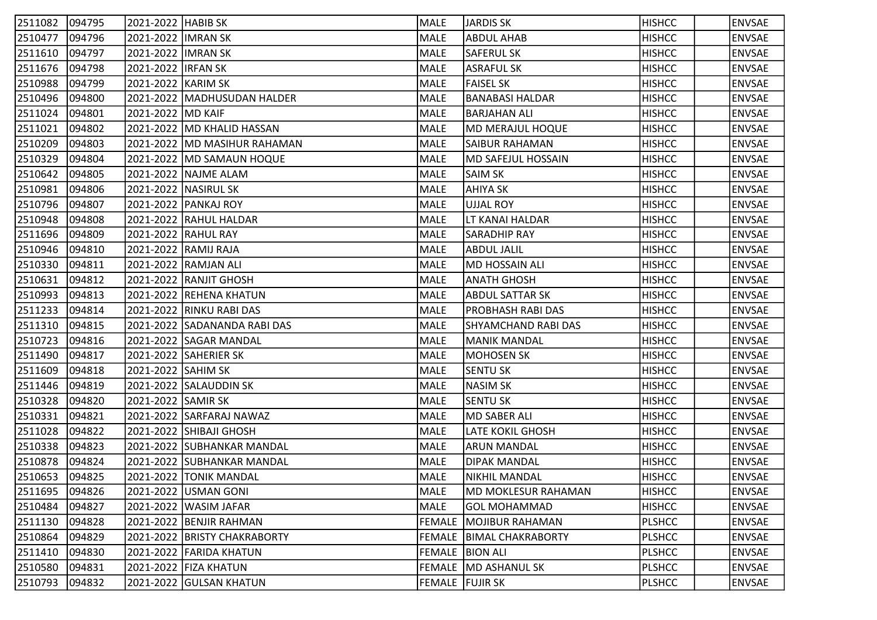| 2511082 | 094795 | 2021-2022 HABIB SK  |                                | MALE            | JARDIS SK                  | <b>HISHCC</b> | <b>ENVSAE</b> |
|---------|--------|---------------------|--------------------------------|-----------------|----------------------------|---------------|---------------|
| 2510477 | 094796 | 2021-2022 IMRAN SK  |                                | MALE            | <b>ABDUL AHAB</b>          | <b>HISHCC</b> | <b>ENVSAE</b> |
| 2511610 | 094797 | 2021-2022 IIMRAN SK |                                | MALE            | <b>SAFERUL SK</b>          | <b>HISHCC</b> | <b>ENVSAE</b> |
| 2511676 | 094798 | 2021-2022 IRFAN SK  |                                | MALE            | <b>ASRAFUL SK</b>          | <b>HISHCC</b> | <b>ENVSAE</b> |
| 2510988 | 094799 | 2021-2022 KARIM SK  |                                | MALE            | <b>FAISEL SK</b>           | <b>HISHCC</b> | <b>ENVSAE</b> |
| 2510496 | 094800 |                     | 2021-2022   MADHUSUDAN HALDER  | MALE            | <b>BANABASI HALDAR</b>     | <b>HISHCC</b> | <b>ENVSAE</b> |
| 2511024 | 094801 | 2021-2022 MD KAIF   |                                | MALE            | <b>BARJAHAN ALI</b>        | <b>HISHCC</b> | <b>ENVSAE</b> |
| 2511021 | 094802 |                     | 2021-2022   MD KHALID HASSAN   | MALE            | MD MERAJUL HOQUE           | <b>HISHCC</b> | <b>ENVSAE</b> |
| 2510209 | 094803 |                     | 2021-2022   MD MASIHUR RAHAMAN | MALE            | <b>SAIBUR RAHAMAN</b>      | <b>HISHCC</b> | <b>ENVSAE</b> |
| 2510329 | 094804 |                     | 2021-2022   MD SAMAUN HOQUE    | MALE            | MD SAFEJUL HOSSAIN         | <b>HISHCC</b> | <b>ENVSAE</b> |
| 2510642 | 094805 |                     | 2021-2022   NAJME ALAM         | MALE            | SAIM SK                    | <b>HISHCC</b> | <b>ENVSAE</b> |
| 2510981 | 094806 |                     | 2021-2022   NASIRUL SK         | MALE            | AHIYA SK                   | <b>HISHCC</b> | <b>ENVSAE</b> |
| 2510796 | 094807 |                     | 2021-2022 PANKAJ ROY           | MALE            | UJJAL ROY                  | <b>HISHCC</b> | <b>ENVSAE</b> |
| 2510948 | 094808 |                     | 2021-2022 RAHUL HALDAR         | MALE            | LT KANAI HALDAR            | <b>HISHCC</b> | <b>ENVSAE</b> |
| 2511696 | 094809 |                     | 2021-2022 RAHUL RAY            | MALE            | <b>SARADHIP RAY</b>        | <b>HISHCC</b> | <b>ENVSAE</b> |
| 2510946 | 094810 |                     | 2021-2022 RAMIJ RAJA           | MALE            | <b>ABDUL JALIL</b>         | <b>HISHCC</b> | <b>ENVSAE</b> |
| 2510330 | 094811 |                     | 2021-2022 RAMJAN ALI           | MALE            | <b>MD HOSSAIN ALI</b>      | <b>HISHCC</b> | <b>ENVSAE</b> |
| 2510631 | 094812 |                     | 2021-2022 RANJIT GHOSH         | MALE            | <b>ANATH GHOSH</b>         | <b>HISHCC</b> | <b>ENVSAE</b> |
| 2510993 | 094813 |                     | 2021-2022 REHENA KHATUN        | MALE            | <b>ABDUL SATTAR SK</b>     | <b>HISHCC</b> | <b>ENVSAE</b> |
| 2511233 | 094814 |                     | 2021-2022 RINKU RABI DAS       | MALE            | PROBHASH RABI DAS          | <b>HISHCC</b> | <b>ENVSAE</b> |
| 2511310 | 094815 |                     | 2021-2022 SADANANDA RABI DAS   | MALE            | <b>SHYAMCHAND RABI DAS</b> | <b>HISHCC</b> | <b>ENVSAE</b> |
| 2510723 | 094816 |                     | 2021-2022 SAGAR MANDAL         | MALE            | MANIK MANDAL               | <b>HISHCC</b> | <b>ENVSAE</b> |
| 2511490 | 094817 |                     | 2021-2022 SAHERIER SK          | MALE            | <b>MOHOSEN SK</b>          | <b>HISHCC</b> | <b>ENVSAE</b> |
| 2511609 | 094818 | 2021-2022 SAHIM SK  |                                | MALE            | <b>SENTU SK</b>            | <b>HISHCC</b> | <b>ENVSAE</b> |
| 2511446 | 094819 |                     | 2021-2022  SALAUDDIN SK        | <b>MALE</b>     | NASIM SK                   | <b>HISHCC</b> | <b>ENVSAE</b> |
| 2510328 | 094820 | 2021-2022 SAMIR SK  |                                | MALE            | <b>SENTU SK</b>            | <b>HISHCC</b> | <b>ENVSAE</b> |
| 2510331 | 094821 |                     | 2021-2022 SARFARAJ NAWAZ       | MALE            | MD SABER ALI               | <b>HISHCC</b> | <b>ENVSAE</b> |
| 2511028 | 094822 |                     | 2021-2022 SHIBAJI GHOSH        | MALE            | <b>LATE KOKIL GHOSH</b>    | <b>HISHCC</b> | <b>ENVSAE</b> |
| 2510338 | 094823 |                     | 2021-2022 SUBHANKAR MANDAL     | MALE            | <b>ARUN MANDAL</b>         | <b>HISHCC</b> | <b>ENVSAE</b> |
| 2510878 | 094824 |                     | 2021-2022 SUBHANKAR MANDAL     | MALE            | <b>DIPAK MANDAL</b>        | <b>HISHCC</b> | <b>ENVSAE</b> |
| 2510653 | 094825 |                     | 2021-2022 TONIK MANDAL         | MALE            | NIKHIL MANDAL              | <b>HISHCC</b> | <b>ENVSAE</b> |
| 2511695 | 094826 |                     | 2021-2022 USMAN GONI           | MALE            | MD MOKLESUR RAHAMAN        | <b>HISHCC</b> | <b>ENVSAE</b> |
| 2510484 | 094827 |                     | 2021-2022 WASIM JAFAR          | MALE            | <b>GOL MOHAMMAD</b>        | <b>HISHCC</b> | <b>ENVSAE</b> |
| 2511130 | 094828 |                     | 2021-2022 BENJIR RAHMAN        |                 | FEMALE MOJIBUR RAHAMAN     | <b>PLSHCC</b> | <b>ENVSAE</b> |
| 2510864 | 094829 |                     | 2021-2022 BRISTY CHAKRABORTY   |                 | FEMALE   BIMAL CHAKRABORTY | <b>PLSHCC</b> | <b>ENVSAE</b> |
| 2511410 | 094830 |                     | 2021-2022 FARIDA KHATUN        |                 | FEMALE BION ALI            | <b>PLSHCC</b> | <b>ENVSAE</b> |
| 2510580 | 094831 |                     | 2021-2022 FIZA KHATUN          |                 | FEMALE MD ASHANUL SK       | <b>PLSHCC</b> | <b>ENVSAE</b> |
| 2510793 | 094832 |                     | 2021-2022 GULSAN KHATUN        | FEMALE FUJIR SK |                            | <b>PLSHCC</b> | <b>ENVSAE</b> |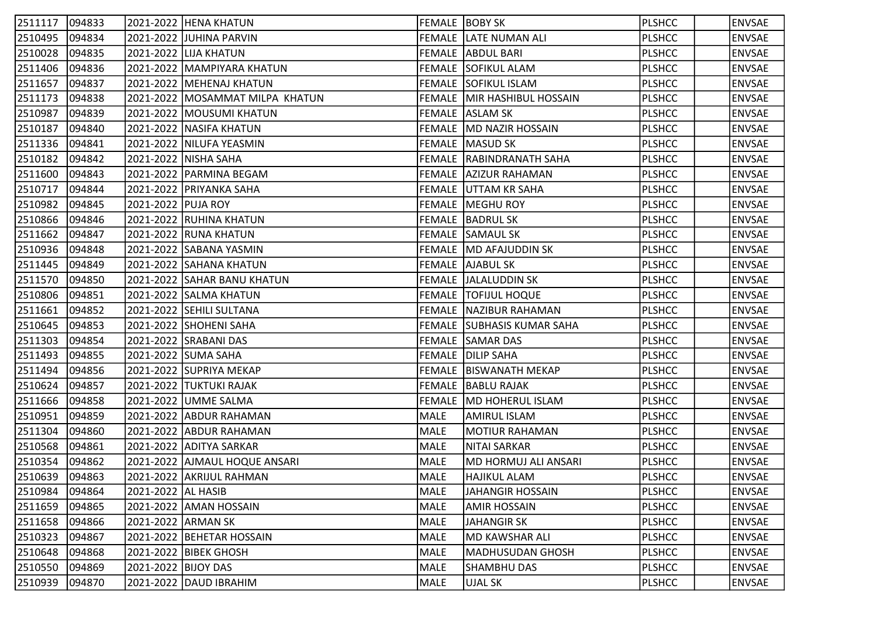| 2511117 | 094833 |                     | 2021-2022 HENA KHATUN             |      | <b>FEMALE BOBY SK</b>           | <b>PLSHCC</b> | <b>ENVSAE</b> |
|---------|--------|---------------------|-----------------------------------|------|---------------------------------|---------------|---------------|
| 2510495 | 094834 |                     | 2021-2022 JJUHINA PARVIN          |      | <b>FEMALE LATE NUMAN ALI</b>    | <b>PLSHCC</b> | <b>ENVSAE</b> |
| 2510028 | 094835 |                     | 2021-2022 LIJA KHATUN             |      | FEMALE ABDUL BARI               | <b>PLSHCC</b> | <b>ENVSAE</b> |
| 2511406 | 094836 |                     | 2021-2022   MAMPIYARA KHATUN      |      | FEMALE SOFIKUL ALAM             | <b>PLSHCC</b> | <b>ENVSAE</b> |
| 2511657 | 094837 |                     | 2021-2022   MEHENAJ KHATUN        |      | <b>FEMALE SOFIKUL ISLAM</b>     | <b>PLSHCC</b> | <b>ENVSAE</b> |
| 2511173 | 094838 |                     | 2021-2022   MOSAMMAT MILPA KHATUN |      | FEMALE MIR HASHIBUL HOSSAIN     | <b>PLSHCC</b> | <b>ENVSAE</b> |
| 2510987 | 094839 |                     | 2021-2022   MOUSUMI KHATUN        |      | FEMALE ASLAM SK                 | <b>PLSHCC</b> | <b>ENVSAE</b> |
| 2510187 | 094840 |                     | 2021-2022   NASIFA KHATUN         |      | FEMALE  MD NAZIR HOSSAIN        | <b>PLSHCC</b> | <b>ENVSAE</b> |
| 2511336 | 094841 |                     | 2021-2022   NILUFA YEASMIN        |      | <b>FEMALE MASUD SK</b>          | <b>PLSHCC</b> | <b>ENVSAE</b> |
| 2510182 | 094842 |                     | 2021-2022 NISHA SAHA              |      | FEMALE RABINDRANATH SAHA        | <b>PLSHCC</b> | <b>ENVSAE</b> |
| 2511600 | 094843 |                     | 2021-2022   PARMINA BEGAM         |      | FEMALE AZIZUR RAHAMAN           | <b>PLSHCC</b> | <b>ENVSAE</b> |
| 2510717 | 094844 |                     | 2021-2022 PRIYANKA SAHA           |      | FEMALE  UTTAM KR SAHA           | <b>PLSHCC</b> | <b>ENVSAE</b> |
| 2510982 | 094845 | 2021-2022 PUJA ROY  |                                   |      | <b>FEMALE   MEGHU ROY</b>       | <b>PLSHCC</b> | <b>ENVSAE</b> |
| 2510866 | 094846 |                     | 2021-2022 RUHINA KHATUN           |      | <b>FEMALE BADRUL SK</b>         | <b>PLSHCC</b> | <b>ENVSAE</b> |
| 2511662 | 094847 |                     | 2021-2022 RUNA KHATUN             |      | <b>FEMALE SAMAUL SK</b>         | <b>PLSHCC</b> | <b>ENVSAE</b> |
| 2510936 | 094848 |                     | 2021-2022 SABANA YASMIN           |      | FEMALE MD AFAJUDDIN SK          | <b>PLSHCC</b> | <b>ENVSAE</b> |
| 2511445 | 094849 |                     | 2021-2022 SAHANA KHATUN           |      | FEMALE AJABUL SK                | <b>PLSHCC</b> | <b>ENVSAE</b> |
| 2511570 | 094850 |                     | 2021-2022 SAHAR BANU KHATUN       |      | FEMALE  JALALUDDIN SK           | <b>PLSHCC</b> | <b>ENVSAE</b> |
| 2510806 | 094851 |                     | 2021-2022 SALMA KHATUN            |      | <b>FEMALE TOFIJUL HOQUE</b>     | <b>PLSHCC</b> | <b>ENVSAE</b> |
| 2511661 | 094852 |                     | 2021-2022 SEHILI SULTANA          |      | FEMALE NAZIBUR RAHAMAN          | <b>PLSHCC</b> | <b>ENVSAE</b> |
| 2510645 | 094853 |                     | 2021-2022 SHOHENI SAHA            |      | FEMALE SUBHASIS KUMAR SAHA      | <b>PLSHCC</b> | <b>ENVSAE</b> |
| 2511303 | 094854 |                     | 2021-2022 SRABANI DAS             |      | FEMALE SAMAR DAS                | <b>PLSHCC</b> | <b>ENVSAE</b> |
| 2511493 | 094855 |                     | 2021-2022 SUMA SAHA               |      | <b>FEMALE DILIP SAHA</b>        | <b>PLSHCC</b> | <b>ENVSAE</b> |
| 2511494 | 094856 |                     | 2021-2022 SUPRIYA MEKAP           |      | <b>FEMALE   BISWANATH MEKAP</b> | <b>PLSHCC</b> | <b>ENVSAE</b> |
| 2510624 | 094857 |                     | 2021-2022 TUKTUKI RAJAK           |      | FEMALE BABLU RAJAK              | <b>PLSHCC</b> | <b>ENVSAE</b> |
| 2511666 | 094858 |                     | 2021-2022 UMME SALMA              |      | FEMALE MD HOHERUL ISLAM         | <b>PLSHCC</b> | <b>ENVSAE</b> |
| 2510951 | 094859 |                     | 2021-2022 ABDUR RAHAMAN           | MALE | <b>AMIRUL ISLAM</b>             | <b>PLSHCC</b> | <b>ENVSAE</b> |
| 2511304 | 094860 |                     | 2021-2022 ABDUR RAHAMAN           | MALE | <b>MOTIUR RAHAMAN</b>           | <b>PLSHCC</b> | <b>ENVSAE</b> |
| 2510568 | 094861 |                     | 2021-2022 ADITYA SARKAR           | MALE | NITAI SARKAR                    | <b>PLSHCC</b> | <b>ENVSAE</b> |
| 2510354 | 094862 |                     | 2021-2022   AJMAUL HOQUE ANSARI   | MALE | MD HORMUJ ALI ANSARI            | <b>PLSHCC</b> | <b>ENVSAE</b> |
| 2510639 | 094863 |                     | 2021-2022 AKRIJUL RAHMAN          | MALE | <b>HAJIKUL ALAM</b>             | <b>PLSHCC</b> | <b>ENVSAE</b> |
| 2510984 | 094864 | 2021-2022 AL HASIB  |                                   | MALE | JAHANGIR HOSSAIN                | <b>PLSHCC</b> | <b>ENVSAE</b> |
| 2511659 | 094865 |                     | 2021-2022 AMAN HOSSAIN            | MALE | <b>AMIR HOSSAIN</b>             | <b>PLSHCC</b> | <b>ENVSAE</b> |
| 2511658 | 094866 | 2021-2022 ARMAN SK  |                                   | MALE | <b>JAHANGIR SK</b>              | <b>PLSHCC</b> | <b>ENVSAE</b> |
| 2510323 | 094867 |                     | 2021-2022 BEHETAR HOSSAIN         | MALE | <b>MD KAWSHAR ALI</b>           | <b>PLSHCC</b> | <b>ENVSAE</b> |
| 2510648 | 094868 |                     | 2021-2022 BIBEK GHOSH             | MALE | MADHUSUDAN GHOSH                | <b>PLSHCC</b> | <b>ENVSAE</b> |
| 2510550 | 094869 | 2021-2022 BIJOY DAS |                                   | MALE | <b>SHAMBHU DAS</b>              | <b>PLSHCC</b> | <b>ENVSAE</b> |
| 2510939 | 094870 |                     | 2021-2022 DAUD IBRAHIM            | MALE | <b>UJAL SK</b>                  | <b>PLSHCC</b> | <b>ENVSAE</b> |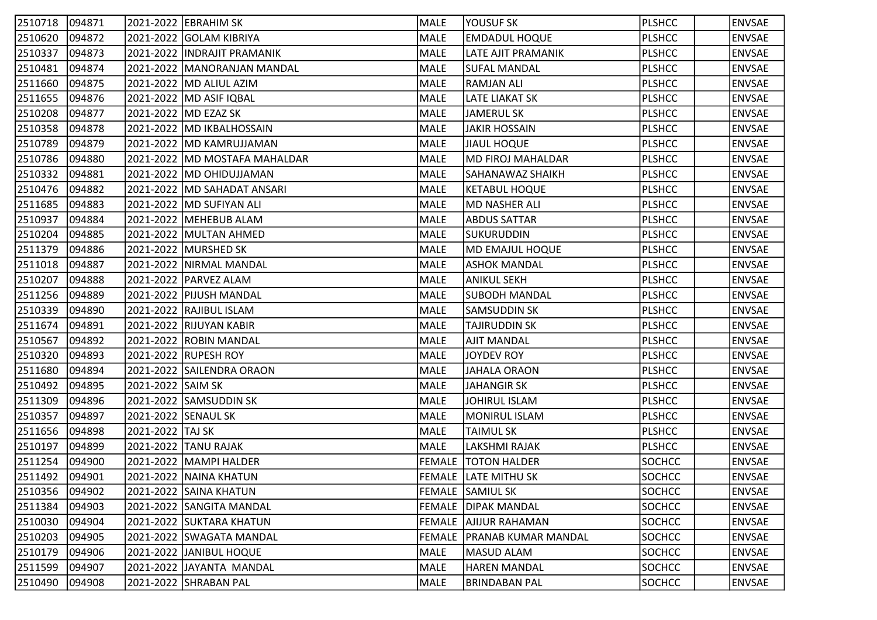| 2510718 | 094871 |                     | 2021-2022  EBRAHIM SK           | MALE        | YOUSUF SK                  | <b>PLSHCC</b> | <b>ENVSAE</b> |
|---------|--------|---------------------|---------------------------------|-------------|----------------------------|---------------|---------------|
| 2510620 | 094872 |                     | 2021-2022 GOLAM KIBRIYA         | MALE        | <b>EMDADUL HOQUE</b>       | <b>PLSHCC</b> | <b>ENVSAE</b> |
| 2510337 | 094873 |                     | 2021-2022   INDRAJIT PRAMANIK   | MALE        | <b>LATE AJIT PRAMANIK</b>  | <b>PLSHCC</b> | <b>ENVSAE</b> |
| 2510481 | 094874 |                     | 2021-2022   MANORANJAN MANDAL   | MALE        | <b>SUFAL MANDAL</b>        | <b>PLSHCC</b> | <b>ENVSAE</b> |
| 2511660 | 094875 |                     | 2021-2022   MD ALIUL AZIM       | MALE        | <b>RAMJAN ALI</b>          | <b>PLSHCC</b> | <b>ENVSAE</b> |
| 2511655 | 094876 |                     | 2021-2022  MD ASIF IQBAL        | MALE        | <b>LATE LIAKAT SK</b>      | <b>PLSHCC</b> | <b>ENVSAE</b> |
| 2510208 | 094877 |                     | 2021-2022   MD EZAZ SK          | MALE        | JAMERUL SK                 | <b>PLSHCC</b> | <b>ENVSAE</b> |
| 2510358 | 094878 |                     | 2021-2022  MD IKBALHOSSAIN      | MALE        | <b>JAKIR HOSSAIN</b>       | <b>PLSHCC</b> | <b>ENVSAE</b> |
| 2510789 | 094879 |                     | 2021-2022   MD KAMRUJJAMAN      | MALE        | <b>JIAUL HOQUE</b>         | <b>PLSHCC</b> | <b>ENVSAE</b> |
| 2510786 | 094880 |                     | 2021-2022   MD MOSTAFA MAHALDAR | MALE        | MD FIROJ MAHALDAR          | <b>PLSHCC</b> | <b>ENVSAE</b> |
| 2510332 | 094881 |                     | 2021-2022   MD OHIDUJJAMAN      | MALE        | SAHANAWAZ SHAIKH           | <b>PLSHCC</b> | <b>ENVSAE</b> |
| 2510476 | 094882 |                     | 2021-2022   MD SAHADAT ANSARI   | MALE        | <b>KETABUL HOQUE</b>       | <b>PLSHCC</b> | <b>ENVSAE</b> |
| 2511685 | 094883 |                     | 2021-2022  MD SUFIYAN ALI       | MALE        | <b>MD NASHER ALI</b>       | <b>PLSHCC</b> | <b>ENVSAE</b> |
| 2510937 | 094884 |                     | 2021-2022 MEHEBUB ALAM          | MALE        | <b>ABDUS SATTAR</b>        | <b>PLSHCC</b> | <b>ENVSAE</b> |
| 2510204 | 094885 |                     | 2021-2022 MULTAN AHMED          | MALE        | <b>SUKURUDDIN</b>          | <b>PLSHCC</b> | <b>ENVSAE</b> |
| 2511379 | 094886 |                     | 2021-2022 MURSHED SK            | MALE        | MD EMAJUL HOQUE            | <b>PLSHCC</b> | <b>ENVSAE</b> |
| 2511018 | 094887 |                     | 2021-2022   NIRMAL MANDAL       | MALE        | <b>ASHOK MANDAL</b>        | <b>PLSHCC</b> | <b>ENVSAE</b> |
| 2510207 | 094888 |                     | 2021-2022  PARVEZ ALAM          | MALE        | <b>ANIKUL SEKH</b>         | <b>PLSHCC</b> | <b>ENVSAE</b> |
| 2511256 | 094889 |                     | 2021-2022 PIJUSH MANDAL         | MALE        | <b>SUBODH MANDAL</b>       | <b>PLSHCC</b> | <b>ENVSAE</b> |
| 2510339 | 094890 |                     | 2021-2022 RAJIBUL ISLAM         | MALE        | <b>SAMSUDDIN SK</b>        | <b>PLSHCC</b> | <b>ENVSAE</b> |
| 2511674 | 094891 |                     | 2021-2022 RIJUYAN KABIR         | MALE        | <b>TAJIRUDDIN SK</b>       | <b>PLSHCC</b> | <b>ENVSAE</b> |
| 2510567 | 094892 |                     | 2021-2022 ROBIN MANDAL          | MALE        | <b>AJIT MANDAL</b>         | <b>PLSHCC</b> | <b>ENVSAE</b> |
| 2510320 | 094893 |                     | 2021-2022 RUPESH ROY            | MALE        | JOYDEV ROY                 | <b>PLSHCC</b> | <b>ENVSAE</b> |
| 2511680 | 094894 |                     | 2021-2022 SAILENDRA ORAON       | MALE        | JAHALA ORAON               | <b>PLSHCC</b> | <b>ENVSAE</b> |
| 2510492 | 094895 | 2021-2022 SAIM SK   |                                 | <b>MALE</b> | <b>JAHANGIR SK</b>         | <b>PLSHCC</b> | <b>ENVSAE</b> |
| 2511309 | 094896 |                     | 2021-2022 SAMSUDDIN SK          | MALE        | JOHIRUL ISLAM              | <b>PLSHCC</b> | <b>ENVSAE</b> |
| 2510357 | 094897 | 2021-2022 SENAUL SK |                                 | MALE        | <b>MONIRUL ISLAM</b>       | <b>PLSHCC</b> | <b>ENVSAE</b> |
| 2511656 | 094898 | 2021-2022 TAJ SK    |                                 | MALE        | <b>TAIMUL SK</b>           | <b>PLSHCC</b> | <b>ENVSAE</b> |
| 2510197 | 094899 |                     | 2021-2022 TANU RAJAK            | MALE        | <b>LAKSHMI RAJAK</b>       | <b>PLSHCC</b> | <b>ENVSAE</b> |
| 2511254 | 094900 |                     | 2021-2022   MAMPI HALDER        |             | <b>FEMALE TOTON HALDER</b> | <b>SOCHCC</b> | <b>ENVSAE</b> |
| 2511492 | 094901 |                     | 2021-2022 NAINA KHATUN          |             | FEMALE LATE MITHU SK       | <b>SOCHCC</b> | <b>ENVSAE</b> |
| 2510356 | 094902 |                     | 2021-2022 SAINA KHATUN          |             | FEMALE SAMIUL SK           | SOCHCC        | <b>ENVSAE</b> |
| 2511384 | 094903 |                     | 2021-2022 SANGITA MANDAL        |             | <b>FEMALE DIPAK MANDAL</b> | <b>SOCHCC</b> | <b>ENVSAE</b> |
| 2510030 | 094904 |                     | 2021-2022 SUKTARA KHATUN        |             | FEMALE AJIJUR RAHAMAN      | SOCHCC        | <b>ENVSAE</b> |
| 2510203 | 094905 |                     | 2021-2022 SWAGATA MANDAL        | FEMALE      | <b>PRANAB KUMAR MANDAL</b> | <b>SOCHCC</b> | <b>ENVSAE</b> |
| 2510179 | 094906 |                     | 2021-2022 JJANIBUL HOQUE        | MALE        | MASUD ALAM                 | <b>SOCHCC</b> | <b>ENVSAE</b> |
| 2511599 | 094907 |                     | 2021-2022 JJAYANTA MANDAL       | MALE        | <b>HAREN MANDAL</b>        | <b>SOCHCC</b> | <b>ENVSAE</b> |
| 2510490 | 094908 |                     | 2021-2022 SHRABAN PAL           | MALE        | <b>BRINDABAN PAL</b>       | SOCHCC        | <b>ENVSAE</b> |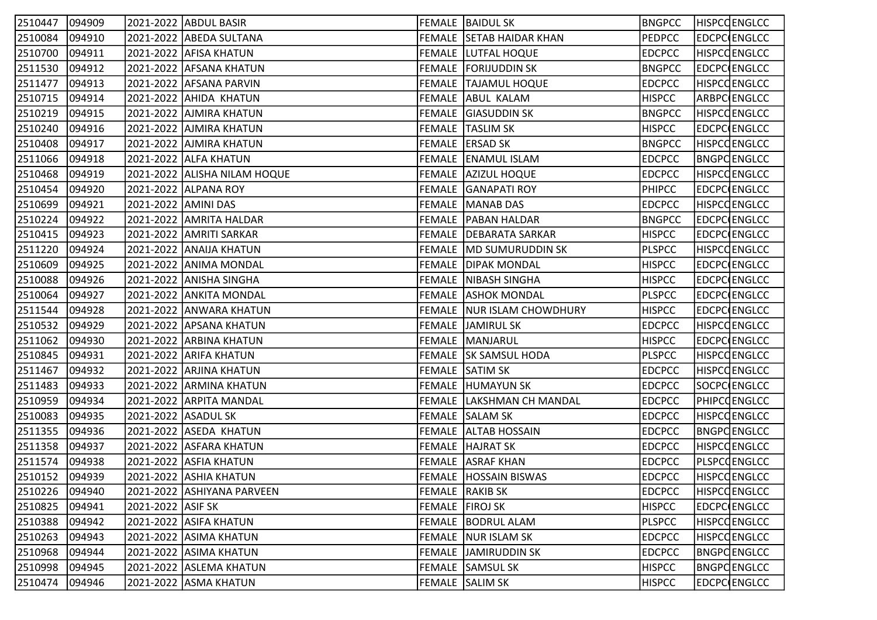| 2510447        | 094909 |                     | 2021-2022  ABDUL BASIR       |                 | <b>FEMALE BAIDUL SK</b>      | <b>BNGPCC</b> | <b>HISPCCENGLCC</b> |
|----------------|--------|---------------------|------------------------------|-----------------|------------------------------|---------------|---------------------|
| 2510084        | 094910 |                     | 2021-2022 ABEDA SULTANA      |                 | FEMALE SETAB HAIDAR KHAN     | <b>PEDPCC</b> | EDCPC ENGLCC        |
| 2510700        | 094911 |                     | 2021-2022 AFISA KHATUN       |                 | <b>FEMALE LUTFAL HOQUE</b>   | <b>EDCPCC</b> | <b>HISPCCENGLCC</b> |
| 2511530        | 094912 |                     | 2021-2022 AFSANA KHATUN      |                 | FEMALE FORIJUDDIN SK         | <b>BNGPCC</b> | EDCPC ENGLCC        |
| 2511477        | 094913 |                     | 2021-2022 AFSANA PARVIN      |                 | <b>FEMALE TAJAMUL HOQUE</b>  | <b>EDCPCC</b> | <b>HISPCCENGLCC</b> |
| 2510715        | 094914 |                     | 2021-2022 AHIDA KHATUN       |                 | FEMALE ABUL KALAM            | <b>HISPCC</b> | ARBPC ENGLCC        |
| 2510219        | 094915 |                     | 2021-2022 AJMIRA KHATUN      |                 | FEMALE GIASUDDIN SK          | <b>BNGPCC</b> | <b>HISPCCENGLCC</b> |
| 2510240        | 094916 |                     | 2021-2022 AJMIRA KHATUN      |                 | <b>FEMALE TASLIM SK</b>      | <b>HISPCC</b> | EDCPC ENGLCC        |
| 2510408        | 094917 |                     | 2021-2022   AJMIRA KHATUN    |                 | FEMALE ERSAD SK              | <b>BNGPCC</b> | <b>HISPCCENGLCC</b> |
| 2511066        | 094918 |                     | 2021-2022 ALFA KHATUN        |                 | <b>FEMALE ENAMUL ISLAM</b>   | <b>EDCPCC</b> | <b>BNGPCENGLCC</b>  |
| 2510468        | 094919 |                     | 2021-2022 ALISHA NILAM HOQUE |                 | <b>FEMALE AZIZUL HOQUE</b>   | <b>EDCPCC</b> | HISPCQENGLCC        |
| 2510454        | 094920 |                     | 2021-2022 ALPANA ROY         |                 | FEMALE GANAPATI ROY          | <b>PHIPCC</b> | EDCPC ENGLCC        |
| 2510699        | 094921 | 2021-2022 AMINI DAS |                              |                 | FEMALE MANAB DAS             | <b>EDCPCC</b> | <b>HISPCCENGLCC</b> |
| 2510224        | 094922 |                     | 2021-2022 AMRITA HALDAR      |                 | <b>FEMALE   PABAN HALDAR</b> | <b>BNGPCC</b> | EDCPC ENGLCC        |
| 2510415        | 094923 |                     | 2021-2022 AMRITI SARKAR      |                 | FEMALE   DEBARATA SARKAR     | <b>HISPCC</b> | EDCPC ENGLCC        |
| 2511220        | 094924 |                     | 2021-2022 ANAIJA KHATUN      |                 | FEMALE MD SUMURUDDIN SK      | <b>PLSPCC</b> | <b>HISPCCENGLCC</b> |
| 2510609        | 094925 |                     | 2021-2022 ANIMA MONDAL       |                 | <b>FEMALE DIPAK MONDAL</b>   | <b>HISPCC</b> | EDCPC ENGLCC        |
| 2510088        | 094926 |                     | 2021-2022 ANISHA SINGHA      |                 | <b>FEMALE NIBASH SINGHA</b>  | <b>HISPCC</b> | EDCPC ENGLCC        |
| 2510064        | 094927 |                     | 2021-2022 ANKITA MONDAL      |                 | <b>FEMALE ASHOK MONDAL</b>   | <b>PLSPCC</b> | EDCPC ENGLCC        |
| 2511544        | 094928 |                     | 2021-2022 ANWARA KHATUN      |                 | FEMALE NUR ISLAM CHOWDHURY   | <b>HISPCC</b> | <b>EDCPC ENGLCC</b> |
| 2510532        | 094929 |                     | 2021-2022 APSANA KHATUN      |                 | FEMALE JAMIRUL SK            | <b>EDCPCC</b> | <b>HISPCCENGLCC</b> |
| 2511062        | 094930 |                     | 2021-2022 ARBINA KHATUN      |                 | FEMALE MANJARUL              | <b>HISPCC</b> | EDCPC ENGLCC        |
| 2510845        | 094931 |                     | 2021-2022 ARIFA KHATUN       |                 | FEMALE   SK SAMSUL HODA      | <b>PLSPCC</b> | <b>HISPCCENGLCC</b> |
| 2511467        | 094932 |                     | 2021-2022 ARJINA KHATUN      |                 | FEMALE SATIM SK              | <b>EDCPCC</b> | HISPCQENGLCC        |
| 2511483        | 094933 |                     | 2021-2022 ARMINA KHATUN      |                 | FEMALE HUMAYUN SK            | <b>EDCPCC</b> | SOCPC ENGLCC        |
| 2510959        | 094934 |                     | 2021-2022 ARPITA MANDAL      |                 | FEMALE   LAKSHMAN CH MANDAL  | <b>EDCPCC</b> | PHIPCOENGLCC        |
| 2510083        | 094935 | 2021-2022 ASADUL SK |                              |                 | FEMALE SALAM SK              | <b>EDCPCC</b> | <b>HISPCCENGLCC</b> |
| 2511355        | 094936 |                     | 2021-2022 ASEDA KHATUN       |                 | <b>FEMALE ALTAB HOSSAIN</b>  | <b>EDCPCC</b> | <b>BNGPCENGLCC</b>  |
| 2511358        | 094937 |                     | 2021-2022 ASFARA KHATUN      |                 | <b>FEMALE HAJRAT SK</b>      | <b>EDCPCC</b> | <b>HISPCCENGLCC</b> |
| 2511574        | 094938 |                     | 2021-2022 ASFIA KHATUN       |                 | FEMALE ASRAF KHAN            | <b>EDCPCC</b> | PLSPCQENGLCC        |
| 2510152 094939 |        |                     | 2021-2022 ASHIA KHATUN       |                 | FEMALE HOSSAIN BISWAS        | <b>EDCPCC</b> | <b>HISPCCENGLCC</b> |
| 2510226        | 094940 |                     | 2021-2022 ASHIYANA PARVEEN   |                 | FEMALE RAKIB SK              | <b>EDCPCC</b> | <b>HISPCCENGLCC</b> |
| 2510825        | 094941 | 2021-2022 ASIF SK   |                              | FEMALE FIROJ SK |                              | <b>HISPCC</b> | <b>EDCPC ENGLCC</b> |
| 2510388        | 094942 |                     | 2021-2022 ASIFA KHATUN       |                 | <b>FEMALE BODRUL ALAM</b>    | <b>PLSPCC</b> | <b>HISPCCENGLCC</b> |
| 2510263        | 094943 |                     | 2021-2022 ASIMA KHATUN       |                 | FEMALE NUR ISLAM SK          | <b>EDCPCC</b> | <b>HISPCCENGLCC</b> |
| 2510968        | 094944 |                     | 2021-2022 ASIMA KHATUN       |                 | FEMALE  JAMIRUDDIN SK        | <b>EDCPCC</b> | <b>BNGPCENGLCC</b>  |
| 2510998        | 094945 |                     | 2021-2022 ASLEMA KHATUN      |                 | <b>FEMALE SAMSUL SK</b>      | <b>HISPCC</b> | <b>BNGPCENGLCC</b>  |
| 2510474        | 094946 |                     | 2021-2022 ASMA KHATUN        |                 | FEMALE SALIM SK              | <b>HISPCC</b> | <b>EDCPC ENGLCC</b> |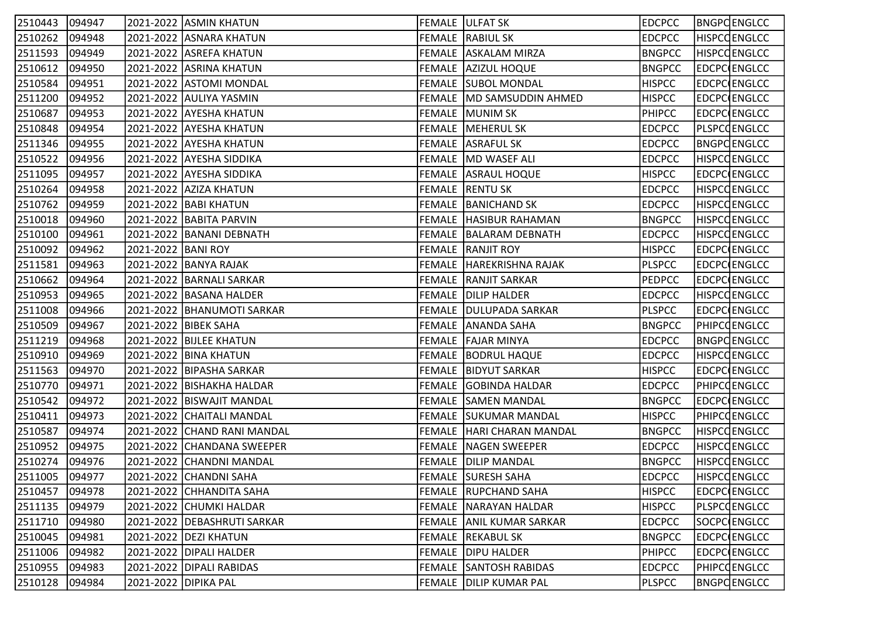| 2510443 | 094947 |                      | 2021-2022 ASMIN KHATUN        | FEMALE JULFAT SK                | <b>EDCPCC</b> | BNGPC ENGLCC        |
|---------|--------|----------------------|-------------------------------|---------------------------------|---------------|---------------------|
| 2510262 | 094948 |                      | 2021-2022 ASNARA KHATUN       | <b>FEMALE RABIUL SK</b>         | <b>EDCPCC</b> | <b>HISPCCENGLCC</b> |
| 2511593 | 094949 |                      | 2021-2022 ASREFA KHATUN       | FEMALE ASKALAM MIRZA            | <b>BNGPCC</b> | <b>HISPCCENGLCC</b> |
| 2510612 | 094950 |                      | 2021-2022 ASRINA KHATUN       | FEMALE AZIZUL HOQUE             | <b>BNGPCC</b> | EDCPC ENGLCC        |
| 2510584 | 094951 |                      | 2021-2022 ASTOMI MONDAL       | <b>FEMALE SUBOL MONDAL</b>      | <b>HISPCC</b> | EDCPC ENGLCC        |
| 2511200 | 094952 |                      | 2021-2022 AULIYA YASMIN       | FEMALE   MD SAMSUDDIN AHMED     | <b>HISPCC</b> | EDCPC ENGLCC        |
| 2510687 | 094953 |                      | 2021-2022 AYESHA KHATUN       | FEMALE MUNIM SK                 | <b>PHIPCC</b> | EDCPC ENGLCC        |
| 2510848 | 094954 |                      | 2021-2022  AYESHA KHATUN      | FEMALE  MEHERUL SK              | <b>EDCPCC</b> | <b>PLSPCCENGLCC</b> |
| 2511346 | 094955 |                      | 2021-2022 AYESHA KHATUN       | <b>FEMALE ASRAFUL SK</b>        | <b>EDCPCC</b> | <b>BNGPCENGLCC</b>  |
| 2510522 | 094956 |                      | 2021-2022 AYESHA SIDDIKA      | FEMALE MD WASEF ALI             | <b>EDCPCC</b> | <b>HISPCCENGLCC</b> |
| 2511095 | 094957 |                      | 2021-2022 AYESHA SIDDIKA      | FEMALE ASRAUL HOQUE             | <b>HISPCC</b> | EDCPC ENGLCC        |
| 2510264 | 094958 |                      | 2021-2022 AZIZA KHATUN        | FEMALE RENTU SK                 | <b>EDCPCC</b> | HISPCQENGLCC        |
| 2510762 | 094959 |                      | 2021-2022   BABI KHATUN       | FEMALE BANICHAND SK             | <b>EDCPCC</b> | <b>HISPCCENGLCC</b> |
| 2510018 | 094960 |                      | 2021-2022 BABITA PARVIN       | <b>FEMALE   HASIBUR RAHAMAN</b> | <b>BNGPCC</b> | <b>HISPCCENGLCC</b> |
| 2510100 | 094961 |                      | 2021-2022   BANANI DEBNATH    | FEMALE BALARAM DEBNATH          | <b>EDCPCC</b> | <b>HISPCCENGLCC</b> |
| 2510092 | 094962 | 2021-2022 BANI ROY   |                               | <b>FEMALE RANJIT ROY</b>        | <b>HISPCC</b> | EDCPC ENGLCC        |
| 2511581 | 094963 |                      | 2021-2022 BANYA RAJAK         | FEMALE HAREKRISHNA RAJAK        | <b>PLSPCC</b> | EDCPC ENGLCC        |
| 2510662 | 094964 |                      | 2021-2022   BARNALI SARKAR    | <b>FEMALE   RANJIT SARKAR</b>   | <b>PEDPCC</b> | EDCPC ENGLCC        |
| 2510953 | 094965 |                      | 2021-2022 BASANA HALDER       | <b>FEMALE DILIP HALDER</b>      | <b>EDCPCC</b> | <b>HISPCCENGLCC</b> |
| 2511008 | 094966 |                      | 2021-2022   BHANUMOTI SARKAR  | FEMALE   DULUPADA SARKAR        | <b>PLSPCC</b> | EDCPC ENGLCC        |
| 2510509 | 094967 |                      | 2021-2022 BIBEK SAHA          | FEMALE ANANDA SAHA              | <b>BNGPCC</b> | <b>PHIPCOENGLCC</b> |
| 2511219 | 094968 |                      | 2021-2022 BIJLEE KHATUN       | FEMALE FAJAR MINYA              | <b>EDCPCC</b> | <b>BNGPCENGLCC</b>  |
| 2510910 | 094969 |                      | 2021-2022 BINA KHATUN         | <b>FEMALE BODRUL HAQUE</b>      | <b>EDCPCC</b> | <b>HISPCCENGLCC</b> |
| 2511563 | 094970 |                      | 2021-2022   BIPASHA SARKAR    | <b>FEMALE   BIDYUT SARKAR</b>   | <b>HISPCC</b> | EDCPC ENGLCC        |
| 2510770 | 094971 |                      | 2021-2022   BISHAKHA HALDAR   | FEMALE GOBINDA HALDAR           | <b>EDCPCC</b> | <b>PHIPCOENGLCC</b> |
| 2510542 | 094972 |                      | 2021-2022 BISWAJIT MANDAL     | FEMALE SAMEN MANDAL             | <b>BNGPCC</b> | EDCPC ENGLCC        |
| 2510411 | 094973 |                      | 2021-2022 CHAITALI MANDAL     | <b>FEMALE SUKUMAR MANDAL</b>    | <b>HISPCC</b> | PHIPCOENGLCC        |
| 2510587 | 094974 |                      | 2021-2022 CHAND RANI MANDAL   | FEMALE   HARI CHARAN MANDAL     | <b>BNGPCC</b> | <b>HISPCCENGLCC</b> |
| 2510952 | 094975 |                      | 2021-2022 CHANDANA SWEEPER    | <b>FEMALE NAGEN SWEEPER</b>     | <b>EDCPCC</b> | HISPCQENGLCC        |
| 2510274 | 094976 |                      | 2021-2022 CHANDNI MANDAL      | <b>FEMALE DILIP MANDAL</b>      | <b>BNGPCC</b> | <b>HISPCCENGLCC</b> |
| 2511005 | 094977 |                      | 2021-2022 CHANDNI SAHA        | FEMALE SURESH SAHA              | <b>EDCPCC</b> | <b>HISPCCENGLCC</b> |
| 2510457 | 094978 |                      | 2021-2022 CHHANDITA SAHA      | FEMALE RUPCHAND SAHA            | <b>HISPCC</b> | <b>EDCPC ENGLCC</b> |
| 2511135 | 094979 |                      | 2021-2022 CHUMKI HALDAR       | FEMALE NARAYAN HALDAR           | <b>HISPCC</b> | <b>PLSPCCENGLCC</b> |
| 2511710 | 094980 |                      | 2021-2022   DEBASHRUTI SARKAR | FEMALE ANIL KUMAR SARKAR        | <b>EDCPCC</b> | SOCPC ENGLCC        |
| 2510045 | 094981 |                      | 2021-2022   DEZI KHATUN       | FEMALE REKABUL SK               | <b>BNGPCC</b> | EDCPC ENGLCC        |
| 2511006 | 094982 |                      | 2021-2022   DIPALI HALDER     | <b>FEMALE DIPU HALDER</b>       | <b>PHIPCC</b> | EDCPC ENGLCC        |
| 2510955 | 094983 |                      | 2021-2022   DIPALI RABIDAS    | <b>FEMALE SANTOSH RABIDAS</b>   | <b>EDCPCC</b> | <b>PHIPCOENGLCC</b> |
| 2510128 | 094984 | 2021-2022 DIPIKA PAL |                               | FEMALE DILIP KUMAR PAL          | <b>PLSPCC</b> | <b>BNGPCENGLCC</b>  |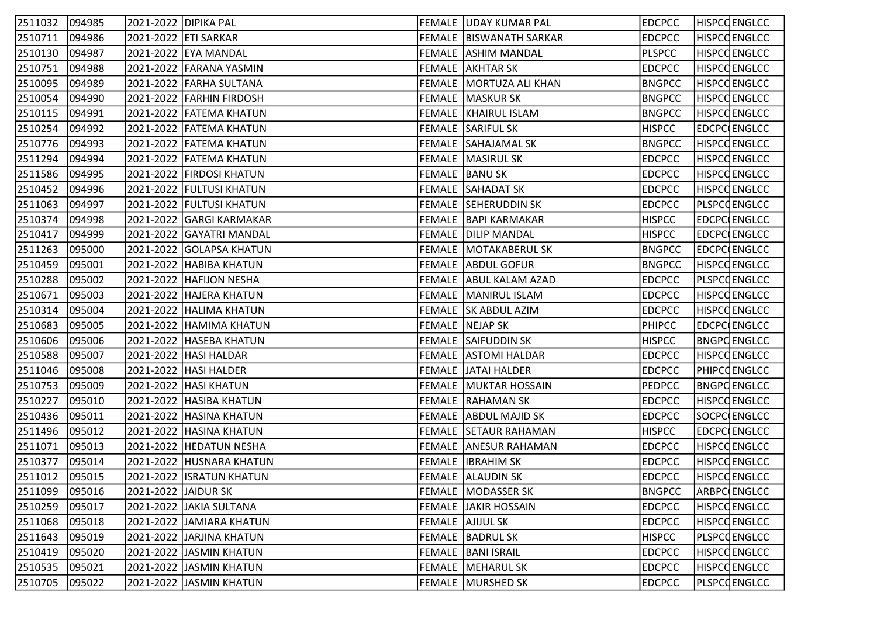| 2511032        | 094985 | 2021-2022  DIPIKA PAL |                            | <b>FEMALE UDAY KUMAR PAL</b> | <b>EDCPCC</b> | <b>HISPCCENGLCC</b> |
|----------------|--------|-----------------------|----------------------------|------------------------------|---------------|---------------------|
| 2510711        | 094986 |                       | 2021-2022 ETI SARKAR       | FEMALE   BISWANATH SARKAR    | <b>EDCPCC</b> | <b>HISPCCENGLCC</b> |
| 2510130        | 094987 |                       | 2021-2022 EYA MANDAL       | <b>FEMALE ASHIM MANDAL</b>   | <b>PLSPCC</b> | <b>HISPCCENGLCC</b> |
| 2510751        | 094988 |                       | 2021-2022 FARANA YASMIN    | <b>FEMALE AKHTAR SK</b>      | <b>EDCPCC</b> | <b>HISPCCENGLCC</b> |
| 2510095        | 094989 |                       | 2021-2022 FARHA SULTANA    | FEMALE MORTUZA ALI KHAN      | <b>BNGPCC</b> | <b>HISPCCENGLCC</b> |
| 2510054        | 094990 |                       | 2021-2022 FARHIN FIRDOSH   | FEMALE   MASKUR SK           | <b>BNGPCC</b> | <b>HISPCCENGLCC</b> |
| 2510115        | 094991 |                       | 2021-2022 FATEMA KHATUN    | FEMALE   KHAIRUL ISLAM       | <b>BNGPCC</b> | <b>HISPCCENGLCC</b> |
| 2510254        | 094992 |                       | 2021-2022 FATEMA KHATUN    | FEMALE SARIFUL SK            | <b>HISPCC</b> | EDCPC ENGLCC        |
| 2510776        | 094993 |                       | 2021-2022 FATEMA KHATUN    | <b>FEMALE SAHAJAMAL SK</b>   | <b>BNGPCC</b> | <b>HISPCCENGLCC</b> |
| 2511294        | 094994 |                       | 2021-2022 FATEMA KHATUN    | <b>FEMALE MASIRUL SK</b>     | <b>EDCPCC</b> | <b>HISPCQENGLCC</b> |
| 2511586        | 094995 |                       | 2021-2022   FIRDOSI KHATUN | FEMALE BANU SK               | <b>EDCPCC</b> | <b>HISPCCENGLCC</b> |
| 2510452        | 094996 |                       | 2021-2022 FULTUSI KHATUN   | FEMALE SAHADAT SK            | <b>EDCPCC</b> | HISPCQENGLCC        |
| 2511063        | 094997 |                       | 2021-2022 FULTUSI KHATUN   | FEMALE SEHERUDDIN SK         | <b>EDCPCC</b> | <b>PLSPCCENGLCC</b> |
| 2510374        | 094998 |                       | 2021-2022 GARGI KARMAKAR   | FEMALE   BAPI KARMAKAR       | <b>HISPCC</b> | EDCPC ENGLCC        |
| 2510417        | 094999 |                       | 2021-2022 GAYATRI MANDAL   | <b>FEMALE DILIP MANDAL</b>   | <b>HISPCC</b> | EDCPC ENGLCC        |
| 2511263        | 095000 |                       | 2021-2022 GOLAPSA KHATUN   | FEMALE MOTAKABERUL SK        | <b>BNGPCC</b> | EDCPC ENGLCC        |
| 2510459        | 095001 |                       | 2021-2022 HABIBA KHATUN    | <b>FEMALE ABDUL GOFUR</b>    | <b>BNGPCC</b> | HISPCQENGLCC        |
| 2510288        | 095002 |                       | 2021-2022 HAFIJON NESHA    | FEMALE ABUL KALAM AZAD       | <b>EDCPCC</b> | PLSPCOENGLCC        |
| 2510671        | 095003 |                       | 2021-2022 HAJERA KHATUN    | FEMALE   MANIRUL ISLAM       | <b>EDCPCC</b> | <b>HISPCCENGLCC</b> |
| 2510314        | 095004 |                       | 2021-2022 HALIMA KHATUN    | FEMALE SK ABDUL AZIM         | <b>EDCPCC</b> | <b>HISPCCENGLCC</b> |
| 2510683        | 095005 |                       | 2021-2022 HAMIMA KHATUN    | FEMALE NEJAP SK              | PHIPCC        | EDCPC ENGLCC        |
| 2510606        | 095006 |                       | 2021-2022   HASEBA KHATUN  | <b>FEMALE SAIFUDDIN SK</b>   | <b>HISPCC</b> | <b>BNGPCENGLCC</b>  |
| 2510588        | 095007 |                       | 2021-2022   HASI HALDAR    | <b>FEMALE ASTOMI HALDAR</b>  | <b>EDCPCC</b> | <b>HISPCCENGLCC</b> |
| 2511046        | 095008 |                       | 2021-2022   HASI HALDER    | <b>FEMALE JATAI HALDER</b>   | <b>EDCPCC</b> | PHIPCQENGLCC        |
| 2510753        | 095009 |                       | 2021-2022  HASI KHATUN     | FEMALE   MUKTAR HOSSAIN      | <b>PEDPCC</b> | <b>BNGPCENGLCC</b>  |
| 2510227        | 095010 |                       | 2021-2022 HASIBA KHATUN    | <b>FEMALE RAHAMAN SK</b>     | <b>EDCPCC</b> | <b>HISPCCENGLCC</b> |
| 2510436        | 095011 |                       | 2021-2022  HASINA KHATUN   | FEMALE ABDUL MAJID SK        | <b>EDCPCC</b> | SOCPC ENGLCC        |
| 2511496        | 095012 |                       | 2021-2022 HASINA KHATUN    | FEMALE SETAUR RAHAMAN        | <b>HISPCC</b> | EDCPC ENGLCC        |
| 2511071        | 095013 |                       | 2021-2022 HEDATUN NESHA    | <b>FEMALE ANESUR RAHAMAN</b> | <b>EDCPCC</b> | HISPCQENGLCC        |
| 2510377        | 095014 |                       | 2021-2022  HUSNARA KHATUN  | FEMALE  IBRAHIM SK           | <b>EDCPCC</b> | <b>HISPCCENGLCC</b> |
| 2511012 095015 |        |                       | 2021-2022 ISRATUN KHATUN   | <b>FEMALE ALAUDIN SK</b>     | <b>EDCPCC</b> | <b>HISPCCENGLCC</b> |
| 2511099        | 095016 | 2021-2022 JAIDUR SK   |                            | FEMALE MODASSER SK           | <b>BNGPCC</b> | ARBPC ENGLCC        |
| 2510259        | 095017 |                       | 2021-2022 JAKIA SULTANA    | <b>FEMALE JAKIR HOSSAIN</b>  | <b>EDCPCC</b> | <b>HISPCCENGLCC</b> |
| 2511068        | 095018 |                       | 2021-2022 JAMIARA KHATUN   | <b>FEMALE AJIJUL SK</b>      | <b>EDCPCC</b> | <b>HISPCCENGLCC</b> |
| 2511643        | 095019 |                       | 2021-2022 JARJINA KHATUN   | <b>FEMALE BADRUL SK</b>      | <b>HISPCC</b> | PLSPCCENGLCC        |
| 2510419        | 095020 |                       | 2021-2022 JJASMIN KHATUN   | <b>FEMALE   BANI ISRAIL</b>  | <b>EDCPCC</b> | <b>HISPCCENGLCC</b> |
| 2510535        | 095021 |                       | 2021-2022 JJASMIN KHATUN   | <b>FEMALE MEHARUL SK</b>     | <b>EDCPCC</b> | <b>HISPCCENGLCC</b> |
| 2510705        | 095022 |                       | 2021-2022 JASMIN KHATUN    | FEMALE MURSHED SK            | <b>EDCPCC</b> | PLSPCQENGLCC        |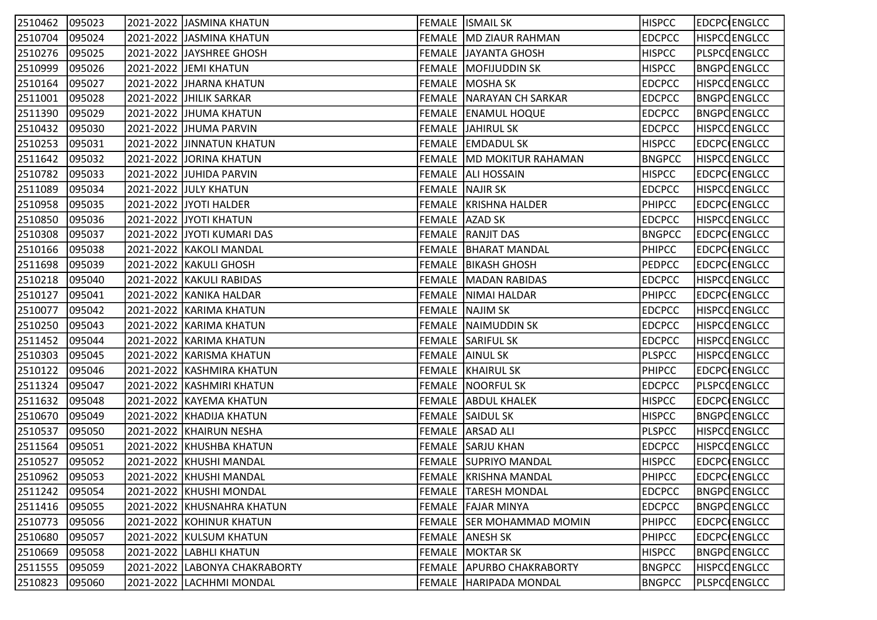| 2510462        | 095023 | 2021-2022 JJASMINA KHATUN     | <b>FEMALE ISMAIL SK</b>          | <b>HISPCC</b> | EDCPC ENGLCC        |
|----------------|--------|-------------------------------|----------------------------------|---------------|---------------------|
| 2510704        | 095024 | 2021-2022 JASMINA KHATUN      | FEMALE   MD ZIAUR RAHMAN         | <b>EDCPCC</b> | <b>HISPCCENGLCC</b> |
| 2510276        | 095025 | 2021-2022 JJAYSHREE GHOSH     | FEMALE JJAYANTA GHOSH            | <b>HISPCC</b> | <b>PLSPCCENGLCC</b> |
| 2510999        | 095026 | 2021-2022 JEMI KHATUN         | FEMALE   MOFIJUDDIN SK           | <b>HISPCC</b> | <b>BNGPCENGLCC</b>  |
| 2510164        | 095027 | 2021-2022 JHARNA KHATUN       | FEMALE  MOSHA SK                 | <b>EDCPCC</b> | <b>HISPCCENGLCC</b> |
| 2511001        | 095028 | 2021-2022 JHILIK SARKAR       | FEMALE NARAYAN CH SARKAR         | <b>EDCPCC</b> | <b>BNGPCENGLCC</b>  |
| 2511390        | 095029 | 2021-2022 JJHUMA KHATUN       | FEMALE ENAMUL HOQUE              | <b>EDCPCC</b> | <b>BNGPCENGLCC</b>  |
| 2510432        | 095030 | 2021-2022 JHUMA PARVIN        | <b>FEMALE JAHIRUL SK</b>         | <b>EDCPCC</b> | <b>HISPCCENGLCC</b> |
| 2510253        | 095031 | 2021-2022 JINNATUN KHATUN     | FEMALE EMDADUL SK                | <b>HISPCC</b> | EDCPC ENGLCC        |
| 2511642        | 095032 | 2021-2022 JORINA KHATUN       | <b>FEMALE MD MOKITUR RAHAMAN</b> | <b>BNGPCC</b> | <b>HISPCCENGLCC</b> |
| 2510782        | 095033 | 2021-2022 JJUHIDA PARVIN      | FEMALE ALI HOSSAIN               | <b>HISPCC</b> | EDCPC ENGLCC        |
| 2511089        | 095034 | 2021-2022 JJULY KHATUN        | FEMALE NAJIR SK                  | <b>EDCPCC</b> | <b>HISPCCENGLCC</b> |
| 2510958        | 095035 | 2021-2022 JJYOTI HALDER       | FEMALE KRISHNA HALDER            | <b>PHIPCC</b> | EDCPC ENGLCC        |
| 2510850        | 095036 | 2021-2022 JYOTI KHATUN        | FEMALE AZAD SK                   | <b>EDCPCC</b> | <b>HISPCCENGLCC</b> |
| 2510308        | 095037 | 2021-2022 JYOTI KUMARI DAS    | <b>FEMALE RANJIT DAS</b>         | <b>BNGPCC</b> | EDCPC ENGLCC        |
| 2510166        | 095038 | 2021-2022 KAKOLI MANDAL       | <b>FEMALE   BHARAT MANDAL</b>    | <b>PHIPCC</b> | EDCPC ENGLCC        |
| 2511698        | 095039 | 2021-2022 KAKULI GHOSH        | <b>FEMALE BIKASH GHOSH</b>       | <b>PEDPCC</b> | EDCPC ENGLCC        |
| 2510218        | 095040 | 2021-2022   KAKULI RABIDAS    | <b>FEMALE   MADAN RABIDAS</b>    | <b>EDCPCC</b> | <b>HISPCCENGLCC</b> |
| 2510127        | 095041 | 2021-2022 KANIKA HALDAR       | FEMALE NIMAI HALDAR              | <b>PHIPCC</b> | EDCPC ENGLCC        |
| 2510077        | 095042 | 2021-2022 KARIMA KHATUN       | FEMALE NAJIM SK                  | <b>EDCPCC</b> | <b>HISPCCENGLCC</b> |
| 2510250        | 095043 | 2021-2022 KARIMA KHATUN       | FEMALE NAIMUDDIN SK              | <b>EDCPCC</b> | <b>HISPCCENGLCC</b> |
| 2511452        | 095044 | 2021-2022 KARIMA KHATUN       | <b>FEMALE SARIFUL SK</b>         | <b>EDCPCC</b> | <b>HISPCCENGLCC</b> |
| 2510303        | 095045 | 2021-2022 KARISMA KHATUN      | FEMALE AINUL SK                  | <b>PLSPCC</b> | <b>HISPCCENGLCC</b> |
| 2510122        | 095046 | 2021-2022 KASHMIRA KHATUN     | FEMALE KHAIRUL SK                | <b>PHIPCC</b> | EDCPC ENGLCC        |
| 2511324        | 095047 | 2021-2022   KASHMIRI KHATUN   | <b>FEMALE NOORFUL SK</b>         | <b>EDCPCC</b> | PLSPCQENGLCC        |
| 2511632        | 095048 | 2021-2022 KAYEMA KHATUN       | <b>FEMALE ABDUL KHALEK</b>       | <b>HISPCC</b> | EDCPC ENGLCC        |
| 2510670        | 095049 | 2021-2022 KHADIJA KHATUN      | FEMALE SAIDUL SK                 | <b>HISPCC</b> | <b>BNGPCENGLCC</b>  |
| 2510537        | 095050 | 2021-2022 KHAIRUN NESHA       | FEMALE ARSAD ALI                 | <b>PLSPCC</b> | <b>HISPCCENGLCC</b> |
| 2511564        | 095051 | 2021-2022 KHUSHBA KHATUN      | <b>FEMALE SARJU KHAN</b>         | <b>EDCPCC</b> | <b>HISPCCENGLCC</b> |
| 2510527        | 095052 | 2021-2022 KHUSHI MANDAL       | <b>FEMALE SUPRIYO MANDAL</b>     | <b>HISPCC</b> | EDCPC ENGLCC        |
| 2510962 095053 |        | 2021-2022 KHUSHI MANDAL       | FEMALE   KRISHNA MANDAL          | <b>PHIPCC</b> | <b>EDCPC ENGLCC</b> |
| 2511242        | 095054 | 2021-2022 KHUSHI MONDAL       | <b>FEMALE TARESH MONDAL</b>      | <b>EDCPCC</b> | <b>BNGPCENGLCC</b>  |
| 2511416        | 095055 | 2021-2022 KHUSNAHRA KHATUN    | FEMALE FAJAR MINYA               | <b>EDCPCC</b> | <b>BNGPCENGLCC</b>  |
| 2510773        | 095056 | 2021-2022 KOHINUR KHATUN      | FEMALE SER MOHAMMAD MOMIN        | <b>PHIPCC</b> | <b>EDCPC ENGLCC</b> |
| 2510680        | 095057 | 2021-2022 KULSUM KHATUN       | <b>FEMALE ANESH SK</b>           | <b>PHIPCC</b> | EDCPC ENGLCC        |
| 2510669        | 095058 | 2021-2022 LABHLI KHATUN       | <b>FEMALE MOKTAR SK</b>          | <b>HISPCC</b> | <b>BNGPCENGLCC</b>  |
| 2511555        | 095059 | 2021-2022 LABONYA CHAKRABORTY | <b>FEMALE APURBO CHAKRABORTY</b> | <b>BNGPCC</b> | <b>HISPCCENGLCC</b> |
| 2510823        | 095060 | 2021-2022 LACHHMI MONDAL      | FEMALE   HARIPADA MONDAL         | <b>BNGPCC</b> | PLSPCQENGLCC        |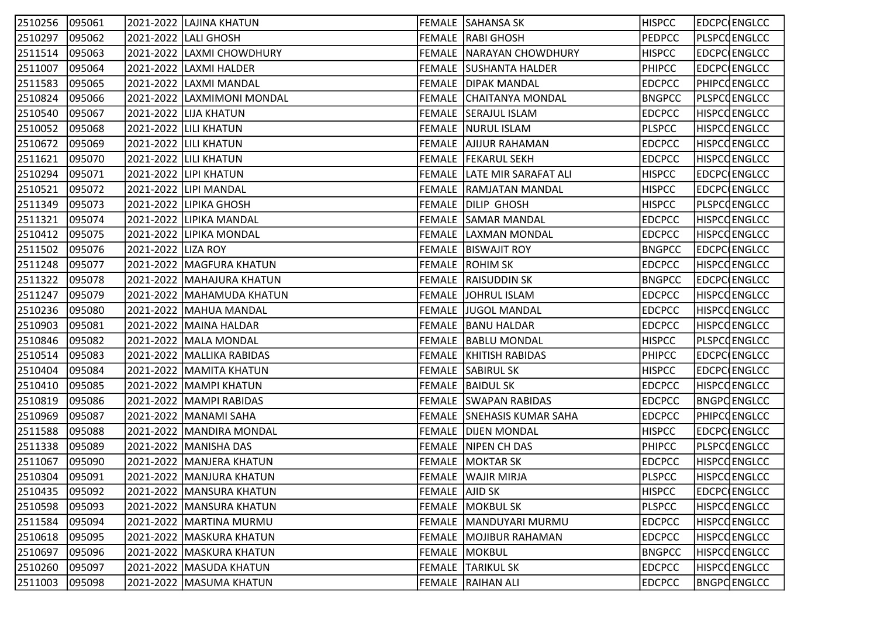| 2510256 | 095061 |                    | 2021-2022  LAJINA KHATUN    |                | FEMALE SAHANSA SK               | <b>HISPCC</b> | EDCPC ENGLCC        |
|---------|--------|--------------------|-----------------------------|----------------|---------------------------------|---------------|---------------------|
| 2510297 | 095062 |                    | 2021-2022 LALI GHOSH        |                | <b>FEMALE RABI GHOSH</b>        | <b>PEDPCC</b> | PLSPCCENGLCC        |
| 2511514 | 095063 |                    | 2021-2022 LAXMI CHOWDHURY   |                | <b>FEMALE NARAYAN CHOWDHURY</b> | <b>HISPCC</b> | EDCPC ENGLCC        |
| 2511007 | 095064 |                    | 2021-2022 LAXMI HALDER      |                | <b>FEMALE SUSHANTA HALDER</b>   | <b>PHIPCC</b> | EDCPC ENGLCC        |
| 2511583 | 095065 |                    | 2021-2022 LAXMI MANDAL      |                | <b>FEMALE DIPAK MANDAL</b>      | <b>EDCPCC</b> | PHIPCQENGLCC        |
| 2510824 | 095066 |                    | 2021-2022 LAXMIMONI MONDAL  |                | <b>FEMALE CHAITANYA MONDAL</b>  | <b>BNGPCC</b> | <b>PLSPCCENGLCC</b> |
| 2510540 | 095067 |                    | 2021-2022 LIJA KHATUN       |                | <b>FEMALE SERAJUL ISLAM</b>     | <b>EDCPCC</b> | <b>HISPCCENGLCC</b> |
| 2510052 | 095068 |                    | 2021-2022 LILI KHATUN       |                | FEMALE   NURUL ISLAM            | <b>PLSPCC</b> | <b>HISPCCENGLCC</b> |
| 2510672 | 095069 |                    | 2021-2022 LILI KHATUN       |                | <b>FEMALE AJIJUR RAHAMAN</b>    | <b>EDCPCC</b> | <b>HISPCCENGLCC</b> |
| 2511621 | 095070 |                    | 2021-2022 LILI KHATUN       |                | <b>FEMALE   FEKARUL SEKH</b>    | <b>EDCPCC</b> | <b>HISPCCENGLCC</b> |
| 2510294 | 095071 |                    | 2021-2022 LIPI KHATUN       |                | FEMALE LATE MIR SARAFAT ALI     | <b>HISPCC</b> | EDCPC ENGLCC        |
| 2510521 | 095072 |                    | 2021-2022 LIPI MANDAL       |                | FEMALE RAMJATAN MANDAL          | <b>HISPCC</b> | EDCPC ENGLCC        |
| 2511349 | 095073 |                    | 2021-2022 LIPIKA GHOSH      |                | FEMALE DILIP GHOSH              | <b>HISPCC</b> | <b>PLSPCCENGLCC</b> |
| 2511321 | 095074 |                    | 2021-2022 LIPIKA MANDAL     |                | <b>FEMALE SAMAR MANDAL</b>      | <b>EDCPCC</b> | <b>HISPCCENGLCC</b> |
| 2510412 | 095075 |                    | 2021-2022 LIPIKA MONDAL     |                | FEMALE LAXMAN MONDAL            | <b>EDCPCC</b> | <b>HISPCCENGLCC</b> |
| 2511502 | 095076 | 2021-2022 LIZA ROY |                             |                | <b>FEMALE   BISWAJIT ROY</b>    | <b>BNGPCC</b> | EDCPC ENGLCC        |
| 2511248 | 095077 |                    | 2021-2022   MAGFURA KHATUN  |                | <b>FEMALE ROHIM SK</b>          | <b>EDCPCC</b> | <b>HISPCCENGLCC</b> |
| 2511322 | 095078 |                    | 2021-2022  MAHAJURA KHATUN  |                | FEMALE RAISUDDIN SK             | <b>BNGPCC</b> | EDCPC ENGLCC        |
| 2511247 | 095079 |                    | 2021-2022   MAHAMUDA KHATUN |                | FEMALE JOHRUL ISLAM             | <b>EDCPCC</b> | <b>HISPCCENGLCC</b> |
| 2510236 | 095080 |                    | 2021-2022  MAHUA MANDAL     |                | FEMALE JUGOL MANDAL             | <b>EDCPCC</b> | <b>HISPCCENGLCC</b> |
| 2510903 | 095081 |                    | 2021-2022 MAINA HALDAR      |                | <b>FEMALE BANU HALDAR</b>       | <b>EDCPCC</b> | <b>HISPCCENGLCC</b> |
| 2510846 | 095082 |                    | 2021-2022   MALA MONDAL     |                | <b>FEMALE BABLU MONDAL</b>      | <b>HISPCC</b> | PLSPCQENGLCC        |
| 2510514 | 095083 |                    | 2021-2022   MALLIKA RABIDAS |                | <b>FEMALE   KHITISH RABIDAS</b> | <b>PHIPCC</b> | EDCPC ENGLCC        |
| 2510404 | 095084 |                    | 2021-2022   MAMITA KHATUN   |                | <b>FEMALE SABIRUL SK</b>        | <b>HISPCC</b> | EDCPC ENGLCC        |
| 2510410 | 095085 |                    | 2021-2022  MAMPI KHATUN     |                | FEMALE BAIDUL SK                | <b>EDCPCC</b> | <b>HISPCCENGLCC</b> |
| 2510819 | 095086 |                    | 2021-2022   MAMPI RABIDAS   |                | FEMALE SWAPAN RABIDAS           | <b>EDCPCC</b> | <b>BNGPCENGLCC</b>  |
| 2510969 | 095087 |                    | 2021-2022  MANAMI SAHA      |                | FEMALE SNEHASIS KUMAR SAHA      | <b>EDCPCC</b> | <b>PHIPCOENGLCC</b> |
| 2511588 | 095088 |                    | 2021-2022 MANDIRA MONDAL    |                | <b>FEMALE DIJEN MONDAL</b>      | <b>HISPCC</b> | EDCPC ENGLCC        |
| 2511338 | 095089 |                    | 2021-2022 MANISHA DAS       |                | <b>FEMALE NIPEN CH DAS</b>      | <b>PHIPCC</b> | PLSPCQENGLCC        |
| 2511067 | 095090 |                    | 2021-2022   MANJERA KHATUN  |                | <b>FEMALE MOKTAR SK</b>         | <b>EDCPCC</b> | <b>HISPCCENGLCC</b> |
| 2510304 | 095091 |                    | 2021-2022 MANJURA KHATUN    |                | <b>FEMALE WAJIR MIRJA</b>       | <b>PLSPCC</b> | <b>HISPCCENGLCC</b> |
| 2510435 | 095092 |                    | 2021-2022   MANSURA KHATUN  | FEMALE AJID SK |                                 | <b>HISPCC</b> | <b>EDCPC</b> ENGLCC |
| 2510598 | 095093 |                    | 2021-2022   MANSURA KHATUN  |                | <b>FEMALE MOKBUL SK</b>         | <b>PLSPCC</b> | <b>HISPCCENGLCC</b> |
| 2511584 | 095094 |                    | 2021-2022   MARTINA MURMU   |                | FEMALE   MANDUYARI MURMU        | <b>EDCPCC</b> | <b>HISPCCENGLCC</b> |
| 2510618 | 095095 |                    | 2021-2022   MASKURA KHATUN  |                | FEMALE MOJIBUR RAHAMAN          | <b>EDCPCC</b> | <b>HISPCCENGLCC</b> |
| 2510697 | 095096 |                    | 2021-2022   MASKURA KHATUN  |                | <b>FEMALE MOKBUL</b>            | <b>BNGPCC</b> | <b>HISPCCENGLCC</b> |
| 2510260 | 095097 |                    | 2021-2022   MASUDA KHATUN   |                | <b>FEMALE TARIKUL SK</b>        | <b>EDCPCC</b> | <b>HISPCCENGLCC</b> |
| 2511003 | 095098 |                    | 2021-2022 MASUMA KHATUN     |                | FEMALE RAIHAN ALI               | <b>EDCPCC</b> | <b>BNGPCENGLCC</b>  |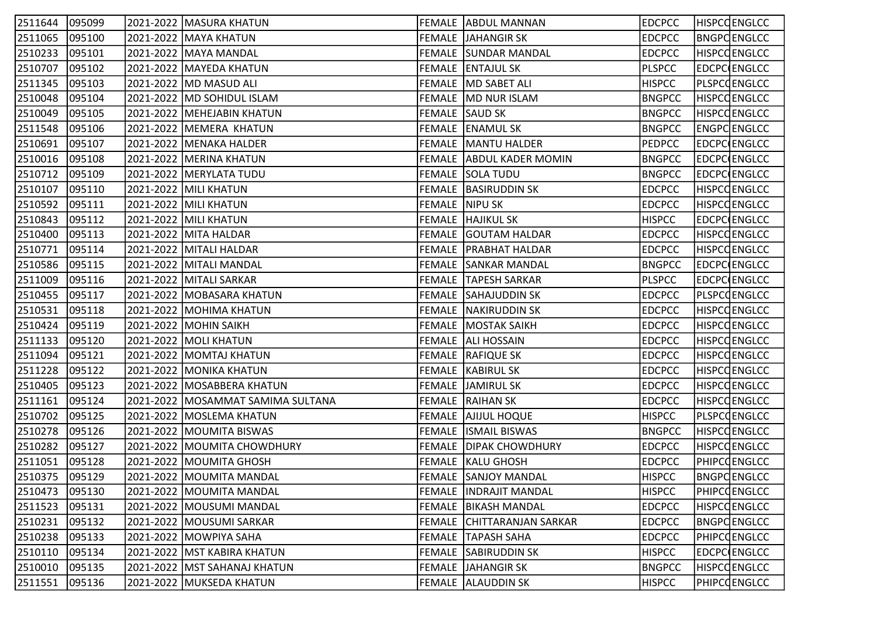| 2511644        | 095099 | 2021-2022   MASURA KHATUN           |                | FEMALE ABDUL MANNAN             | <b>EDCPCC</b> | <b>HISPCCENGLCC</b> |
|----------------|--------|-------------------------------------|----------------|---------------------------------|---------------|---------------------|
| 2511065        | 095100 | 2021-2022 MAYA KHATUN               |                | <b>FEMALE JAHANGIR SK</b>       | <b>EDCPCC</b> | <b>BNGPCENGLCC</b>  |
| 2510233        | 095101 | 2021-2022   MAYA MANDAL             |                | <b>FEMALE SUNDAR MANDAL</b>     | <b>EDCPCC</b> | <b>HISPCCENGLCC</b> |
| 2510707        | 095102 | 2021-2022   MAYEDA KHATUN           |                | <b>FEMALE ENTAJUL SK</b>        | <b>PLSPCC</b> | EDCPC ENGLCC        |
| 2511345        | 095103 | 2021-2022   MD MASUD ALI            |                | FEMALE  MD SABET ALI            | <b>HISPCC</b> | PLSPCQENGLCC        |
| 2510048        | 095104 | 2021-2022   MD SOHIDUL ISLAM        |                | FEMALE   MD NUR ISLAM           | <b>BNGPCC</b> | <b>HISPCCENGLCC</b> |
| 2510049        | 095105 | 2021-2022   MEHEJABIN KHATUN        |                | FEMALE SAUD SK                  | <b>BNGPCC</b> | <b>HISPCCENGLCC</b> |
| 2511548        | 095106 | 2021-2022   MEMERA KHATUN           |                | FEMALE ENAMUL SK                | <b>BNGPCC</b> | ENGPC ENGLCC        |
| 2510691        | 095107 | 2021-2022 MENAKA HALDER             |                | <b>FEMALE MANTU HALDER</b>      | <b>PEDPCC</b> | <b>EDCPC ENGLCC</b> |
| 2510016        | 095108 | 2021-2022   MERINA KHATUN           |                | FEMALE ABDUL KADER MOMIN        | <b>BNGPCC</b> | EDCPC ENGLCC        |
| 2510712        | 095109 | 2021-2022   MERYLATA TUDU           |                | <b>FEMALE SOLA TUDU</b>         | <b>BNGPCC</b> | EDCPC ENGLCC        |
| 2510107        | 095110 | 2021-2022 MILI KHATUN               |                | FEMALE BASIRUDDIN SK            | <b>EDCPCC</b> | HISPCCENGLCC        |
| 2510592        | 095111 | 2021-2022 MILI KHATUN               | FEMALE NIPU SK |                                 | <b>EDCPCC</b> | <b>HISPCCENGLCC</b> |
| 2510843        | 095112 | 2021-2022 MILI KHATUN               |                | <b>FEMALE HAJIKUL SK</b>        | <b>HISPCC</b> | EDCPC ENGLCC        |
| 2510400        | 095113 | 2021-2022 MITA HALDAR               |                | <b>FEMALE GOUTAM HALDAR</b>     | <b>EDCPCC</b> | <b>HISPCCENGLCC</b> |
| 2510771        | 095114 | 2021-2022   MITALI HALDAR           |                | <b>FEMALE PRABHAT HALDAR</b>    | <b>EDCPCC</b> | <b>HISPCCENGLCC</b> |
| 2510586        | 095115 | 2021-2022   MITALI MANDAL           |                | <b>FEMALE SANKAR MANDAL</b>     | <b>BNGPCC</b> | EDCPC ENGLCC        |
| 2511009        | 095116 | 2021-2022   MITALI SARKAR           |                | FEMALE TAPESH SARKAR            | <b>PLSPCC</b> | EDCPC ENGLCC        |
| 2510455        | 095117 | 2021-2022   MOBASARA KHATUN         |                | FEMALE SAHAJUDDIN SK            | <b>EDCPCC</b> | PLSPCCENGLCC        |
| 2510531        | 095118 | 2021-2022  MOHIMA KHATUN            |                | FEMALE NAKIRUDDIN SK            | <b>EDCPCC</b> | <b>HISPCCENGLCC</b> |
| 2510424        | 095119 | 2021-2022 MOHIN SAIKH               |                | <b>FEMALE   MOSTAK SAIKH</b>    | <b>EDCPCC</b> | <b>HISPCCENGLCC</b> |
| 2511133        | 095120 | 2021-2022   MOLI KHATUN             |                | <b>FEMALE   ALI HOSSAIN</b>     | <b>EDCPCC</b> | <b>HISPCCENGLCC</b> |
| 2511094        | 095121 | 2021-2022   MOMTAJ KHATUN           |                | <b>FEMALE RAFIQUE SK</b>        | <b>EDCPCC</b> | <b>HISPCCENGLCC</b> |
| 2511228        | 095122 | 2021-2022 MONIKA KHATUN             |                | <b>FEMALE   KABIRUL SK</b>      | <b>EDCPCC</b> | HISPCQENGLCC        |
| 2510405        | 095123 | 2021-2022  MOSABBERA KHATUN         |                | FEMALE JAMIRUL SK               | <b>EDCPCC</b> | <b>HISPCCENGLCC</b> |
| 2511161        | 095124 | 2021-2022   MOSAMMAT SAMIMA SULTANA |                | FEMALE RAIHAN SK                | <b>EDCPCC</b> | <b>HISPCCENGLCC</b> |
| 2510702        | 095125 | 2021-2022  MOSLEMA KHATUN           |                | <b>FEMALE AJJJUL HOQUE</b>      | <b>HISPCC</b> | <b>PLSPCCENGLCC</b> |
| 2510278        | 095126 | 2021-2022 MOUMITA BISWAS            |                | <b>FEMALE ISMAIL BISWAS</b>     | <b>BNGPCC</b> | <b>HISPCCENGLCC</b> |
| 2510282        | 095127 | 2021-2022 MOUMITA CHOWDHURY         |                | <b>FEMALE   DIPAK CHOWDHURY</b> | <b>EDCPCC</b> | <b>HISPCCENGLCC</b> |
| 2511051        | 095128 | 2021-2022   MOUMITA GHOSH           |                | <b>FEMALE   KALU GHOSH</b>      | <b>EDCPCC</b> | <b>PHIPCOENGLCC</b> |
| 2510375 095129 |        | 2021-2022 MOUMITA MANDAL            |                | <b>FEMALE SANJOY MANDAL</b>     | <b>HISPCC</b> | BNGPC ENGLCC        |
| 2510473        | 095130 | 2021-2022   MOUMITA MANDAL          |                | FEMALE  INDRAJIT MANDAL         | <b>HISPCC</b> | <b>PHIPCOENGLCC</b> |
| 2511523        | 095131 | 2021-2022 MOUSUMI MANDAL            |                | <b>FEMALE   BIKASH MANDAL</b>   | <b>EDCPCC</b> | <b>HISPCCENGLCC</b> |
| 2510231        | 095132 | 2021-2022   MOUSUMI SARKAR          |                | FEMALE CHITTARANJAN SARKAR      | <b>EDCPCC</b> | <b>BNGPCENGLCC</b>  |
| 2510238        | 095133 | 2021-2022 MOWPIYA SAHA              |                | <b>FEMALE TAPASH SAHA</b>       | <b>EDCPCC</b> | <b>PHIPCOENGLCC</b> |
| 2510110        | 095134 | 2021-2022   MST KABIRA KHATUN       |                | FEMALE SABIRUDDIN SK            | <b>HISPCC</b> | EDCPC ENGLCC        |
| 2510010        | 095135 | 2021-2022   MST SAHANAJ KHATUN      |                | FEMALE JJAHANGIR SK             | <b>BNGPCC</b> | <b>HISPCCENGLCC</b> |
| 2511551        | 095136 | 2021-2022 MUKSEDA KHATUN            |                | FEMALE ALAUDDIN SK              | <b>HISPCC</b> | PHIPCOENGLCC        |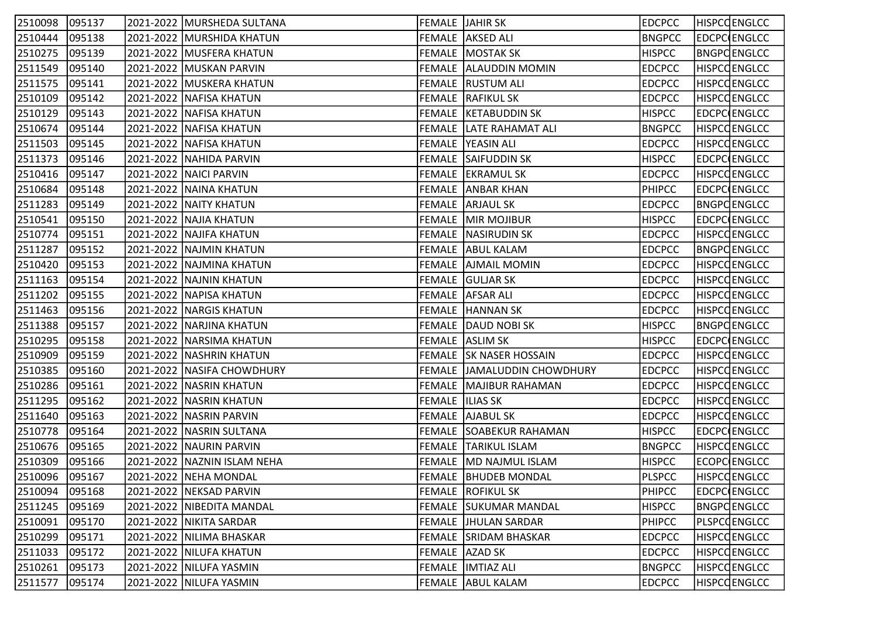| 2510098 | 095137 | 2021-2022  MURSHEDA SULTANA  |                  | FEMALE JAHIR SK                | <b>EDCPCC</b> | <b>HISPCCENGLCC</b> |
|---------|--------|------------------------------|------------------|--------------------------------|---------------|---------------------|
| 2510444 | 095138 | 2021-2022 MURSHIDA KHATUN    |                  | <b>FEMALE AKSED ALI</b>        | <b>BNGPCC</b> | EDCPC ENGLCC        |
| 2510275 | 095139 | 2021-2022   MUSFERA KHATUN   |                  | <b>FEMALE MOSTAK SK</b>        | <b>HISPCC</b> | <b>BNGPCENGLCC</b>  |
| 2511549 | 095140 | 2021-2022   MUSKAN PARVIN    |                  | FEMALE ALAUDDIN MOMIN          | <b>EDCPCC</b> | <b>HISPCCENGLCC</b> |
| 2511575 | 095141 | 2021-2022 MUSKERA KHATUN     |                  | FEMALE RUSTUM ALI              | <b>EDCPCC</b> | <b>HISPCCENGLCC</b> |
| 2510109 | 095142 | 2021-2022   NAFISA KHATUN    |                  | <b>FEMALE RAFIKUL SK</b>       | <b>EDCPCC</b> | <b>HISPCCENGLCC</b> |
| 2510129 | 095143 | 2021-2022 NAFISA KHATUN      |                  | FEMALE KETABUDDIN SK           | <b>HISPCC</b> | EDCPC ENGLCC        |
| 2510674 | 095144 | 2021-2022   NAFISA KHATUN    |                  | <b>FEMALE LATE RAHAMAT ALI</b> | <b>BNGPCC</b> | <b>HISPCCENGLCC</b> |
| 2511503 | 095145 | 2021-2022   NAFISA KHATUN    |                  | FEMALE YEASIN ALI              | <b>EDCPCC</b> | <b>HISPCCENGLCC</b> |
| 2511373 | 095146 | 2021-2022 NAHIDA PARVIN      |                  | <b>FEMALE SAIFUDDIN SK</b>     | <b>HISPCC</b> | EDCPC ENGLCC        |
| 2510416 | 095147 | 2021-2022 NAICI PARVIN       |                  | FEMALE EKRAMUL SK              | <b>EDCPCC</b> | HISPCQENGLCC        |
| 2510684 | 095148 | 2021-2022   NAINA KHATUN     |                  | <b>FEMALE ANBAR KHAN</b>       | <b>PHIPCC</b> | EDCPC ENGLCC        |
| 2511283 | 095149 | 2021-2022   NAITY KHATUN     |                  | FEMALE  ARJAUL SK              | <b>EDCPCC</b> | <b>BNGPCENGLCC</b>  |
| 2510541 | 095150 | 2021-2022 NAJIA KHATUN       |                  | FEMALE MIR MOJIBUR             | <b>HISPCC</b> | <b>EDCPC ENGLCC</b> |
| 2510774 | 095151 | 2021-2022 NAJIFA KHATUN      |                  | <b>FEMALE NASIRUDIN SK</b>     | <b>EDCPCC</b> | <b>HISPCCENGLCC</b> |
| 2511287 | 095152 | 2021-2022 NAJMIN KHATUN      |                  | FEMALE ABUL KALAM              | <b>EDCPCC</b> | <b>BNGPCENGLCC</b>  |
| 2510420 | 095153 | 2021-2022   NAJMINA KHATUN   |                  | <b>FEMALE AJMAIL MOMIN</b>     | <b>EDCPCC</b> | <b>HISPCCENGLCC</b> |
| 2511163 | 095154 | 2021-2022   NAJNIN KHATUN    |                  | FEMALE GULJAR SK               | <b>EDCPCC</b> | <b>HISPCCENGLCC</b> |
| 2511202 | 095155 | 2021-2022   NAPISA KHATUN    |                  | FEMALE AFSAR ALI               | <b>EDCPCC</b> | <b>HISPCCENGLCC</b> |
| 2511463 | 095156 | 2021-2022   NARGIS KHATUN    |                  | FEMALE  HANNAN SK              | <b>EDCPCC</b> | <b>HISPCCENGLCC</b> |
| 2511388 | 095157 | 2021-2022 NARJINA KHATUN     |                  | FEMALE DAUD NOBI SK            | <b>HISPCC</b> | <b>BNGPCENGLCC</b>  |
| 2510295 | 095158 | 2021-2022   NARSIMA KHATUN   |                  | FEMALE ASLIM SK                | <b>HISPCC</b> | EDCPC ENGLCC        |
| 2510909 | 095159 | 2021-2022   NASHRIN KHATUN   |                  | <b>FEMALE SK NASER HOSSAIN</b> | <b>EDCPCC</b> | <b>HISPCCENGLCC</b> |
| 2510385 | 095160 | 2021-2022   NASIFA CHOWDHURY |                  | FEMALE   JAMALUDDIN CHOWDHURY  | <b>EDCPCC</b> | <b>HISPCCENGLCC</b> |
| 2510286 | 095161 | 2021-2022   NASRIN KHATUN    |                  | FEMALE  MAJIBUR RAHAMAN        | <b>EDCPCC</b> | <b>HISPCCENGLCC</b> |
| 2511295 | 095162 | 2021-2022 NASRIN KHATUN      | FEMALE  ILIAS SK |                                | <b>EDCPCC</b> | <b>HISPCCENGLCC</b> |
| 2511640 | 095163 | 2021-2022   NASRIN PARVIN    |                  | <b>FEMALE AJABUL SK</b>        | <b>EDCPCC</b> | <b>HISPCCENGLCC</b> |
| 2510778 | 095164 | 2021-2022   NASRIN SULTANA   |                  | <b>FEMALE SOABEKUR RAHAMAN</b> | <b>HISPCC</b> | EDCPC ENGLCC        |
| 2510676 | 095165 | 2021-2022   NAURIN PARVIN    |                  | <b>FEMALE TARIKUL ISLAM</b>    | <b>BNGPCC</b> | HISPCQENGLCC        |
| 2510309 | 095166 | 2021-2022 NAZNIN ISLAM NEHA  |                  | FEMALE MD NAJMUL ISLAM         | <b>HISPCC</b> | ECOPC ENGLCC        |
| 2510096 | 095167 | 2021-2022 NEHA MONDAL        |                  | <b>FEMALE   BHUDEB MONDAL</b>  | <b>PLSPCC</b> | <b>HISPCCENGLCC</b> |
| 2510094 | 095168 | 2021-2022   NEKSAD PARVIN    |                  | <b>FEMALE ROFIKUL SK</b>       | <b>PHIPCC</b> | <b>EDCPC ENGLCC</b> |
| 2511245 | 095169 | 2021-2022   NIBEDITA MANDAL  |                  | <b>FEMALE SUKUMAR MANDAL</b>   | <b>HISPCC</b> | <b>BNGPCENGLCC</b>  |
| 2510091 | 095170 | 2021-2022   NIKITA SARDAR    |                  | FEMALE   JHULAN SARDAR         | <b>PHIPCC</b> | PLSPCCENGLCC        |
| 2510299 | 095171 | 2021-2022   NILIMA BHASKAR   |                  | FEMALE SRIDAM BHASKAR          | <b>EDCPCC</b> | <b>HISPCCENGLCC</b> |
| 2511033 | 095172 | 2021-2022 NILUFA KHATUN      |                  | FEMALE  AZAD SK                | <b>EDCPCC</b> | <b>HISPCCENGLCC</b> |
| 2510261 | 095173 | 2021-2022   NILUFA YASMIN    |                  | FEMALE  IMTIAZ ALI             | <b>BNGPCC</b> | <b>HISPCCENGLCC</b> |
| 2511577 | 095174 | 2021-2022   NILUFA YASMIN    |                  | FEMALE ABUL KALAM              | <b>EDCPCC</b> | <b>HISPCOENGLCC</b> |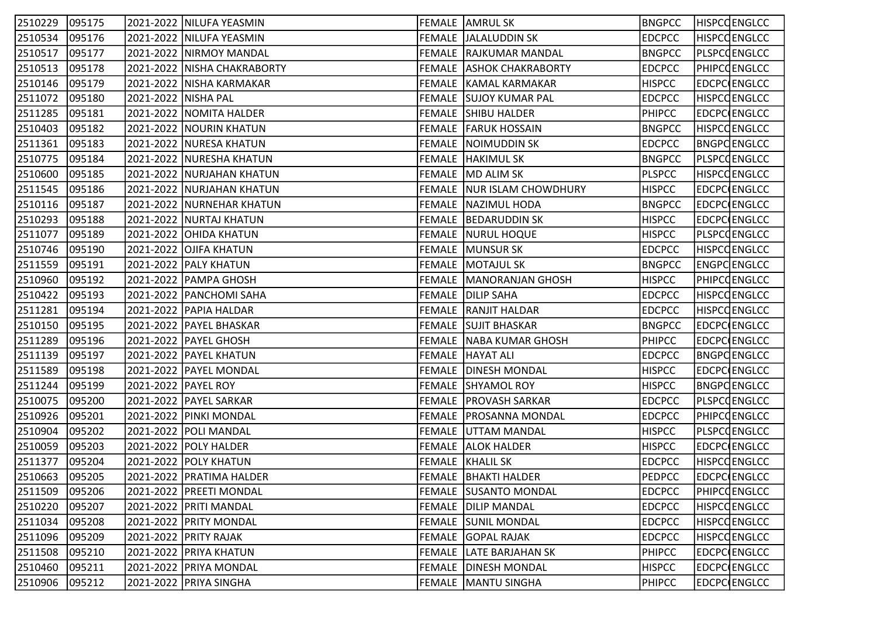| 2510229        | 095175 |                     | 2021-2022   NILUFA YEASMIN    | FEMALE  AMRUL SK                | <b>BNGPCC</b> | <b>HISPCCENGLCC</b> |
|----------------|--------|---------------------|-------------------------------|---------------------------------|---------------|---------------------|
| 2510534        | 095176 |                     | 2021-2022   NILUFA YEASMIN    | FEMALE JALALUDDIN SK            | <b>EDCPCC</b> | <b>HISPCCENGLCC</b> |
| 2510517        | 095177 |                     | 2021-2022   NIRMOY MANDAL     | FEMALE RAJKUMAR MANDAL          | <b>BNGPCC</b> | PLSPCQENGLCC        |
| 2510513        | 095178 |                     | 2021-2022   NISHA CHAKRABORTY | <b>FEMALE ASHOK CHAKRABORTY</b> | <b>EDCPCC</b> | PHIPCOENGLCC        |
| 2510146        | 095179 |                     | 2021-2022   NISHA KARMAKAR    | FEMALE KAMAL KARMAKAR           | <b>HISPCC</b> | EDCPCENGLCC         |
| 2511072        | 095180 | 2021-2022 NISHA PAL |                               | FEMALE SUJOY KUMAR PAL          | <b>EDCPCC</b> | <b>HISPCCENGLCC</b> |
| 2511285        | 095181 |                     | 2021-2022   NOMITA HALDER     | <b>FEMALE SHIBU HALDER</b>      | <b>PHIPCC</b> | EDCPCENGLCC         |
| 2510403        | 095182 |                     | 2021-2022   NOURIN KHATUN     | <b>FEMALE   FARUK HOSSAIN</b>   | <b>BNGPCC</b> | <b>HISPCCENGLCC</b> |
| 2511361        | 095183 |                     | 2021-2022 NURESA KHATUN       | FEMALE NOIMUDDIN SK             | <b>EDCPCC</b> | <b>BNGPCENGLCC</b>  |
| 2510775        | 095184 |                     | 2021-2022   NURESHA KHATUN    | FEMALE HAKIMUL SK               | <b>BNGPCC</b> | PLSPCCENGLCC        |
| 2510600        | 095185 |                     | 2021-2022   NURJAHAN KHATUN   | FEMALE MD ALIM SK               | <b>PLSPCC</b> | <b>HISPCCENGLCC</b> |
| 2511545        | 095186 |                     | 2021-2022 NURJAHAN KHATUN     | FEMALE NUR ISLAM CHOWDHURY      | <b>HISPCC</b> | EDCPCENGLCC         |
| 2510116        | 095187 |                     | 2021-2022   NURNEHAR KHATUN   | <b>FEMALE NAZIMUL HODA</b>      | <b>BNGPCC</b> | EDCPC ENGLCC        |
| 2510293        | 095188 |                     | 2021-2022 NURTAJ KHATUN       | FEMALE   BEDARUDDIN SK          | <b>HISPCC</b> | EDCPCENGLCC         |
| 2511077        | 095189 |                     | 2021-2022 OHIDA KHATUN        | <b>FEMALE NURUL HOQUE</b>       | <b>HISPCC</b> | PLSPCCENGLCC        |
| 2510746        | 095190 |                     | 2021-2022 OJIFA KHATUN        | FEMALE  MUNSUR SK               | <b>EDCPCC</b> | <b>HISPCCENGLCC</b> |
| 2511559        | 095191 |                     | 2021-2022   PALY KHATUN       | <b>FEMALE MOTAJUL SK</b>        | <b>BNGPCC</b> | ENGPCENGLCC         |
| 2510960        | 095192 |                     | 2021-2022 PAMPA GHOSH         | FEMALE   MANORANJAN GHOSH       | <b>HISPCC</b> | PHIPCOENGLCC        |
| 2510422        | 095193 |                     | 2021-2022   PANCHOMI SAHA     | FEMALE DILIP SAHA               | <b>EDCPCC</b> | <b>HISPCCENGLCC</b> |
| 2511281        | 095194 |                     | 2021-2022 PAPIA HALDAR        | <b>FEMALE RANJIT HALDAR</b>     | <b>EDCPCC</b> | <b>HISPCCENGLCC</b> |
| 2510150        | 095195 |                     | 2021-2022   PAYEL BHASKAR     | <b>FEMALE SUJIT BHASKAR</b>     | <b>BNGPCC</b> | EDCPCENGLCC         |
| 2511289        | 095196 |                     | 2021-2022   PAYEL GHOSH       | FEMALE NABA KUMAR GHOSH         | <b>PHIPCC</b> | EDCPC ENGLCC        |
| 2511139        | 095197 |                     | 2021-2022   PAYEL KHATUN      | FEMALE HAYAT ALI                | <b>EDCPCC</b> | <b>BNGPCENGLCC</b>  |
| 2511589        | 095198 |                     | 2021-2022   PAYEL MONDAL      | <b>FEMALE   DINESH MONDAL</b>   | <b>HISPCC</b> | EDCPCENGLCC         |
| 2511244        | 095199 | 2021-2022 PAYEL ROY |                               | <b>FEMALE SHYAMOL ROY</b>       | <b>HISPCC</b> | <b>BNGPCENGLCC</b>  |
| 2510075        | 095200 |                     | 2021-2022   PAYEL SARKAR      | FEMALE   PROVASH SARKAR         | <b>EDCPCC</b> | <b>PLSPCCENGLCC</b> |
| 2510926        | 095201 |                     | 2021-2022 PINKI MONDAL        | FEMALE   PROSANNA MONDAL        | <b>EDCPCC</b> | PHIPCOENGLCC        |
| 2510904        | 095202 |                     | 2021-2022 POLI MANDAL         | <b>FEMALE UTTAM MANDAL</b>      | <b>HISPCC</b> | PLSPCCENGLCC        |
| 2510059        | 095203 |                     | 2021-2022 POLY HALDER         | <b>FEMALE ALOK HALDER</b>       | <b>HISPCC</b> | <b>EDCPCCENGLCC</b> |
| 2511377        | 095204 |                     | 2021-2022 POLY KHATUN         | FEMALE KHALIL SK                | <b>EDCPCC</b> | <b>HISPCCENGLCC</b> |
| 2510663 095205 |        |                     | 2021-2022 PRATIMA HALDER      | <b>FEMALE BHAKTI HALDER</b>     | PEDPCC        | <b>EDCPC ENGLCC</b> |
| 2511509        | 095206 |                     | 2021-2022   PREETI MONDAL     | <b>FEMALE SUSANTO MONDAL</b>    | <b>EDCPCC</b> | PHIPCOENGLCC        |
| 2510220        | 095207 |                     | 2021-2022 PRITI MANDAL        | <b>FEMALE DILIP MANDAL</b>      | <b>EDCPCC</b> | <b>HISPCCENGLCC</b> |
| 2511034        | 095208 |                     | 2021-2022 PRITY MONDAL        | FEMALE SUNIL MONDAL             | <b>EDCPCC</b> | <b>HISPCCENGLCC</b> |
| 2511096        | 095209 |                     | 2021-2022 PRITY RAJAK         | <b>FEMALE GOPAL RAJAK</b>       | <b>EDCPCC</b> | <b>HISPCCENGLCC</b> |
| 2511508        | 095210 |                     | 2021-2022 PRIYA KHATUN        | FEMALE LATE BARJAHAN SK         | <b>PHIPCC</b> | EDCPCENGLCC         |
| 2510460        | 095211 |                     | 2021-2022   PRIYA MONDAL      | <b>FEMALE   DINESH MONDAL</b>   | <b>HISPCC</b> | EDCPC ENGLCC        |
| 2510906        | 095212 |                     | 2021-2022 PRIYA SINGHA        | FEMALE   MANTU SINGHA           | PHIPCC        | EDCPC ENGLCC        |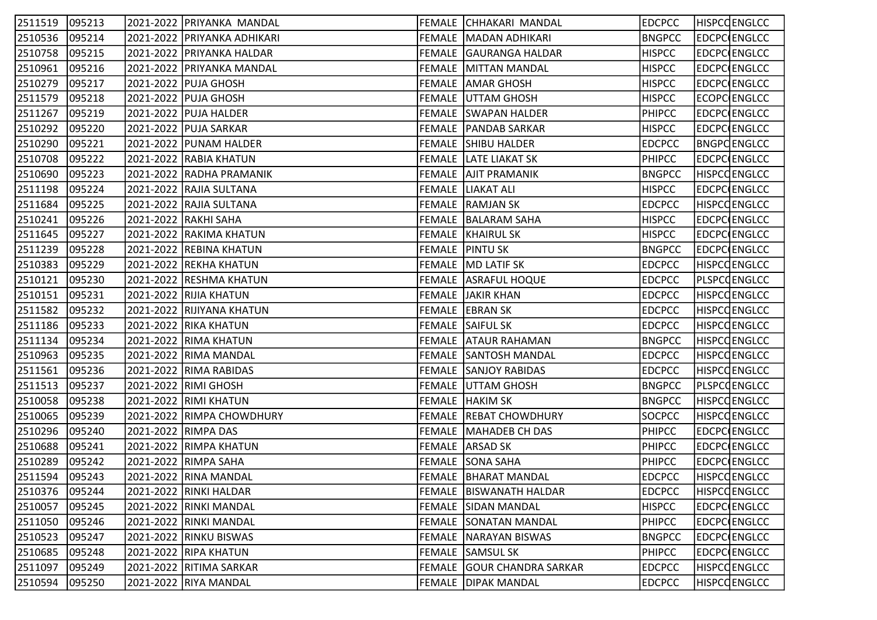| 2511519        | 095213 | 2021-2022 PRIYANKA MANDAL   | FEMALE CHHAKARI MANDAL           | <b>EDCPCC</b> | <b>HISPCCENGLCC</b> |
|----------------|--------|-----------------------------|----------------------------------|---------------|---------------------|
| 2510536        | 095214 | 2021-2022 PRIYANKA ADHIKARI | FEMALE MADAN ADHIKARI            | <b>BNGPCC</b> | EDCPC ENGLCC        |
| 2510758        | 095215 | 2021-2022 PRIYANKA HALDAR   | FEMALE GAURANGA HALDAR           | <b>HISPCC</b> | <b>EDCPC ENGLCC</b> |
| 2510961        | 095216 | 2021-2022   PRIYANKA MANDAL | <b>FEMALE MITTAN MANDAL</b>      | <b>HISPCC</b> | EDCPC ENGLCC        |
| 2510279        | 095217 | 2021-2022 PUJA GHOSH        | FEMALE  AMAR GHOSH               | <b>HISPCC</b> | EDCPC ENGLCC        |
| 2511579        | 095218 | 2021-2022 PUJA GHOSH        | <b>FEMALE UTTAM GHOSH</b>        | <b>HISPCC</b> | ECOPC ENGLCC        |
| 2511267        | 095219 | 2021-2022 PUJA HALDER       | <b>FEMALE SWAPAN HALDER</b>      | <b>PHIPCC</b> | EDCPC ENGLCC        |
| 2510292        | 095220 | 2021-2022   PUJA SARKAR     | <b>FEMALE   PANDAB SARKAR</b>    | <b>HISPCC</b> | EDCPC ENGLCC        |
| 2510290        | 095221 | 2021-2022 PUNAM HALDER      | <b>FEMALE SHIBU HALDER</b>       | <b>EDCPCC</b> | <b>BNGPCENGLCC</b>  |
| 2510708        | 095222 | 2021-2022 RABIA KHATUN      | <b>FEMALE LATE LIAKAT SK</b>     | <b>PHIPCC</b> | EDCPC ENGLCC        |
| 2510690        | 095223 | 2021-2022 RADHA PRAMANIK    | <b>FEMALE AJIT PRAMANIK</b>      | <b>BNGPCC</b> | <b>HISPCCENGLCC</b> |
| 2511198        | 095224 | 2021-2022 RAJIA SULTANA     | FEMALE LIAKAT ALI                | <b>HISPCC</b> | EDCPC ENGLCC        |
| 2511684        | 095225 | 2021-2022 RAJIA SULTANA     | FEMALE RAMJAN SK                 | <b>EDCPCC</b> | <b>HISPCCENGLCC</b> |
| 2510241        | 095226 | 2021-2022 RAKHI SAHA        | FEMALE BALARAM SAHA              | <b>HISPCC</b> | EDCPC ENGLCC        |
| 2511645        | 095227 | 2021-2022 RAKIMA KHATUN     | <b>FEMALE KHAIRUL SK</b>         | <b>HISPCC</b> | EDCPC ENGLCC        |
| 2511239        | 095228 | 2021-2022 REBINA KHATUN     | FEMALE PINTU SK                  | <b>BNGPCC</b> | EDCPC ENGLCC        |
| 2510383        | 095229 | 2021-2022 REKHA KHATUN      | <b>FEMALE MD LATIF SK</b>        | <b>EDCPCC</b> | <b>HISPCCENGLCC</b> |
| 2510121        | 095230 | 2021-2022  RESHMA KHATUN    | <b>FEMALE ASRAFUL HOQUE</b>      | <b>EDCPCC</b> | <b>PLSPCCENGLCC</b> |
| 2510151        | 095231 | 2021-2022 RIJIA KHATUN      | <b>FEMALE JAKIR KHAN</b>         | <b>EDCPCC</b> | <b>HISPCCENGLCC</b> |
| 2511582        | 095232 | 2021-2022 RIJIYANA KHATUN   | FEMALE EBRAN SK                  | <b>EDCPCC</b> | <b>HISPCCENGLCC</b> |
| 2511186        | 095233 | 2021-2022 RIKA KHATUN       | <b>FEMALE SAIFUL SK</b>          | <b>EDCPCC</b> | <b>HISPCCENGLCC</b> |
| 2511134        | 095234 | 2021-2022 RIMA KHATUN       | <b>FEMALE ATAUR RAHAMAN</b>      | <b>BNGPCC</b> | <b>HISPCCENGLCC</b> |
| 2510963        | 095235 | 2021-2022 RIMA MANDAL       | <b>FEMALE SANTOSH MANDAL</b>     | <b>EDCPCC</b> | <b>HISPCCENGLCC</b> |
| 2511561        | 095236 | 2021-2022 RIMA RABIDAS      | <b>FEMALE SANJOY RABIDAS</b>     | <b>EDCPCC</b> | HISPCCENGLCC        |
| 2511513        | 095237 | 2021-2022 RIMI GHOSH        | <b>FEMALE UTTAM GHOSH</b>        | <b>BNGPCC</b> | PLSPCQENGLCC        |
| 2510058        | 095238 | 2021-2022 RIMI KHATUN       | FEMALE HAKIM SK                  | <b>BNGPCC</b> | <b>HISPCCENGLCC</b> |
| 2510065        | 095239 | 2021-2022 RIMPA CHOWDHURY   | <b>FEMALE REBAT CHOWDHURY</b>    | <b>SOCPCC</b> | <b>HISPCCENGLCC</b> |
| 2510296        | 095240 | 2021-2022 RIMPA DAS         | <b>FEMALE   MAHADEB CH DAS</b>   | <b>PHIPCC</b> | EDCPC ENGLCC        |
| 2510688        | 095241 | 2021-2022 RIMPA KHATUN      | FEMALE ARSAD SK                  | <b>PHIPCC</b> | EDCPC ENGLCC        |
| 2510289        | 095242 | 2021-2022 RIMPA SAHA        | <b>FEMALE SONA SAHA</b>          | <b>PHIPCC</b> | EDCPC ENGLCC        |
| 2511594 095243 |        | 2021-2022 RINA MANDAL       | <b>FEMALE   BHARAT MANDAL</b>    | <b>EDCPCC</b> | <b>HISPCCENGLCC</b> |
| 2510376        | 095244 | 2021-2022 RINKI HALDAR      | <b>FEMALE   BISWANATH HALDAR</b> | <b>EDCPCC</b> | <b>HISPCCENGLCC</b> |
| 2510057        | 095245 | 2021-2022 RINKI MANDAL      | FEMALE SIDAN MANDAL              | <b>HISPCC</b> | <b>EDCPC ENGLCC</b> |
| 2511050        | 095246 | 2021-2022 RINKI MANDAL      | <b>FEMALE SONATAN MANDAL</b>     | PHIPCC        | EDCPC ENGLCC        |
| 2510523        | 095247 | 2021-2022 RINKU BISWAS      | FEMALE  NARAYAN BISWAS           | <b>BNGPCC</b> | EDCPC ENGLCC        |
| 2510685        | 095248 | 2021-2022 RIPA KHATUN       | <b>FEMALE SAMSUL SK</b>          | <b>PHIPCC</b> | EDCPC ENGLCC        |
| 2511097        | 095249 | 2021-2022 RITIMA SARKAR     | FEMALE GOUR CHANDRA SARKAR       | <b>EDCPCC</b> | <b>HISPCCENGLCC</b> |
| 2510594        | 095250 | 2021-2022 RIYA MANDAL       | FEMALE DIPAK MANDAL              | <b>EDCPCC</b> | <b>HISPCCENGLCC</b> |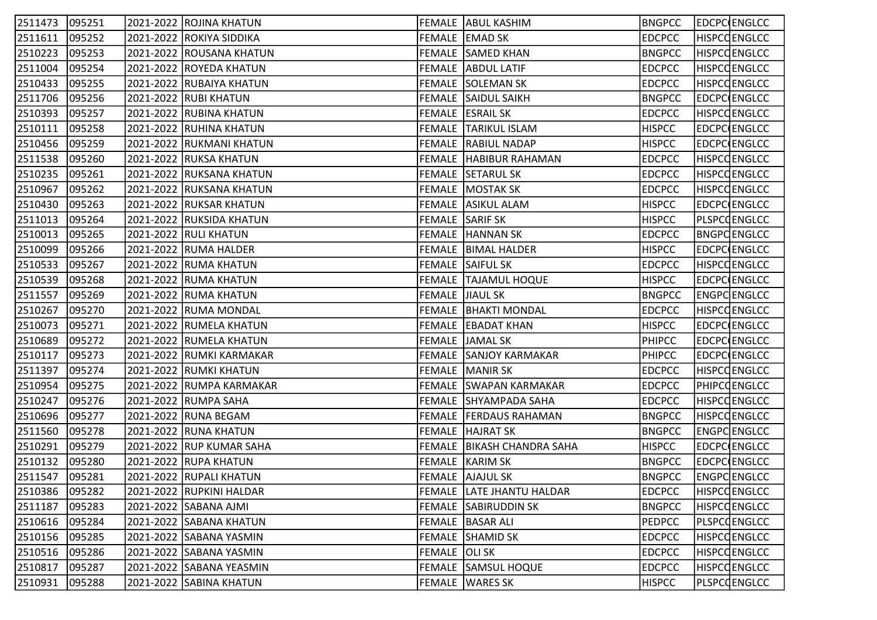| 2511473 095251 |        | 2021-2022 ROJINA KHATUN  |               | FEMALE ABUL KASHIM               | <b>BNGPCC</b> | EDCPC ENGLCC        |
|----------------|--------|--------------------------|---------------|----------------------------------|---------------|---------------------|
| 2511611        | 095252 | 2021-2022 ROKIYA SIDDIKA |               | FEMALE EMAD SK                   | <b>EDCPCC</b> | <b>HISPCCENGLCC</b> |
| 2510223        | 095253 | 2021-2022 ROUSANA KHATUN |               | <b>FEMALE SAMED KHAN</b>         | <b>BNGPCC</b> | <b>HISPCOENGLCC</b> |
| 2511004        | 095254 | 2021-2022 ROYEDA KHATUN  |               | <b>FEMALE ABDUL LATIF</b>        | <b>EDCPCC</b> | <b>HISPCCENGLCC</b> |
| 2510433        | 095255 | 2021-2022 RUBAIYA KHATUN |               | FEMALE SOLEMAN SK                | <b>EDCPCC</b> | HISPCQENGLCC        |
| 2511706        | 095256 | 2021-2022 RUBI KHATUN    |               | FEMALE SAIDUL SAIKH              | <b>BNGPCC</b> | <b>EDCPC ENGLCC</b> |
| 2510393        | 095257 | 2021-2022 RUBINA KHATUN  |               | FEMALE ESRAIL SK                 | <b>EDCPCC</b> | <b>HISPCCENGLCC</b> |
| 2510111        | 095258 | 2021-2022 RUHINA KHATUN  |               | FEMALE TARIKUL ISLAM             | <b>HISPCC</b> | EDCPC ENGLCC        |
| 2510456        | 095259 | 2021-2022 RUKMANI KHATUN |               | <b>FEMALE RABIUL NADAP</b>       | <b>HISPCC</b> | EDCPC ENGLCC        |
| 2511538        | 095260 | 2021-2022 RUKSA KHATUN   |               | FEMALE HABIBUR RAHAMAN           | <b>EDCPCC</b> | <b>HISPCCENGLCC</b> |
| 2510235        | 095261 | 2021-2022 RUKSANA KHATUN |               | <b>FEMALE SETARUL SK</b>         | <b>EDCPCC</b> | <b>HISPCCENGLCC</b> |
| 2510967        | 095262 | 2021-2022 RUKSANA KHATUN |               | <b>FEMALE MOSTAK SK</b>          | <b>EDCPCC</b> | HISPCQENGLCC        |
| 2510430        | 095263 | 2021-2022 RUKSAR KHATUN  |               | FEMALE ASIKUL ALAM               | <b>HISPCC</b> | EDCPC ENGLCC        |
| 2511013        | 095264 | 2021-2022 RUKSIDA KHATUN |               | FEMALE SARIF SK                  | <b>HISPCC</b> | <b>PLSPCCENGLCC</b> |
| 2510013        | 095265 | 2021-2022 RULI KHATUN    |               | FEMALE HANNAN SK                 | <b>EDCPCC</b> | <b>BNGPCENGLCC</b>  |
| 2510099        | 095266 | 2021-2022 RUMA HALDER    |               | FEMALE   BIMAL HALDER            | <b>HISPCC</b> | EDCPC ENGLCC        |
| 2510533        | 095267 | 2021-2022 RUMA KHATUN    |               | <b>FEMALE SAIFUL SK</b>          | <b>EDCPCC</b> | <b>HISPCCENGLCC</b> |
| 2510539        | 095268 | 2021-2022  RUMA KHATUN   |               | FEMALE TAJAMUL HOQUE             | <b>HISPCC</b> | <b>EDCPC ENGLCC</b> |
| 2511557        | 095269 | 2021-2022 RUMA KHATUN    |               | FEMALE JIAUL SK                  | <b>BNGPCC</b> | ENGPC ENGLCC        |
| 2510267        | 095270 | 2021-2022 RUMA MONDAL    |               | <b>FEMALE   BHAKTI MONDAL</b>    | <b>EDCPCC</b> | <b>HISPCCENGLCC</b> |
| 2510073        | 095271 | 2021-2022 RUMELA KHATUN  |               | FEMALE   EBADAT KHAN             | <b>HISPCC</b> | EDCPC ENGLCC        |
| 2510689        | 095272 | 2021-2022 RUMELA KHATUN  |               | FEMALE JAMAL SK                  | <b>PHIPCC</b> | EDCPC ENGLCC        |
| 2510117        | 095273 | 2021-2022 RUMKI KARMAKAR |               | <b>FEMALE SANJOY KARMAKAR</b>    | <b>PHIPCC</b> | EDCPC ENGLCC        |
| 2511397        | 095274 | 2021-2022 RUMKI KHATUN   |               | FEMALE MANIR SK                  | <b>EDCPCC</b> | HISPCQENGLCC        |
| 2510954        | 095275 | 2021-2022 RUMPA KARMAKAR |               | FEMALE SWAPAN KARMAKAR           | <b>EDCPCC</b> | <b>PHIPCOENGLCC</b> |
| 2510247        | 095276 | 2021-2022 RUMPA SAHA     |               | FEMALE SHYAMPADA SAHA            | <b>EDCPCC</b> | <b>HISPCCENGLCC</b> |
| 2510696        | 095277 | 2021-2022 RUNA BEGAM     |               | FEMALE   FERDAUS RAHAMAN         | <b>BNGPCC</b> | <b>HISPCCENGLCC</b> |
| 2511560        | 095278 | 2021-2022 RUNA KHATUN    |               | <b>FEMALE HAJRAT SK</b>          | <b>BNGPCC</b> | ENGPCENGLCC         |
| 2510291        | 095279 | 2021-2022 RUP KUMAR SAHA |               | FEMALE BIKASH CHANDRA SAHA       | <b>HISPCC</b> | EDCPC ENGLCC        |
| 2510132        | 095280 | 2021-2022 RUPA KHATUN    |               | FEMALE KARIM SK                  | <b>BNGPCC</b> | EDCPC ENGLCC        |
| 2511547        | 095281 | 2021-2022 RUPALI KHATUN  |               | <b>FEMALE AJAJUL SK</b>          | <b>BNGPCC</b> | ENGPCENGLCC         |
| 2510386        | 095282 | 2021-2022 RUPKINI HALDAR |               | <b>FEMALE LATE JHANTU HALDAR</b> | <b>EDCPCC</b> | <b>HISPCCENGLCC</b> |
| 2511187        | 095283 | 2021-2022 SABANA AJMI    |               | FEMALE SABIRUDDIN SK             | <b>BNGPCC</b> | <b>HISPCCENGLCC</b> |
| 2510616        | 095284 | 2021-2022 SABANA KHATUN  |               | FEMALE   BASAR ALI               | PEDPCC        | PLSPCQENGLCC        |
| 2510156        | 095285 | 2021-2022 SABANA YASMIN  |               | FEMALE SHAMID SK                 | <b>EDCPCC</b> | <b>HISPCCENGLCC</b> |
| 2510516        | 095286 | 2021-2022 SABANA YASMIN  | FEMALE OLI SK |                                  | <b>EDCPCC</b> | <b>HISPCCENGLCC</b> |
| 2510817        | 095287 | 2021-2022 SABANA YEASMIN |               | <b>FEMALE SAMSUL HOQUE</b>       | <b>EDCPCC</b> | <b>HISPCCENGLCC</b> |
| 2510931        | 095288 | 2021-2022 SABINA KHATUN  |               | FEMALE   WARES SK                | <b>HISPCC</b> | PLSPCCENGLCC        |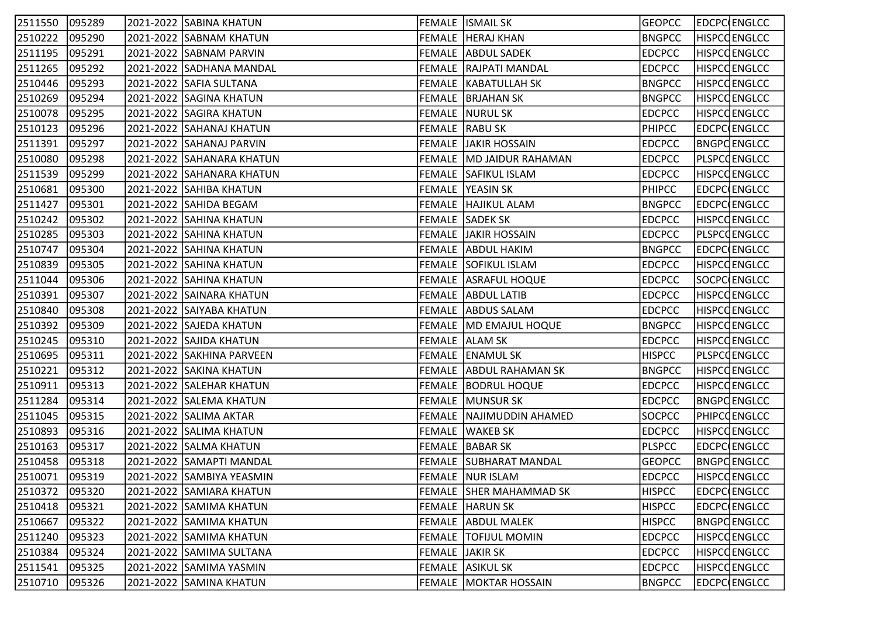| 2511550 | 095289 | 2021-2022 SABINA KHATUN   |                 | <b>FEMALE ISMAIL SK</b>        | <b>GEOPCC</b> | EDCPC ENGLCC        |
|---------|--------|---------------------------|-----------------|--------------------------------|---------------|---------------------|
| 2510222 | 095290 | 2021-2022 SABNAM KHATUN   |                 | <b>FEMALE   HERAJ KHAN</b>     | <b>BNGPCC</b> | <b>HISPCQENGLCC</b> |
| 2511195 | 095291 | 2021-2022 SABNAM PARVIN   |                 | <b>FEMALE ABDUL SADEK</b>      | <b>EDCPCC</b> | <b>HISPCOENGLCC</b> |
| 2511265 | 095292 | 2021-2022 SADHANA MANDAL  |                 | <b>FEMALE RAJPATI MANDAL</b>   | <b>EDCPCC</b> | <b>HISPCCENGLCC</b> |
| 2510446 | 095293 | 2021-2022 SAFIA SULTANA   |                 | <b>FEMALE   KABATULLAH SK</b>  | <b>BNGPCC</b> | <b>HISPCCENGLCC</b> |
| 2510269 | 095294 | 2021-2022 SAGINA KHATUN   |                 | FEMALE BRJAHAN SK              | <b>BNGPCC</b> | <b>HISPCCENGLCC</b> |
| 2510078 | 095295 | 2021-2022 SAGIRA KHATUN   |                 | <b>FEMALE NURUL SK</b>         | <b>EDCPCC</b> | <b>HISPCCENGLCC</b> |
| 2510123 | 095296 | 2021-2022 SAHANAJ KHATUN  |                 | FEMALE RABU SK                 | <b>PHIPCC</b> | EDCPC ENGLCC        |
| 2511391 | 095297 | 2021-2022 SAHANAJ PARVIN  |                 | <b>FEMALE JAKIR HOSSAIN</b>    | <b>EDCPCC</b> | <b>BNGPCENGLCC</b>  |
| 2510080 | 095298 | 2021-2022 SAHANARA KHATUN |                 | FEMALE MD JAIDUR RAHAMAN       | <b>EDCPCC</b> | PLSPCCENGLCC        |
| 2511539 | 095299 | 2021-2022 SAHANARA KHATUN |                 | FEMALE SAFIKUL ISLAM           | <b>EDCPCC</b> | <b>HISPCCENGLCC</b> |
| 2510681 | 095300 | 2021-2022 SAHIBA KHATUN   |                 | FEMALE YEASIN SK               | <b>PHIPCC</b> | EDCPC ENGLCC        |
| 2511427 | 095301 | 2021-2022 SAHIDA BEGAM    |                 | FEMALE HAJIKUL ALAM            | <b>BNGPCC</b> | EDCPC ENGLCC        |
| 2510242 | 095302 | 2021-2022 SAHINA KHATUN   |                 | <b>FEMALE SADEK SK</b>         | <b>EDCPCC</b> | <b>HISPCCENGLCC</b> |
| 2510285 | 095303 | 2021-2022 SAHINA KHATUN   |                 | <b>FEMALE JAKIR HOSSAIN</b>    | <b>EDCPCC</b> | PLSPCQENGLCC        |
| 2510747 | 095304 | 2021-2022 SAHINA KHATUN   |                 | FEMALE ABDUL HAKIM             | <b>BNGPCC</b> | EDCPC ENGLCC        |
| 2510839 | 095305 | 2021-2022 SAHINA KHATUN   |                 | <b>FEMALE SOFIKUL ISLAM</b>    | <b>EDCPCC</b> | <b>HISPCCENGLCC</b> |
| 2511044 | 095306 | 2021-2022 SAHINA KHATUN   |                 | FEMALE   ASRAFUL HOQUE         | <b>EDCPCC</b> | SOCPC ENGLCC        |
| 2510391 | 095307 | 2021-2022 SAINARA KHATUN  |                 | FEMALE ABDUL LATIB             | <b>EDCPCC</b> | <b>HISPCCENGLCC</b> |
| 2510840 | 095308 | 2021-2022 SAIYABA KHATUN  |                 | <b>FEMALE ABDUS SALAM</b>      | <b>EDCPCC</b> | <b>HISPCCENGLCC</b> |
| 2510392 | 095309 | 2021-2022 SAJEDA KHATUN   |                 | FEMALE MD EMAJUL HOQUE         | <b>BNGPCC</b> | <b>HISPCCENGLCC</b> |
| 2510245 | 095310 | 2021-2022 SAJIDA KHATUN   |                 | FEMALE ALAM SK                 | <b>EDCPCC</b> | <b>HISPCCENGLCC</b> |
| 2510695 | 095311 | 2021-2022 SAKHINA PARVEEN |                 | FEMALE ENAMUL SK               | <b>HISPCC</b> | <b>PLSPCCENGLCC</b> |
| 2510221 | 095312 | 2021-2022 SAKINA KHATUN   |                 | FEMALE ABDUL RAHAMAN SK        | <b>BNGPCC</b> | HISPCQENGLCC        |
| 2510911 | 095313 | 2021-2022 SALEHAR KHATUN  |                 | FEMALE   BODRUL HOQUE          | <b>EDCPCC</b> | <b>HISPCCENGLCC</b> |
| 2511284 | 095314 | 2021-2022 SALEMA KHATUN   |                 | <b>FEMALE MUNSUR SK</b>        | <b>EDCPCC</b> | <b>BNGPCENGLCC</b>  |
| 2511045 | 095315 | 2021-2022   SALIMA AKTAR  |                 | FEMALE NAJIMUDDIN AHAMED       | SOCPCC        | <b>PHIPCOENGLCC</b> |
| 2510893 | 095316 | 2021-2022 SALIMA KHATUN   |                 | FEMALE WAKEB SK                | <b>EDCPCC</b> | <b>HISPCCENGLCC</b> |
| 2510163 | 095317 | 2021-2022 SALMA KHATUN    |                 | FEMALE BABAR SK                | <b>PLSPCC</b> | EDCPC ENGLCC        |
| 2510458 | 095318 | 2021-2022 SAMAPTI MANDAL  |                 | FEMALE SUBHARAT MANDAL         | <b>GEOPCC</b> | <b>BNGPCENGLCC</b>  |
| 2510071 | 095319 | 2021-2022 SAMBIYA YEASMIN |                 | <b>FEMALE NUR ISLAM</b>        | <b>EDCPCC</b> | <b>HISPCCENGLCC</b> |
| 2510372 | 095320 | 2021-2022 SAMIARA KHATUN  |                 | <b>FEMALE SHER MAHAMMAD SK</b> | <b>HISPCC</b> | <b>EDCPC</b> ENGLCC |
| 2510418 | 095321 | 2021-2022 SAMIMA KHATUN   |                 | FEMALE HARUN SK                | <b>HISPCC</b> | <b>EDCPC ENGLCC</b> |
| 2510667 | 095322 | 2021-2022 SAMIMA KHATUN   |                 | <b>FEMALE ABDUL MALEK</b>      | <b>HISPCC</b> | <b>BNGPCENGLCC</b>  |
| 2511240 | 095323 | 2021-2022 SAMIMA KHATUN   |                 | <b>FEMALE TOFIJUL MOMIN</b>    | <b>EDCPCC</b> | <b>HISPCCENGLCC</b> |
| 2510384 | 095324 | 2021-2022 SAMIMA SULTANA  | FEMALE JAKIR SK |                                | <b>EDCPCC</b> | <b>HISPCCENGLCC</b> |
| 2511541 | 095325 | 2021-2022 SAMIMA YASMIN   |                 | FEMALE ASIKUL SK               | <b>EDCPCC</b> | <b>HISPCCENGLCC</b> |
| 2510710 | 095326 | 2021-2022 SAMINA KHATUN   |                 | <b>FEMALE MOKTAR HOSSAIN</b>   | <b>BNGPCC</b> | <b>EDCPC</b> ENGLCC |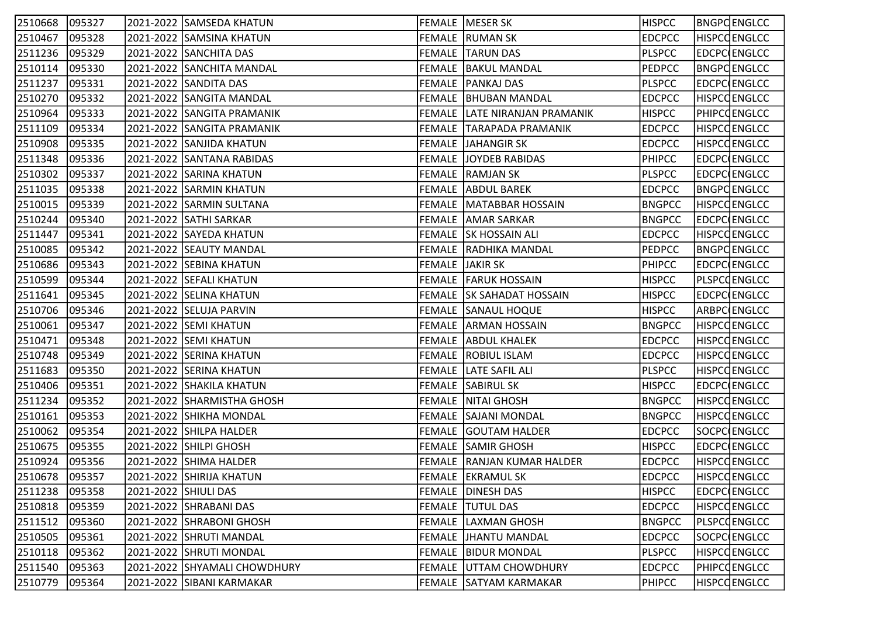| 2510668 | 095327 |                      | 2021-2022 SAMSEDA KHATUN     | FEMALE   MESER SK                | <b>HISPCC</b> | BNGPCENGLCC         |
|---------|--------|----------------------|------------------------------|----------------------------------|---------------|---------------------|
| 2510467 | 095328 |                      | 2021-2022 SAMSINA KHATUN     | <b>FEMALE RUMAN SK</b>           | <b>EDCPCC</b> | <b>HISPCCENGLCC</b> |
| 2511236 | 095329 |                      | 2021-2022 SANCHITA DAS       | <b>FEMALE TARUN DAS</b>          | <b>PLSPCC</b> | <b>EDCPC ENGLCC</b> |
| 2510114 | 095330 |                      | 2021-2022 SANCHITA MANDAL    | <b>FEMALE   BAKUL MANDAL</b>     | <b>PEDPCC</b> | <b>BNGPCENGLCC</b>  |
| 2511237 | 095331 |                      | 2021-2022 SANDITA DAS        | <b>FEMALE   PANKAJ DAS</b>       | <b>PLSPCC</b> | EDCPC ENGLCC        |
| 2510270 | 095332 |                      | 2021-2022 SANGITA MANDAL     | FEMALE   BHUBAN MANDAL           | <b>EDCPCC</b> | <b>HISPCCENGLCC</b> |
| 2510964 | 095333 |                      | 2021-2022 SANGITA PRAMANIK   | FEMALE LATE NIRANJAN PRAMANIK    | <b>HISPCC</b> | <b>PHIPCOENGLCC</b> |
| 2511109 | 095334 |                      | 2021-2022 SANGITA PRAMANIK   | FEMALE TARAPADA PRAMANIK         | <b>EDCPCC</b> | <b>HISPCCENGLCC</b> |
| 2510908 | 095335 |                      | 2021-2022 SANJIDA KHATUN     | FEMALE JAHANGIR SK               | <b>EDCPCC</b> | <b>HISPCCENGLCC</b> |
| 2511348 | 095336 |                      | 2021-2022 SANTANA RABIDAS    | <b>FEMALE JOYDEB RABIDAS</b>     | <b>PHIPCC</b> | EDCPC ENGLCC        |
| 2510302 | 095337 |                      | 2021-2022 SARINA KHATUN      | FEMALE RAMJAN SK                 | <b>PLSPCC</b> | EDCPC ENGLCC        |
| 2511035 | 095338 |                      | 2021-2022 SARMIN KHATUN      | <b>FEMALE ABDUL BAREK</b>        | <b>EDCPCC</b> | <b>BNGPCENGLCC</b>  |
| 2510015 | 095339 |                      | 2021-2022 SARMIN SULTANA     | <b>FEMALE   MATABBAR HOSSAIN</b> | <b>BNGPCC</b> | <b>HISPCCENGLCC</b> |
| 2510244 | 095340 |                      | 2021-2022 SATHI SARKAR       | <b>FEMALE AMAR SARKAR</b>        | <b>BNGPCC</b> | EDCPC ENGLCC        |
| 2511447 | 095341 |                      | 2021-2022 SAYEDA KHATUN      | <b>FEMALE SK HOSSAIN ALI</b>     | <b>EDCPCC</b> | <b>HISPCCENGLCC</b> |
| 2510085 | 095342 |                      | 2021-2022 SEAUTY MANDAL      | FEMALE RADHIKA MANDAL            | <b>PEDPCC</b> | <b>BNGPCENGLCC</b>  |
| 2510686 | 095343 |                      | 2021-2022 SEBINA KHATUN      | FEMALE JAKIR SK                  | <b>PHIPCC</b> | EDCPC ENGLCC        |
| 2510599 | 095344 |                      | 2021-2022 SEFALI KHATUN      | <b>FEMALE   FARUK HOSSAIN</b>    | <b>HISPCC</b> | PLSPCCENGLCC        |
| 2511641 | 095345 |                      | 2021-2022 SELINA KHATUN      | FEMALE SK SAHADAT HOSSAIN        | <b>HISPCC</b> | <b>EDCPC ENGLCC</b> |
| 2510706 | 095346 |                      | 2021-2022 SELUJA PARVIN      | <b>FEMALE SANAUL HOQUE</b>       | <b>HISPCC</b> | ARBPC ENGLCC        |
| 2510061 | 095347 |                      | 2021-2022 SEMI KHATUN        | <b>FEMALE ARMAN HOSSAIN</b>      | <b>BNGPCC</b> | <b>HISPCCENGLCC</b> |
| 2510471 | 095348 |                      | 2021-2022 SEMI KHATUN        | <b>FEMALE ABDUL KHALEK</b>       | <b>EDCPCC</b> | <b>HISPCCENGLCC</b> |
| 2510748 | 095349 |                      | 2021-2022 SERINA KHATUN      | <b>FEMALE ROBIUL ISLAM</b>       | <b>EDCPCC</b> | <b>HISPCCENGLCC</b> |
| 2511683 | 095350 |                      | 2021-2022 SERINA KHATUN      | <b>FEMALE LATE SAFIL ALI</b>     | <b>PLSPCC</b> | <b>HISPCCENGLCC</b> |
| 2510406 | 095351 |                      | 2021-2022 SHAKILA KHATUN     | <b>FEMALE SABIRUL SK</b>         | <b>HISPCC</b> | EDCPC ENGLCC        |
| 2511234 | 095352 |                      | 2021-2022 SHARMISTHA GHOSH   | <b>FEMALE NITAI GHOSH</b>        | <b>BNGPCC</b> | <b>HISPCCENGLCC</b> |
| 2510161 | 095353 |                      | 2021-2022 SHIKHA MONDAL      | <b>FEMALE SAJANI MONDAL</b>      | <b>BNGPCC</b> | <b>HISPCCENGLCC</b> |
| 2510062 | 095354 |                      | 2021-2022 SHILPA HALDER      | <b>FEMALE GOUTAM HALDER</b>      | <b>EDCPCC</b> | SOCPC ENGLCC        |
| 2510675 | 095355 |                      | 2021-2022 SHILPI GHOSH       | <b>FEMALE SAMIR GHOSH</b>        | <b>HISPCC</b> | EDCPC ENGLCC        |
| 2510924 | 095356 |                      | 2021-2022 SHIMA HALDER       | FEMALE RANJAN KUMAR HALDER       | <b>EDCPCC</b> | <b>HISPCCENGLCC</b> |
| 2510678 | 095357 |                      | 2021-2022 SHIRIJA KHATUN     | <b>FEMALE EKRAMUL SK</b>         | <b>EDCPCC</b> | <b>HISPCCENGLCC</b> |
| 2511238 | 095358 | 2021-2022 SHIULI DAS |                              | <b>FEMALE DINESH DAS</b>         | <b>HISPCC</b> | <b>EDCPC ENGLCC</b> |
| 2510818 | 095359 |                      | 2021-2022 SHRABANI DAS       | <b>FEMALE TUTUL DAS</b>          | <b>EDCPCC</b> | <b>HISPCCENGLCC</b> |
| 2511512 | 095360 |                      | 2021-2022 SHRABONI GHOSH     | <b>FEMALE LAXMAN GHOSH</b>       | <b>BNGPCC</b> | PLSPCQENGLCC        |
| 2510505 | 095361 |                      | 2021-2022 SHRUTI MANDAL      | FEMALE  JHANTU MANDAL            | <b>EDCPCC</b> | SOCPC ENGLCC        |
| 2510118 | 095362 |                      | 2021-2022 SHRUTI MONDAL      | <b>FEMALE BIDUR MONDAL</b>       | <b>PLSPCC</b> | <b>HISPCCENGLCC</b> |
| 2511540 | 095363 |                      | 2021-2022 SHYAMALI CHOWDHURY | <b>FEMALE UTTAM CHOWDHURY</b>    | <b>EDCPCC</b> | <b>PHIPCOENGLCC</b> |
| 2510779 | 095364 |                      | 2021-2022 SIBANI KARMAKAR    | FEMALE SATYAM KARMAKAR           | <b>PHIPCC</b> | <b>HISPCCENGLCC</b> |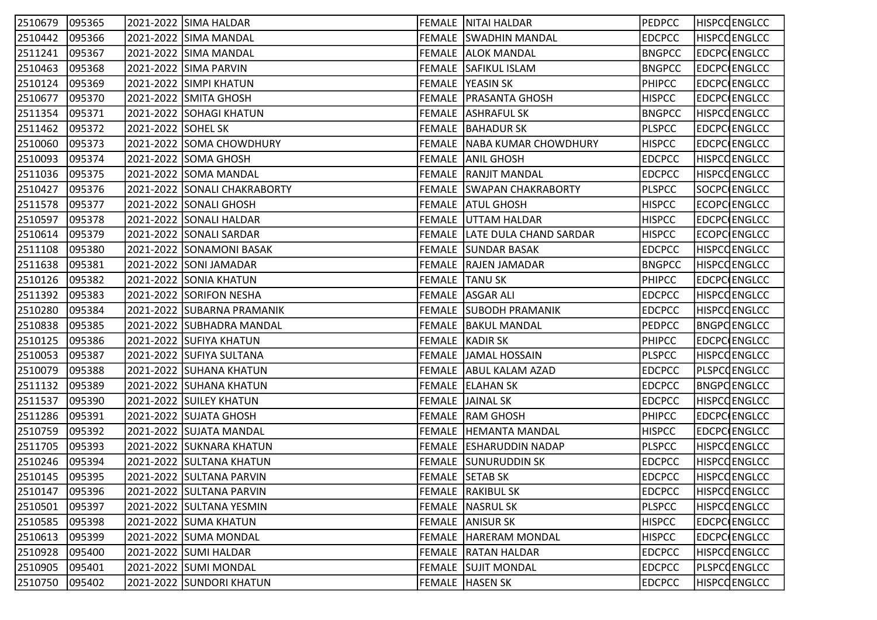| 2510679 | 095365 |                    | 2021-2022 SIMA HALDAR        | <b>FEMALE NITAI HALDAR</b>       | <b>PEDPCC</b> | <b>HISPCCENGLCC</b> |
|---------|--------|--------------------|------------------------------|----------------------------------|---------------|---------------------|
| 2510442 | 095366 |                    | 2021-2022 SIMA MANDAL        | <b>FEMALE SWADHIN MANDAL</b>     | <b>EDCPCC</b> | <b>HISPCCENGLCC</b> |
| 2511241 | 095367 |                    | 2021-2022 SIMA MANDAL        | <b>FEMALE AALOK MANDAL</b>       | <b>BNGPCC</b> | <b>EDCPC</b> ENGLCC |
| 2510463 | 095368 |                    | 2021-2022 SIMA PARVIN        | FEMALE SAFIKUL ISLAM             | <b>BNGPCC</b> | EDCPC ENGLCC        |
| 2510124 | 095369 |                    | 2021-2022 SIMPI KHATUN       | FEMALE YEASIN SK                 | <b>PHIPCC</b> | EDCPC ENGLCC        |
| 2510677 | 095370 |                    | 2021-2022 SMITA GHOSH        | FEMALE   PRASANTA GHOSH          | <b>HISPCC</b> | EDCPC ENGLCC        |
| 2511354 | 095371 |                    | 2021-2022 SOHAGI KHATUN      | <b>FEMALE ASHRAFUL SK</b>        | <b>BNGPCC</b> | <b>HISPCCENGLCC</b> |
| 2511462 | 095372 | 2021-2022 SOHEL SK |                              | FEMALE BAHADUR SK                | <b>PLSPCC</b> | EDCPC ENGLCC        |
| 2510060 | 095373 |                    | 2021-2022 SOMA CHOWDHURY     | FEMALE NABA KUMAR CHOWDHURY      | <b>HISPCC</b> | <b>EDCPC</b> ENGLCC |
| 2510093 | 095374 |                    | 2021-2022 SOMA GHOSH         | <b>FEMALE AANIL GHOSH</b>        | <b>EDCPCC</b> | <b>HISPCCENGLCC</b> |
| 2511036 | 095375 |                    | 2021-2022 SOMA MANDAL        | <b>FEMALE RANJIT MANDAL</b>      | <b>EDCPCC</b> | <b>HISPCCENGLCC</b> |
| 2510427 | 095376 |                    | 2021-2022 SONALI CHAKRABORTY | <b>FEMALE SWAPAN CHAKRABORTY</b> | <b>PLSPCC</b> | SOCPC ENGLCC        |
| 2511578 | 095377 |                    | 2021-2022 SONALI GHOSH       | FEMALE ATUL GHOSH                | <b>HISPCC</b> | ECOPC ENGLCC        |
| 2510597 | 095378 |                    | 2021-2022 SONALI HALDAR      | <b>FEMALE UTTAM HALDAR</b>       | <b>HISPCC</b> | EDCPC ENGLCC        |
| 2510614 | 095379 |                    | 2021-2022 SONALI SARDAR      | FEMALE LATE DULA CHAND SARDAR    | <b>HISPCC</b> | ECOPC ENGLCC        |
| 2511108 | 095380 |                    | 2021-2022 SONAMONI BASAK     | <b>FEMALE SUNDAR BASAK</b>       | <b>EDCPCC</b> | <b>HISPCCENGLCC</b> |
| 2511638 | 095381 |                    | 2021-2022 SONI JAMADAR       | FEMALE RAJEN JAMADAR             | <b>BNGPCC</b> | <b>HISPCCENGLCC</b> |
| 2510126 | 095382 |                    | 2021-2022 SONIA KHATUN       | FEMALE TANU SK                   | <b>PHIPCC</b> | EDCPC ENGLCC        |
| 2511392 | 095383 |                    | 2021-2022 SORIFON NESHA      | FEMALE ASGAR ALI                 | <b>EDCPCC</b> | <b>HISPCCENGLCC</b> |
| 2510280 | 095384 |                    | 2021-2022 SUBARNA PRAMANIK   | <b>FEMALE SUBODH PRAMANIK</b>    | <b>EDCPCC</b> | <b>HISPCCENGLCC</b> |
| 2510838 | 095385 |                    | 2021-2022 SUBHADRA MANDAL    | <b>FEMALE   BAKUL MANDAL</b>     | <b>PEDPCC</b> | <b>BNGPCENGLCC</b>  |
| 2510125 | 095386 |                    | 2021-2022 SUFIYA KHATUN      | FEMALE KADIR SK                  | <b>PHIPCC</b> | EDCPC ENGLCC        |
| 2510053 | 095387 |                    | 2021-2022 SUFIYA SULTANA     | <b>FEMALE JAMAL HOSSAIN</b>      | <b>PLSPCC</b> | <b>HISPCCENGLCC</b> |
| 2510079 | 095388 |                    | 2021-2022 SUHANA KHATUN      | FEMALE ABUL KALAM AZAD           | <b>EDCPCC</b> | PLSPCCENGLCC        |
| 2511132 | 095389 |                    | 2021-2022 SUHANA KHATUN      | FEMALE   ELAHAN SK               | <b>EDCPCC</b> | <b>BNGPCENGLCC</b>  |
| 2511537 | 095390 |                    | 2021-2022 SUILEY KHATUN      | FEMALE JAINAL SK                 | <b>EDCPCC</b> | <b>HISPCCENGLCC</b> |
| 2511286 | 095391 |                    | 2021-2022 SUJATA GHOSH       | <b>FEMALE RAM GHOSH</b>          | <b>PHIPCC</b> | EDCPC ENGLCC        |
| 2510759 | 095392 |                    | 2021-2022 SUJATA MANDAL      | <b>FEMALE   HEMANTA MANDAL</b>   | <b>HISPCC</b> | EDCPC ENGLCC        |
| 2511705 | 095393 |                    | 2021-2022 SUKNARA KHATUN     | FEMALE ESHARUDDIN NADAP          | <b>PLSPCC</b> | HISPCQENGLCC        |
| 2510246 | 095394 |                    | 2021-2022 SULTANA KHATUN     | FEMALE SUNURUDDIN SK             | <b>EDCPCC</b> | <b>HISPCCENGLCC</b> |
| 2510145 | 095395 |                    | 2021-2022 SULTANA PARVIN     | <b>FEMALE SETAB SK</b>           | <b>EDCPCC</b> | <b>HISPCCENGLCC</b> |
| 2510147 | 095396 |                    | 2021-2022 SULTANA PARVIN     | <b>FEMALE RAKIBUL SK</b>         | <b>EDCPCC</b> | <b>HISPCCENGLCC</b> |
| 2510501 | 095397 |                    | 2021-2022 SULTANA YESMIN     | <b>FEMALE NASRUL SK</b>          | <b>PLSPCC</b> | <b>HISPCCENGLCC</b> |
| 2510585 | 095398 |                    | 2021-2022 SUMA KHATUN        | FEMALE ANISUR SK                 | <b>HISPCC</b> | EDCPC ENGLCC        |
| 2510613 | 095399 |                    | 2021-2022 SUMA MONDAL        | FEMALE  HARERAM MONDAL           | <b>HISPCC</b> | <b>EDCPC ENGLCC</b> |
| 2510928 | 095400 |                    | 2021-2022 SUMI HALDAR        | <b>FEMALE   RATAN HALDAR</b>     | <b>EDCPCC</b> | <b>HISPCCENGLCC</b> |
| 2510905 | 095401 |                    | 2021-2022 SUMI MONDAL        | <b>FEMALE SUJIT MONDAL</b>       | <b>EDCPCC</b> | <b>PLSPCCENGLCC</b> |
| 2510750 | 095402 |                    | 2021-2022 SUNDORI KHATUN     | FEMALE HASEN SK                  | <b>EDCPCC</b> | <b>HISPCCENGLCC</b> |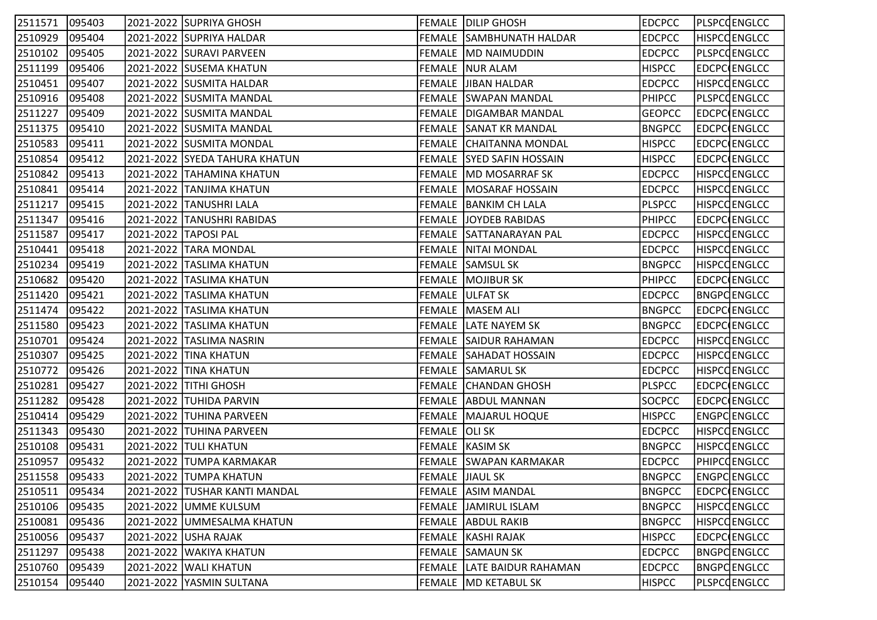| 2511571 | 095403 | 2021-2022 SUPRIYA GHOSH       |                        | FEMALE DILIP GHOSH               | <b>EDCPCC</b> | PLSPCCENGLCC        |
|---------|--------|-------------------------------|------------------------|----------------------------------|---------------|---------------------|
| 2510929 | 095404 | 2021-2022 SUPRIYA HALDAR      |                        | FEMALE SAMBHUNATH HALDAR         | <b>EDCPCC</b> | <b>HISPCCENGLCC</b> |
| 2510102 | 095405 | 2021-2022 SURAVI PARVEEN      |                        | FEMALE   MD NAIMUDDIN            | <b>EDCPCC</b> | PLSPCOENGLCC        |
| 2511199 | 095406 | 2021-2022 SUSEMA KHATUN       |                        | FEMALE NUR ALAM                  | <b>HISPCC</b> | EDCPC ENGLCC        |
| 2510451 | 095407 | 2021-2022 SUSMITA HALDAR      |                        | FEMALE JJIBAN HALDAR             | <b>EDCPCC</b> | HISPCQENGLCC        |
| 2510916 | 095408 | 2021-2022 SUSMITA MANDAL      |                        | FEMALE SWAPAN MANDAL             | <b>PHIPCC</b> | PLSPCCENGLCC        |
| 2511227 | 095409 | 2021-2022 SUSMITA MANDAL      |                        | <b>FEMALE   DIGAMBAR MANDAL</b>  | <b>GEOPCC</b> | EDCPC ENGLCC        |
| 2511375 | 095410 | 2021-2022  SUSMITA MANDAL     |                        | FEMALE SANAT KR MANDAL           | <b>BNGPCC</b> | EDCPC ENGLCC        |
| 2510583 | 095411 | 2021-2022 SUSMITA MONDAL      |                        | FEMALE CHAITANNA MONDAL          | <b>HISPCC</b> | EDCPC ENGLCC        |
| 2510854 | 095412 | 2021-2022 SYEDA TAHURA KHATUN |                        | <b>FEMALE SYED SAFIN HOSSAIN</b> | <b>HISPCC</b> | EDCPC ENGLCC        |
| 2510842 | 095413 | 2021-2022   TAHAMINA KHATUN   |                        | FEMALE MD MOSARRAF SK            | <b>EDCPCC</b> | <b>HISPCCENGLCC</b> |
| 2510841 | 095414 | 2021-2022 TANJIMA KHATUN      |                        | FEMALE   MOSARAF HOSSAIN         | <b>EDCPCC</b> | <b>HISPCCENGLCC</b> |
| 2511217 | 095415 | 2021-2022 TANUSHRI LALA       |                        | FEMALE BANKIM CH LALA            | <b>PLSPCC</b> | <b>HISPCCENGLCC</b> |
| 2511347 | 095416 | 2021-2022 TANUSHRI RABIDAS    |                        | <b>FEMALE JOYDEB RABIDAS</b>     | <b>PHIPCC</b> | EDCPC ENGLCC        |
| 2511587 | 095417 | 2021-2022 TAPOSI PAL          |                        | FEMALE SATTANARAYAN PAL          | <b>EDCPCC</b> | <b>HISPCCENGLCC</b> |
| 2510441 | 095418 | 2021-2022 TARA MONDAL         |                        | FEMALE NITAI MONDAL              | <b>EDCPCC</b> | <b>HISPCCENGLCC</b> |
| 2510234 | 095419 | 2021-2022 TASLIMA KHATUN      |                        | <b>FEMALE SAMSUL SK</b>          | <b>BNGPCC</b> | <b>HISPCCENGLCC</b> |
| 2510682 | 095420 | 2021-2022 TASLIMA KHATUN      |                        | <b>FEMALE   MOJIBUR SK</b>       | <b>PHIPCC</b> | EDCPC ENGLCC        |
| 2511420 | 095421 | 2021-2022 TASLIMA KHATUN      |                        | FEMALE ULFAT SK                  | <b>EDCPCC</b> | <b>BNGPCENGLCC</b>  |
| 2511474 | 095422 | 2021-2022  TASLIMA KHATUN     |                        | <b>FEMALE MASEM ALI</b>          | <b>BNGPCC</b> | EDCPC ENGLCC        |
| 2511580 | 095423 | 2021-2022 TASLIMA KHATUN      |                        | <b>FEMALE LATE NAYEM SK</b>      | <b>BNGPCC</b> | EDCPC ENGLCC        |
| 2510701 | 095424 | 2021-2022 TASLIMA NASRIN      |                        | <b>FEMALE SAIDUR RAHAMAN</b>     | <b>EDCPCC</b> | <b>HISPCCENGLCC</b> |
| 2510307 | 095425 | 2021-2022 TINA KHATUN         |                        | FEMALE SAHADAT HOSSAIN           | <b>EDCPCC</b> | <b>HISPCCENGLCC</b> |
| 2510772 | 095426 | 2021-2022 TINA KHATUN         |                        | <b>FEMALE SAMARUL SK</b>         | <b>EDCPCC</b> | HISPCQENGLCC        |
| 2510281 | 095427 | 2021-2022 TITHI GHOSH         |                        | FEMALE CHANDAN GHOSH             | <b>PLSPCC</b> | EDCPC ENGLCC        |
| 2511282 | 095428 | 2021-2022 TUHIDA PARVIN       |                        | FEMALE ABDUL MANNAN              | SOCPCC        | EDCPC ENGLCC        |
| 2510414 | 095429 | 2021-2022  TUHINA PARVEEN     |                        | FEMALE   MAJARUL HOQUE           | <b>HISPCC</b> | ENGPCENGLCC         |
| 2511343 | 095430 | 2021-2022 TUHINA PARVEEN      | FEMALE OLI SK          |                                  | <b>EDCPCC</b> | <b>HISPCCENGLCC</b> |
| 2510108 | 095431 | 2021-2022 TULI KHATUN         |                        | FEMALE   KASIM SK                | <b>BNGPCC</b> | <b>HISPCCENGLCC</b> |
| 2510957 | 095432 | 2021-2022 TUMPA KARMAKAR      |                        | FEMALE SWAPAN KARMAKAR           | <b>EDCPCC</b> | PHIPCOENGLCC        |
| 2511558 | 095433 | 2021-2022 TUMPA KHATUN        | <b>FEMALE JIAUL SK</b> |                                  | <b>BNGPCC</b> | ENGPCENGLCC         |
| 2510511 | 095434 | 2021-2022 TUSHAR KANTI MANDAL |                        | FEMALE ASIM MANDAL               | <b>BNGPCC</b> | <b>EDCPC ENGLCC</b> |
| 2510106 | 095435 | 2021-2022 UMME KULSUM         |                        | <b>FEMALE JAMIRUL ISLAM</b>      | <b>BNGPCC</b> | <b>HISPCCENGLCC</b> |
| 2510081 | 095436 | 2021-2022 UMMESALMA KHATUN    |                        | FEMALE ABDUL RAKIB               | <b>BNGPCC</b> | <b>HISPCCENGLCC</b> |
| 2510056 | 095437 | 2021-2022 USHA RAJAK          |                        | FEMALE   KASHI RAJAK             | <b>HISPCC</b> | EDCPC ENGLCC        |
| 2511297 | 095438 | 2021-2022   WAKIYA KHATUN     |                        | <b>FEMALE SAMAUN SK</b>          | <b>EDCPCC</b> | BNGPCENGLCC         |
| 2510760 | 095439 | 2021-2022   WALI KHATUN       |                        | FEMALE LATE BAIDUR RAHAMAN       | <b>EDCPCC</b> | <b>BNGPCENGLCC</b>  |
| 2510154 | 095440 | 2021-2022 YASMIN SULTANA      |                        | FEMALE MD KETABUL SK             | <b>HISPCC</b> | PLSPCOENGLCC        |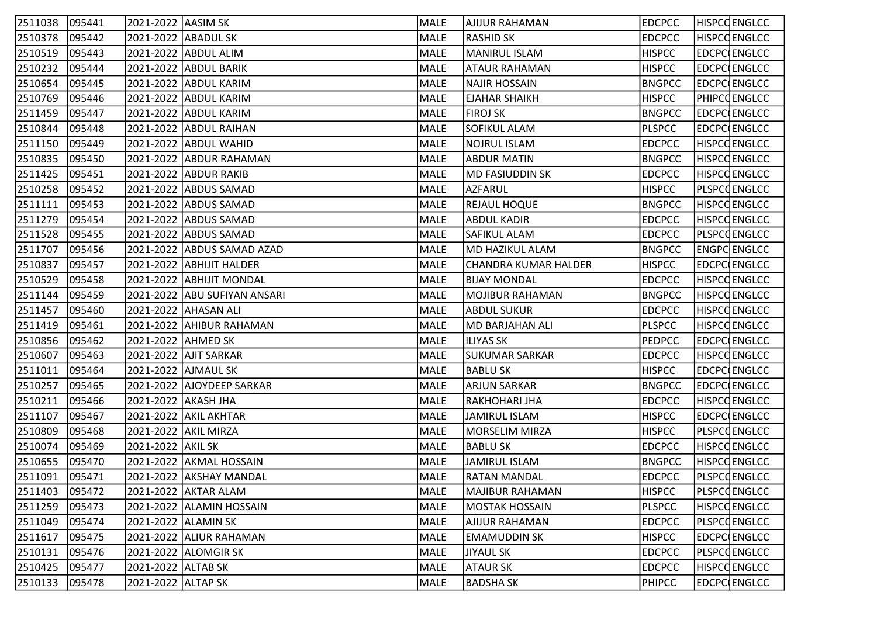| 2511038 | 095441 | 2021-2022 AASIM SK   |                              | MALE | AJIJUR RAHAMAN        | <b>EDCPCC</b> | <b>HISPCCENGLCC</b> |
|---------|--------|----------------------|------------------------------|------|-----------------------|---------------|---------------------|
| 2510378 | 095442 | 2021-2022 ABADUL SK  |                              | MALE | <b>RASHID SK</b>      | <b>EDCPCC</b> | <b>HISPCCENGLCC</b> |
| 2510519 | 095443 |                      | 2021-2022 ABDUL ALIM         | MALE | <b>MANIRUL ISLAM</b>  | <b>HISPCC</b> | <b>EDCPC</b> ENGLCC |
| 2510232 | 095444 |                      | 2021-2022 ABDUL BARIK        | MALE | <b>ATAUR RAHAMAN</b>  | <b>HISPCC</b> | EDCPC ENGLCC        |
| 2510654 | 095445 |                      | 2021-2022 ABDUL KARIM        | MALE | <b>NAJIR HOSSAIN</b>  | <b>BNGPCC</b> | EDCPC ENGLCC        |
| 2510769 | 095446 |                      | 2021-2022 ABDUL KARIM        | MALE | EJAHAR SHAIKH         | <b>HISPCC</b> | PHIPCOENGLCC        |
| 2511459 | 095447 |                      | 2021-2022 ABDUL KARIM        | MALE | <b>FIROJ SK</b>       | <b>BNGPCC</b> | EDCPC ENGLCC        |
| 2510844 | 095448 |                      | 2021-2022 ABDUL RAIHAN       | MALE | <b>SOFIKUL ALAM</b>   | <b>PLSPCC</b> | EDCPC ENGLCC        |
| 2511150 | 095449 |                      | 2021-2022 ABDUL WAHID        | MALE | <b>NOJRUL ISLAM</b>   | <b>EDCPCC</b> | <b>HISPCCENGLCC</b> |
| 2510835 | 095450 |                      | 2021-2022 ABDUR RAHAMAN      | MALE | <b>ABDUR MATIN</b>    | <b>BNGPCC</b> | <b>HISPCCENGLCC</b> |
| 2511425 | 095451 |                      | 2021-2022 ABDUR RAKIB        | MALE | MD FASIUDDIN SK       | <b>EDCPCC</b> | <b>HISPCCENGLCC</b> |
| 2510258 | 095452 |                      | 2021-2022 ABDUS SAMAD        | MALE | AZFARUL               | <b>HISPCC</b> | PLSPCQENGLCC        |
| 2511111 | 095453 |                      | 2021-2022 ABDUS SAMAD        | MALE | <b>REJAUL HOQUE</b>   | <b>BNGPCC</b> | <b>HISPCCENGLCC</b> |
| 2511279 | 095454 |                      | 2021-2022 ABDUS SAMAD        | MALE | <b>ABDUL KADIR</b>    | <b>EDCPCC</b> | <b>HISPCCENGLCC</b> |
| 2511528 | 095455 |                      | 2021-2022 ABDUS SAMAD        | MALE | <b>SAFIKUL ALAM</b>   | <b>EDCPCC</b> | <b>PLSPCCENGLCC</b> |
| 2511707 | 095456 |                      | 2021-2022 ABDUS SAMAD AZAD   | MALE | MD HAZIKUL ALAM       | <b>BNGPCC</b> | ENGPC ENGLCC        |
| 2510837 | 095457 |                      | 2021-2022 ABHIJIT HALDER     | MALE | CHANDRA KUMAR HALDER  | <b>HISPCC</b> | EDCPC ENGLCC        |
| 2510529 | 095458 |                      | 2021-2022 ABHIJIT MONDAL     | MALE | BIJAY MONDAL          | <b>EDCPCC</b> | <b>HISPCCENGLCC</b> |
| 2511144 | 095459 |                      | 2021-2022 ABU SUFIYAN ANSARI | MALE | MOJIBUR RAHAMAN       | <b>BNGPCC</b> | <b>HISPCCENGLCC</b> |
| 2511457 | 095460 |                      | 2021-2022 AHASAN ALI         | MALE | <b>ABDUL SUKUR</b>    | <b>EDCPCC</b> | <b>HISPCCENGLCC</b> |
| 2511419 | 095461 |                      | 2021-2022 AHIBUR RAHAMAN     | MALE | MD BARJAHAN ALI       | <b>PLSPCC</b> | <b>HISPCCENGLCC</b> |
| 2510856 | 095462 | 2021-2022 AHMED SK   |                              | MALE | <b>ILIYAS SK</b>      | <b>PEDPCC</b> | EDCPC ENGLCC        |
| 2510607 | 095463 |                      | 2021-2022 AJIT SARKAR        | MALE | SUKUMAR SARKAR        | <b>EDCPCC</b> | <b>HISPCCENGLCC</b> |
| 2511011 | 095464 |                      | 2021-2022 AJMAUL SK          | MALE | <b>BABLU SK</b>       | <b>HISPCC</b> | EDCPC ENGLCC        |
| 2510257 | 095465 |                      | 2021-2022 AJOYDEEP SARKAR    | MALE | <b>ARJUN SARKAR</b>   | <b>BNGPCC</b> | EDCPC ENGLCC        |
| 2510211 | 095466 | 2021-2022 AKASH JHA  |                              | MALE | RAKHOHARI JHA         | <b>EDCPCC</b> | <b>HISPCCENGLCC</b> |
| 2511107 | 095467 |                      | 2021-2022 AKIL AKHTAR        | MALE | <b>JAMIRUL ISLAM</b>  | <b>HISPCC</b> | EDCPC ENGLCC        |
| 2510809 | 095468 |                      | 2021-2022 AKIL MIRZA         | MALE | <b>MORSELIM MIRZA</b> | <b>HISPCC</b> | <b>PLSPCCENGLCC</b> |
| 2510074 | 095469 | 2021-2022 AKIL SK    |                              | MALE | <b>BABLU SK</b>       | <b>EDCPCC</b> | HISPCQENGLCC        |
| 2510655 | 095470 |                      | 2021-2022 AKMAL HOSSAIN      | MALE | <b>JAMIRUL ISLAM</b>  | <b>BNGPCC</b> | <b>HISPCCENGLCC</b> |
| 2511091 | 095471 |                      | 2021-2022 AKSHAY MANDAL      | MALE | <b>RATAN MANDAL</b>   | <b>EDCPCC</b> | PLSPCCENGLCC        |
| 2511403 | 095472 |                      | 2021-2022 AKTAR ALAM         | MALE | MAJIBUR RAHAMAN       | <b>HISPCC</b> | PLSPCCENGLCC        |
| 2511259 | 095473 |                      | 2021-2022 ALAMIN HOSSAIN     | MALE | <b>MOSTAK HOSSAIN</b> | <b>PLSPCC</b> | <b>HISPCCENGLCC</b> |
| 2511049 | 095474 |                      | 2021-2022 ALAMIN SK          | MALE | <b>AJIJUR RAHAMAN</b> | <b>EDCPCC</b> | <b>PLSPCCENGLCC</b> |
| 2511617 | 095475 |                      | 2021-2022 ALIUR RAHAMAN      | MALE | <b>EMAMUDDIN SK</b>   | <b>HISPCC</b> | EDCPC ENGLCC        |
| 2510131 | 095476 |                      | 2021-2022 ALOMGIR SK         | MALE | <b>JIYAUL SK</b>      | <b>EDCPCC</b> | PLSPCQENGLCC        |
| 2510425 | 095477 | 2021-2022   ALTAB SK |                              | MALE | <b>ATAUR SK</b>       | <b>EDCPCC</b> | <b>HISPCCENGLCC</b> |
| 2510133 | 095478 | 2021-2022 ALTAP SK   |                              | MALE | <b>BADSHA SK</b>      | <b>PHIPCC</b> | EDCPC ENGLCC        |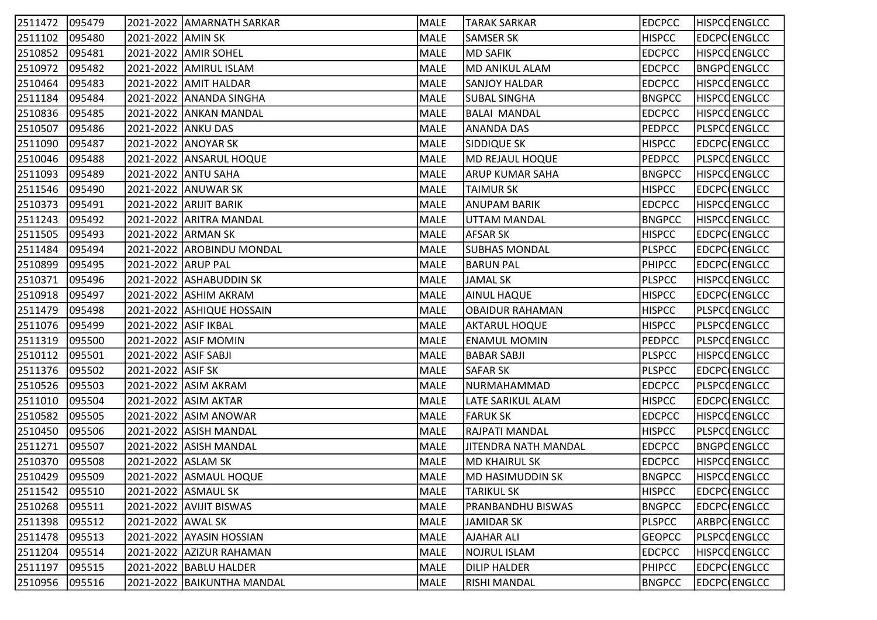| 2511472 | 095479 |                      | 2021-2022 AMARNATH SARKAR  | MALE | TARAK SARKAR           | <b>EDCPCC</b> | <b>HISPCCENGLCC</b> |
|---------|--------|----------------------|----------------------------|------|------------------------|---------------|---------------------|
| 2511102 | 095480 | 2021-2022 AMIN SK    |                            | MALE | <b>SAMSER SK</b>       | <b>HISPCC</b> | <b>EDCPC ENGLCC</b> |
| 2510852 | 095481 |                      | 2021-2022 AMIR SOHEL       | MALE | MD SAFIK               | <b>EDCPCC</b> | <b>HISPCCENGLCC</b> |
| 2510972 | 095482 |                      | 2021-2022 AMIRUL ISLAM     | MALE | MD ANIKUL ALAM         | <b>EDCPCC</b> | <b>BNGPCENGLCC</b>  |
| 2510464 | 095483 |                      | 2021-2022 AMIT HALDAR      | MALE | <b>SANJOY HALDAR</b>   | <b>EDCPCC</b> | <b>HISPCCENGLCC</b> |
| 2511184 | 095484 |                      | 2021-2022 ANANDA SINGHA    | MALE | <b>SUBAL SINGHA</b>    | <b>BNGPCC</b> | <b>HISPCCENGLCC</b> |
| 2510836 | 095485 |                      | 2021-2022 ANKAN MANDAL     | MALE | <b>BALAI MANDAL</b>    | <b>EDCPCC</b> | <b>HISPCCENGLCC</b> |
| 2510507 | 095486 | 2021-2022 ANKU DAS   |                            | MALE | <b>ANANDA DAS</b>      | <b>PEDPCC</b> | <b>PLSPCCENGLCC</b> |
| 2511090 | 095487 |                      | 2021-2022 ANOYAR SK        | MALE | SIDDIQUE SK            | <b>HISPCC</b> | EDCPC ENGLCC        |
| 2510046 | 095488 |                      | 2021-2022 ANSARUL HOQUE    | MALE | MD REJAUL HOQUE        | <b>PEDPCC</b> | PLSPCOENGLCC        |
| 2511093 | 095489 |                      | 2021-2022 ANTU SAHA        | MALE | <b>ARUP KUMAR SAHA</b> | <b>BNGPCC</b> | HISPCCENGLCC        |
| 2511546 | 095490 |                      | 2021-2022 ANUWAR SK        | MALE | <b>TAIMUR SK</b>       | <b>HISPCC</b> | EDCPC ENGLCC        |
| 2510373 | 095491 |                      | 2021-2022   ARIJIT BARIK   | MALE | <b>ANUPAM BARIK</b>    | <b>EDCPCC</b> | <b>HISPCCENGLCC</b> |
| 2511243 | 095492 |                      | 2021-2022 ARITRA MANDAL    | MALE | UTTAM MANDAL           | <b>BNGPCC</b> | <b>HISPCCENGLCC</b> |
| 2511505 | 095493 | 2021-2022 ARMAN SK   |                            | MALE | <b>AFSAR SK</b>        | <b>HISPCC</b> | EDCPC ENGLCC        |
| 2511484 | 095494 |                      | 2021-2022 AROBINDU MONDAL  | MALE | <b>SUBHAS MONDAL</b>   | <b>PLSPCC</b> | EDCPC ENGLCC        |
| 2510899 | 095495 | 2021-2022 ARUP PAL   |                            | MALE | <b>BARUN PAL</b>       | <b>PHIPCC</b> | EDCPC ENGLCC        |
| 2510371 | 095496 |                      | 2021-2022 ASHABUDDIN SK    | MALE | <b>JAMAL SK</b>        | <b>PLSPCC</b> | <b>HISPCCENGLCC</b> |
| 2510918 | 095497 |                      | 2021-2022 ASHIM AKRAM      | MALE | <b>AINUL HAQUE</b>     | <b>HISPCC</b> | EDCPC ENGLCC        |
| 2511479 | 095498 |                      | 2021-2022 ASHIQUE HOSSAIN  | MALE | <b>OBAIDUR RAHAMAN</b> | <b>HISPCC</b> | <b>PLSPCCENGLCC</b> |
| 2511076 | 095499 | 2021-2022 ASIF IKBAL |                            | MALE | <b>AKTARUL HOQUE</b>   | <b>HISPCC</b> | <b>PLSPCCENGLCC</b> |
| 2511319 | 095500 |                      | 2021-2022 ASIF MOMIN       | MALE | <b>ENAMUL MOMIN</b>    | <b>PEDPCC</b> | <b>PLSPCCENGLCC</b> |
| 2510112 | 095501 | 2021-2022 ASIF SABJI |                            | MALE | <b>BABAR SABJI</b>     | <b>PLSPCC</b> | <b>HISPCCENGLCC</b> |
| 2511376 | 095502 | 2021-2022 ASIF SK    |                            | MALE | <b>SAFAR SK</b>        | <b>PLSPCC</b> | EDCPC ENGLCC        |
| 2510526 | 095503 |                      | 2021-2022 ASIM AKRAM       | MALE | NURMAHAMMAD            | <b>EDCPCC</b> | <b>PLSPCCENGLCC</b> |
| 2511010 | 095504 |                      | 2021-2022 ASIM AKTAR       | MALE | LATE SARIKUL ALAM      | <b>HISPCC</b> | EDCPC ENGLCC        |
| 2510582 | 095505 |                      | 2021-2022 ASIM ANOWAR      | MALE | <b>FARUK SK</b>        | <b>EDCPCC</b> | <b>HISPCCENGLCC</b> |
| 2510450 | 095506 |                      | 2021-2022 ASISH MANDAL     | MALE | RAJPATI MANDAL         | <b>HISPCC</b> | <b>PLSPCCENGLCC</b> |
| 2511271 | 095507 |                      | 2021-2022 ASISH MANDAL     | MALE | JITENDRA NATH MANDAL   | <b>EDCPCC</b> | <b>BNGPCENGLCC</b>  |
| 2510370 | 095508 | 2021-2022 ASLAM SK   |                            | MALE | <b>MD KHAIRUL SK</b>   | <b>EDCPCC</b> | <b>HISPCCENGLCC</b> |
| 2510429 | 095509 |                      | 2021-2022 ASMAUL HOQUE     | MALE | MD HASIMUDDIN SK       | <b>BNGPCC</b> | <b>HISPCCENGLCC</b> |
| 2511542 | 095510 |                      | 2021-2022 ASMAUL SK        | MALE | <b>TARIKUL SK</b>      | <b>HISPCC</b> | <b>EDCPC ENGLCC</b> |
| 2510268 | 095511 |                      | 2021-2022 AVIJIT BISWAS    | MALE | PRANBANDHU BISWAS      | <b>BNGPCC</b> | EDCPC ENGLCC        |
| 2511398 | 095512 | 2021-2022 AWAL SK    |                            | MALE | <b>JAMIDAR SK</b>      | <b>PLSPCC</b> | ARBPC ENGLCC        |
| 2511478 | 095513 |                      | 2021-2022 AYASIN HOSSIAN   | MALE | <b>AJAHAR ALI</b>      | <b>GEOPCC</b> | <b>PLSPCCENGLCC</b> |
| 2511204 | 095514 |                      | 2021-2022 AZIZUR RAHAMAN   | MALE | <b>NOJRUL ISLAM</b>    | <b>EDCPCC</b> | <b>HISPCCENGLCC</b> |
| 2511197 | 095515 |                      | 2021-2022   BABLU HALDER   | MALE | <b>DILIP HALDER</b>    | <b>PHIPCC</b> | EDCPC ENGLCC        |
| 2510956 | 095516 |                      | 2021-2022 BAIKUNTHA MANDAL | MALE | <b>RISHI MANDAL</b>    | <b>BNGPCC</b> | EDCPC ENGLCC        |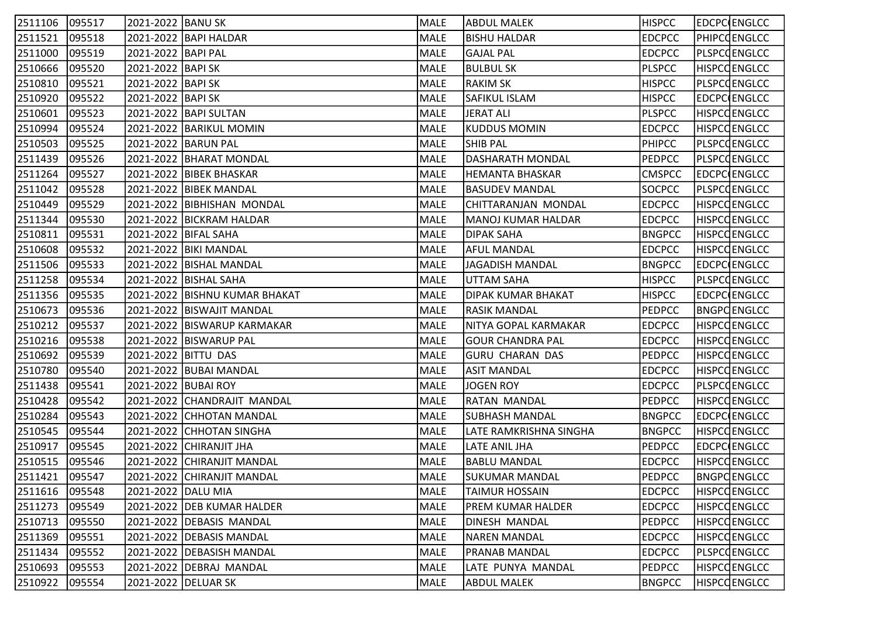| 2511106 | 095517 | 2021-2022 BANU SK    |                               | MALE        | <b>ABDUL MALEK</b>        | <b>HISPCC</b> | EDCPC ENGLCC        |
|---------|--------|----------------------|-------------------------------|-------------|---------------------------|---------------|---------------------|
| 2511521 | 095518 |                      | 2021-2022 BAPI HALDAR         | MALE        | <b>BISHU HALDAR</b>       | <b>EDCPCC</b> | <b>PHIPCOENGLCC</b> |
| 2511000 | 095519 | 2021-2022   BAPI PAL |                               | MALE        | <b>GAJAL PAL</b>          | <b>EDCPCC</b> | PLSPCQENGLCC        |
| 2510666 | 095520 | 2021-2022   BAPI SK  |                               | MALE        | <b>BULBUL SK</b>          | <b>PLSPCC</b> | <b>HISPCCENGLCC</b> |
| 2510810 | 095521 | 2021-2022 BAPI SK    |                               | MALE        | <b>RAKIM SK</b>           | <b>HISPCC</b> | <b>PLSPCCENGLCC</b> |
| 2510920 | 095522 | 2021-2022   BAPI SK  |                               | MALE        | <b>SAFIKUL ISLAM</b>      | <b>HISPCC</b> | EDCPC ENGLCC        |
| 2510601 | 095523 |                      | 2021-2022   BAPI SULTAN       | MALE        | JERAT ALI                 | <b>PLSPCC</b> | <b>HISPCCENGLCC</b> |
| 2510994 | 095524 |                      | 2021-2022 BARIKUL MOMIN       | MALE        | KUDDUS MOMIN              | <b>EDCPCC</b> | <b>HISPCCENGLCC</b> |
| 2510503 | 095525 |                      | 2021-2022 BARUN PAL           | MALE        | <b>SHIB PAL</b>           | <b>PHIPCC</b> | PLSPCCENGLCC        |
| 2511439 | 095526 |                      | 2021-2022   BHARAT MONDAL     | MALE        | DASHARATH MONDAL          | <b>PEDPCC</b> | PLSPCCENGLCC        |
| 2511264 | 095527 |                      | 2021-2022   BIBEK BHASKAR     | MALE        | <b>HEMANTA BHASKAR</b>    | <b>CMSPCC</b> | EDCPC ENGLCC        |
| 2511042 | 095528 |                      | 2021-2022 BIBEK MANDAL        | MALE        | <b>BASUDEV MANDAL</b>     | SOCPCC        | PLSPCQENGLCC        |
| 2510449 | 095529 |                      | 2021-2022 BIBHISHAN MONDAL    | MALE        | CHITTARANJAN MONDAL       | <b>EDCPCC</b> | <b>HISPCCENGLCC</b> |
| 2511344 | 095530 |                      | 2021-2022 BICKRAM HALDAR      | MALE        | <b>MANOJ KUMAR HALDAR</b> | <b>EDCPCC</b> | <b>HISPCCENGLCC</b> |
| 2510811 | 095531 |                      | 2021-2022   BIFAL SAHA        | MALE        | <b>DIPAK SAHA</b>         | <b>BNGPCC</b> | <b>HISPCCENGLCC</b> |
| 2510608 | 095532 |                      | 2021-2022 BIKI MANDAL         | MALE        | <b>AFUL MANDAL</b>        | <b>EDCPCC</b> | <b>HISPCCENGLCC</b> |
| 2511506 | 095533 |                      | 2021-2022   BISHAL MANDAL     | MALE        | JAGADISH MANDAL           | <b>BNGPCC</b> | EDCPC ENGLCC        |
| 2511258 | 095534 |                      | 2021-2022   BISHAL SAHA       | MALE        | UTTAM SAHA                | <b>HISPCC</b> | <b>PLSPCCENGLCC</b> |
| 2511356 | 095535 |                      | 2021-2022 BISHNU KUMAR BHAKAT | MALE        | <b>DIPAK KUMAR BHAKAT</b> | <b>HISPCC</b> | <b>EDCPC ENGLCC</b> |
| 2510673 | 095536 |                      | 2021-2022 BISWAJIT MANDAL     | MALE        | <b>RASIK MANDAL</b>       | <b>PEDPCC</b> | <b>BNGPCENGLCC</b>  |
| 2510212 | 095537 |                      | 2021-2022 BISWARUP KARMAKAR   | MALE        | NITYA GOPAL KARMAKAR      | <b>EDCPCC</b> | <b>HISPCCENGLCC</b> |
| 2510216 | 095538 |                      | 2021-2022 BISWARUP PAL        | MALE        | GOUR CHANDRA PAL          | <b>EDCPCC</b> | <b>HISPCCENGLCC</b> |
| 2510692 | 095539 | 2021-2022 BITTU DAS  |                               | MALE        | <b>GURU CHARAN DAS</b>    | <b>PEDPCC</b> | <b>HISPCCENGLCC</b> |
| 2510780 | 095540 |                      | 2021-2022 BUBAI MANDAL        | MALE        | <b>ASIT MANDAL</b>        | <b>EDCPCC</b> | HISPCQENGLCC        |
| 2511438 | 095541 | 2021-2022 BUBAI ROY  |                               | <b>MALE</b> | <b>JOGEN ROY</b>          | <b>EDCPCC</b> | PLSPCCENGLCC        |
| 2510428 | 095542 |                      | 2021-2022 CHANDRAJIT MANDAL   | MALE        | <b>RATAN MANDAL</b>       | <b>PEDPCC</b> | <b>HISPCCENGLCC</b> |
| 2510284 | 095543 |                      | 2021-2022 CHHOTAN MANDAL      | MALE        | SUBHASH MANDAL            | <b>BNGPCC</b> | EDCPC ENGLCC        |
| 2510545 | 095544 |                      | 2021-2022 CHHOTAN SINGHA      | MALE        | LATE RAMKRISHNA SINGHA    | <b>BNGPCC</b> | <b>HISPCCENGLCC</b> |
| 2510917 | 095545 |                      | 2021-2022 CHIRANJIT JHA       | MALE        | LATE ANIL JHA             | <b>PEDPCC</b> | EDCPC ENGLCC        |
| 2510515 | 095546 |                      | 2021-2022 CHIRANJIT MANDAL    | MALE        | <b>BABLU MANDAL</b>       | <b>EDCPCC</b> | <b>HISPCCENGLCC</b> |
| 2511421 | 095547 |                      | 2021-2022 CHIRANJIT MANDAL    | MALE        | <b>SUKUMAR MANDAL</b>     | <b>PEDPCC</b> | <b>BNGPCENGLCC</b>  |
| 2511616 | 095548 | 2021-2022 DALU MIA   |                               | MALE        | <b>TAIMUR HOSSAIN</b>     | <b>EDCPCC</b> | <b>HISPCCENGLCC</b> |
| 2511273 | 095549 |                      | 2021-2022 DEB KUMAR HALDER    | MALE        | PREM KUMAR HALDER         | <b>EDCPCC</b> | <b>HISPCCENGLCC</b> |
| 2510713 | 095550 |                      | 2021-2022   DEBASIS MANDAL    | MALE        | DINESH MANDAL             | <b>PEDPCC</b> | <b>HISPCCENGLCC</b> |
| 2511369 | 095551 |                      | 2021-2022   DEBASIS MANDAL    | MALE        | <b>NAREN MANDAL</b>       | <b>EDCPCC</b> | <b>HISPCCENGLCC</b> |
| 2511434 | 095552 |                      | 2021-2022   DEBASISH MANDAL   | MALE        | <b>PRANAB MANDAL</b>      | <b>EDCPCC</b> | PLSPCQENGLCC        |
| 2510693 | 095553 |                      | 2021-2022   DEBRAJ MANDAL     | MALE        | LATE PUNYA MANDAL         | <b>PEDPCC</b> | <b>HISPCCENGLCC</b> |
| 2510922 | 095554 | 2021-2022 DELUAR SK  |                               | MALE        | <b>ABDUL MALEK</b>        | <b>BNGPCC</b> | <b>HISPCCENGLCC</b> |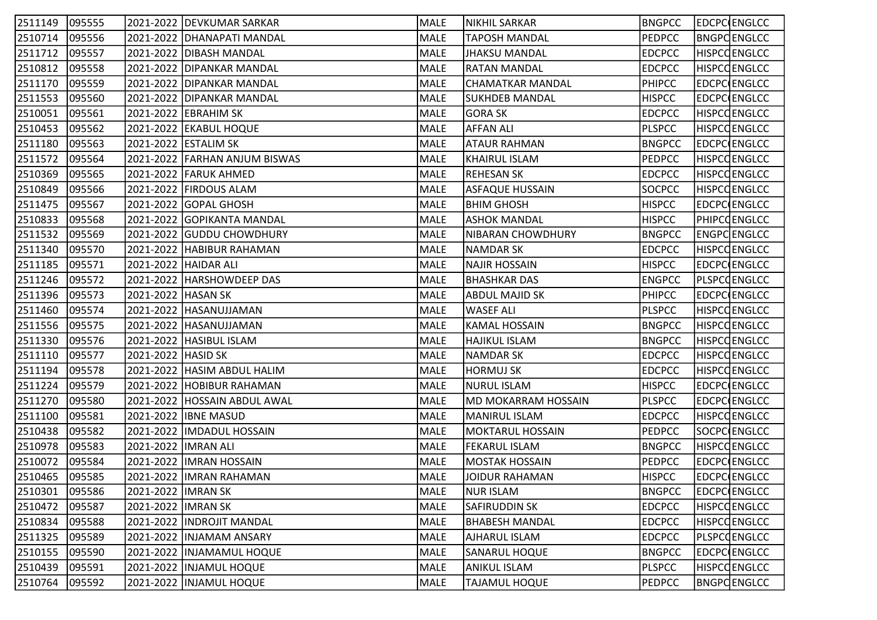| 2511149 | 095555 |                      | 2021-2022   DEVKUMAR SARKAR   | MALE        | NIKHIL SARKAR            | <b>BNGPCC</b> | <b>EDCPC</b> ENGLCC |
|---------|--------|----------------------|-------------------------------|-------------|--------------------------|---------------|---------------------|
| 2510714 | 095556 |                      | 2021-2022   DHANAPATI MANDAL  | MALE        | <b>TAPOSH MANDAL</b>     | <b>PEDPCC</b> | <b>BNGPCENGLCC</b>  |
| 2511712 | 095557 |                      | 2021-2022 DIBASH MANDAL       | MALE        | JHAKSU MANDAL            | <b>EDCPCC</b> | <b>HISPCCENGLCC</b> |
| 2510812 | 095558 |                      | 2021-2022 DIPANKAR MANDAL     | MALE        | <b>RATAN MANDAL</b>      | <b>EDCPCC</b> | <b>HISPCCENGLCC</b> |
| 2511170 | 095559 |                      | 2021-2022 DIPANKAR MANDAL     | MALE        | CHAMATKAR MANDAL         | <b>PHIPCC</b> | EDCPC ENGLCC        |
| 2511553 | 095560 |                      | 2021-2022 DIPANKAR MANDAL     | MALE        | SUKHDEB MANDAL           | <b>HISPCC</b> | EDCPC ENGLCC        |
| 2510051 | 095561 |                      | 2021-2022 EBRAHIM SK          | MALE        | <b>GORA SK</b>           | <b>EDCPCC</b> | <b>HISPCCENGLCC</b> |
| 2510453 | 095562 |                      | 2021-2022 EKABUL HOQUE        | MALE        | <b>AFFAN ALI</b>         | <b>PLSPCC</b> | <b>HISPCCENGLCC</b> |
| 2511180 | 095563 |                      | 2021-2022 ESTALIM SK          | MALE        | <b>ATAUR RAHMAN</b>      | <b>BNGPCC</b> | EDCPC ENGLCC        |
| 2511572 | 095564 |                      | 2021-2022 FARHAN ANJUM BISWAS | MALE        | KHAIRUL ISLAM            | <b>PEDPCC</b> | <b>HISPCCENGLCC</b> |
| 2510369 | 095565 |                      | 2021-2022 FARUK AHMED         | MALE        | <b>REHESAN SK</b>        | <b>EDCPCC</b> | <b>HISPCCENGLCC</b> |
| 2510849 | 095566 |                      | 2021-2022   FIRDOUS ALAM      | MALE        | <b>ASFAQUE HUSSAIN</b>   | <b>SOCPCC</b> | <b>HISPCCENGLCC</b> |
| 2511475 | 095567 |                      | 2021-2022 GOPAL GHOSH         | MALE        | BHIM GHOSH               | <b>HISPCC</b> | EDCPC ENGLCC        |
| 2510833 | 095568 |                      | 2021-2022 GOPIKANTA MANDAL    | MALE        | <b>ASHOK MANDAL</b>      | <b>HISPCC</b> | PHIPCOENGLCC        |
| 2511532 | 095569 |                      | 2021-2022 GUDDU CHOWDHURY     | MALE        | <b>NIBARAN CHOWDHURY</b> | <b>BNGPCC</b> | ENGPCENGLCC         |
| 2511340 | 095570 |                      | 2021-2022 HABIBUR RAHAMAN     | MALE        | <b>NAMDAR SK</b>         | <b>EDCPCC</b> | <b>HISPCCENGLCC</b> |
| 2511185 | 095571 |                      | 2021-2022 HAIDAR ALI          | MALE        | NAJIR HOSSAIN            | <b>HISPCC</b> | EDCPC ENGLCC        |
| 2511246 | 095572 |                      | 2021-2022   HARSHOWDEEP DAS   | MALE        | BHASHKAR DAS             | <b>ENGPCC</b> | <b>PLSPCCENGLCC</b> |
| 2511396 | 095573 | 2021-2022 HASAN SK   |                               | MALE        | <b>ABDUL MAJID SK</b>    | <b>PHIPCC</b> | EDCPC ENGLCC        |
| 2511460 | 095574 |                      | 2021-2022 HASANUJJAMAN        | <b>MALE</b> | <b>WASEF ALI</b>         | <b>PLSPCC</b> | <b>HISPCCENGLCC</b> |
| 2511556 | 095575 |                      | 2021-2022 HASANUJJAMAN        | MALE        | <b>KAMAL HOSSAIN</b>     | <b>BNGPCC</b> | <b>HISPCCENGLCC</b> |
| 2511330 | 095576 |                      | 2021-2022  HASIBUL ISLAM      | MALE        | <b>HAJIKUL ISLAM</b>     | <b>BNGPCC</b> | <b>HISPCCENGLCC</b> |
| 2511110 | 095577 | 2021-2022 HASID SK   |                               | MALE        | <b>NAMDAR SK</b>         | <b>EDCPCC</b> | <b>HISPCCENGLCC</b> |
| 2511194 | 095578 |                      | 2021-2022 HASIM ABDUL HALIM   | MALE        | HORMUJ SK                | <b>EDCPCC</b> | <b>HISPCCENGLCC</b> |
| 2511224 | 095579 |                      | 2021-2022 HOBIBUR RAHAMAN     | MALE        | <b>NURUL ISLAM</b>       | <b>HISPCC</b> | EDCPC ENGLCC        |
| 2511270 | 095580 |                      | 2021-2022 HOSSAIN ABDUL AWAL  | MALE        | MD MOKARRAM HOSSAIN      | <b>PLSPCC</b> | EDCPC ENGLCC        |
| 2511100 | 095581 |                      | 2021-2022 IBNE MASUD          | MALE        | MANIRUL ISLAM            | <b>EDCPCC</b> | <b>HISPCCENGLCC</b> |
| 2510438 | 095582 |                      | 2021-2022  IMDADUL HOSSAIN    | MALE        | <b>MOKTARUL HOSSAIN</b>  | <b>PEDPCC</b> | SOCPC ENGLCC        |
| 2510978 | 095583 | 2021-2022  IMRAN ALI |                               | MALE        | <b>FEKARUL ISLAM</b>     | <b>BNGPCC</b> | HISPCQENGLCC        |
| 2510072 | 095584 |                      | 2021-2022   IMRAN HOSSAIN     | MALE        | MOSTAK HOSSAIN           | <b>PEDPCC</b> | EDCPC ENGLCC        |
| 2510465 | 095585 |                      | 2021-2022  IMRAN RAHAMAN      | MALE        | JOIDUR RAHAMAN           | <b>HISPCC</b> | EDCPC ENGLCC        |
| 2510301 | 095586 | 2021-2022 IMRAN SK   |                               | MALE        | <b>NUR ISLAM</b>         | <b>BNGPCC</b> | <b>EDCPC</b> ENGLCC |
| 2510472 | 095587 | 2021-2022 IMRAN SK   |                               | MALE        | <b>SAFIRUDDIN SK</b>     | <b>EDCPCC</b> | <b>HISPCCENGLCC</b> |
| 2510834 | 095588 |                      | 2021-2022  INDROJIT MANDAL    | MALE        | <b>BHABESH MANDAL</b>    | <b>EDCPCC</b> | <b>HISPCCENGLCC</b> |
| 2511325 | 095589 |                      | 2021-2022   INJAMAM ANSARY    | MALE        | <b>AJHARUL ISLAM</b>     | <b>EDCPCC</b> | <b>PLSPCCENGLCC</b> |
| 2510155 | 095590 |                      | 2021-2022   INJAMAMUL HOQUE   | MALE        | <b>SANARUL HOQUE</b>     | <b>BNGPCC</b> | EDCPC ENGLCC        |
| 2510439 | 095591 |                      | 2021-2022  INJAMUL HOQUE      | MALE        | ANIKUL ISLAM             | <b>PLSPCC</b> | <b>HISPCCENGLCC</b> |
| 2510764 | 095592 |                      | 2021-2022  INJAMUL HOQUE      | MALE        | <b>TAJAMUL HOQUE</b>     | <b>PEDPCC</b> | <b>BNGPCENGLCC</b>  |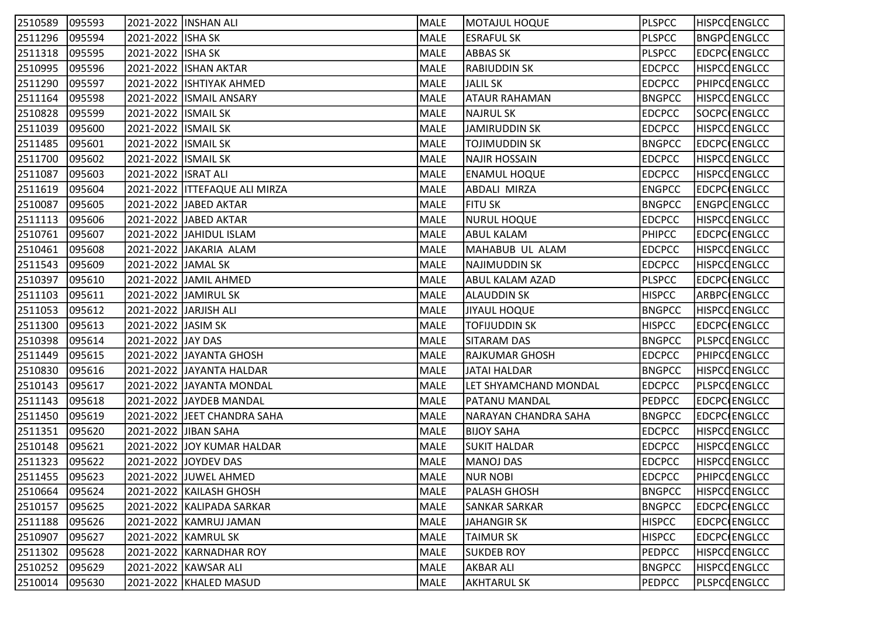| 2510589 | 095593 | 2021-2022 INSHAN ALI  |                                 | MALE        | MOTAJUL HOQUE         | <b>PLSPCC</b> | <b>HISPCCENGLCC</b> |
|---------|--------|-----------------------|---------------------------------|-------------|-----------------------|---------------|---------------------|
| 2511296 | 095594 | 2021-2022 ISHA SK     |                                 | MALE        | <b>ESRAFUL SK</b>     | <b>PLSPCC</b> | <b>BNGPCENGLCC</b>  |
| 2511318 | 095595 | 2021-2022 ISHA SK     |                                 | MALE        | <b>ABBAS SK</b>       | <b>PLSPCC</b> | <b>EDCPC ENGLCC</b> |
| 2510995 | 095596 |                       | 2021-2022 ISHAN AKTAR           | MALE        | <b>RABIUDDIN SK</b>   | <b>EDCPCC</b> | <b>HISPCCENGLCC</b> |
| 2511290 | 095597 |                       | 2021-2022 ISHTIYAK AHMED        | <b>MALE</b> | <b>JALIL SK</b>       | <b>EDCPCC</b> | PHIPCQENGLCC        |
| 2511164 | 095598 |                       | 2021-2022   ISMAIL ANSARY       | MALE        | <b>ATAUR RAHAMAN</b>  | <b>BNGPCC</b> | <b>HISPCCENGLCC</b> |
| 2510828 | 095599 | 2021-2022 ISMAIL SK   |                                 | MALE        | <b>NAJRUL SK</b>      | <b>EDCPCC</b> | SOCPC ENGLCC        |
| 2511039 | 095600 | 2021-2022 ISMAIL SK   |                                 | MALE        | <b>JAMIRUDDIN SK</b>  | <b>EDCPCC</b> | <b>HISPCCENGLCC</b> |
| 2511485 | 095601 | 2021-2022 ISMAIL SK   |                                 | MALE        | <b>TOJIMUDDIN SK</b>  | <b>BNGPCC</b> | <b>EDCPC ENGLCC</b> |
| 2511700 | 095602 | 2021-2022 ISMAIL SK   |                                 | MALE        | <b>NAJIR HOSSAIN</b>  | <b>EDCPCC</b> | HISPCQENGLCC        |
| 2511087 | 095603 | 2021-2022   ISRAT ALI |                                 | MALE        | <b>ENAMUL HOQUE</b>   | <b>EDCPCC</b> | <b>HISPCCENGLCC</b> |
| 2511619 | 095604 |                       | 2021-2022   ITTEFAQUE ALI MIRZA | MALE        | ABDALI MIRZA          | <b>ENGPCC</b> | EDCPC ENGLCC        |
| 2510087 | 095605 |                       | 2021-2022 JJABED AKTAR          | MALE        | <b>FITU SK</b>        | <b>BNGPCC</b> | ENGPCENGLCC         |
| 2511113 | 095606 |                       | 2021-2022 JABED AKTAR           | MALE        | <b>NURUL HOQUE</b>    | <b>EDCPCC</b> | <b>HISPCCENGLCC</b> |
| 2510761 | 095607 |                       | 2021-2022 JJAHIDUL ISLAM        | MALE        | <b>ABUL KALAM</b>     | PHIPCC        | EDCPC ENGLCC        |
| 2510461 | 095608 |                       | 2021-2022 JAKARIA ALAM          | MALE        | MAHABUB UL ALAM       | <b>EDCPCC</b> | <b>HISPCCENGLCC</b> |
| 2511543 | 095609 | 2021-2022 JAMAL SK    |                                 | MALE        | NAJIMUDDIN SK         | <b>EDCPCC</b> | <b>HISPCCENGLCC</b> |
| 2510397 | 095610 |                       | 2021-2022 JJAMIL AHMED          | MALE        | ABUL KALAM AZAD       | <b>PLSPCC</b> | EDCPC ENGLCC        |
| 2511103 | 095611 |                       | 2021-2022 JAMIRUL SK            | MALE        | ALAUDDIN SK           | <b>HISPCC</b> | ARBPC ENGLCC        |
| 2511053 | 095612 | 2021-2022 JARJISH ALI |                                 | MALE        | <b>JIYAUL HOQUE</b>   | <b>BNGPCC</b> | <b>HISPCCENGLCC</b> |
| 2511300 | 095613 | 2021-2022 JJASIM SK   |                                 | MALE        | <b>TOFIJUDDIN SK</b>  | <b>HISPCC</b> | EDCPC ENGLCC        |
| 2510398 | 095614 | 2021-2022 JJAY DAS    |                                 | MALE        | <b>SITARAM DAS</b>    | <b>BNGPCC</b> | PLSPCQENGLCC        |
| 2511449 | 095615 |                       | 2021-2022 JAYANTA GHOSH         | MALE        | RAJKUMAR GHOSH        | <b>EDCPCC</b> | PHIPCOENGLCC        |
| 2510830 | 095616 |                       | 2021-2022 JAYANTA HALDAR        | MALE        | JATAI HALDAR          | <b>BNGPCC</b> | HISPCQENGLCC        |
| 2510143 | 095617 |                       | 2021-2022  JAYANTA MONDAL       | <b>MALE</b> | LET SHYAMCHAND MONDAL | <b>EDCPCC</b> | <b>PLSPCCENGLCC</b> |
| 2511143 | 095618 |                       | 2021-2022 JAYDEB MANDAL         | MALE        | <b>PATANU MANDAL</b>  | <b>PEDPCC</b> | EDCPC ENGLCC        |
| 2511450 | 095619 |                       | 2021-2022  JEET CHANDRA SAHA    | MALE        | NARAYAN CHANDRA SAHA  | <b>BNGPCC</b> | EDCPC ENGLCC        |
| 2511351 | 095620 |                       | 2021-2022 JJIBAN SAHA           | MALE        | <b>BIJOY SAHA</b>     | <b>EDCPCC</b> | <b>HISPCCENGLCC</b> |
| 2510148 | 095621 |                       | 2021-2022 JJOY KUMAR HALDAR     | MALE        | SUKIT HALDAR          | <b>EDCPCC</b> | HISPCQENGLCC        |
| 2511323 | 095622 |                       | 2021-2022 JJOYDEV DAS           | MALE        | <b>MANOJ DAS</b>      | <b>EDCPCC</b> | <b>HISPCCENGLCC</b> |
| 2511455 | 095623 |                       | 2021-2022 JJUWEL AHMED          | MALE        | NUR NOBI              | <b>EDCPCC</b> | <b>PHIPCOENGLCC</b> |
| 2510664 | 095624 |                       | 2021-2022 KAILASH GHOSH         | MALE        | <b>PALASH GHOSH</b>   | <b>BNGPCC</b> | <b>HISPCCENGLCC</b> |
| 2510157 | 095625 |                       | 2021-2022 KALIPADA SARKAR       | MALE        | <b>SANKAR SARKAR</b>  | <b>BNGPCC</b> | EDCPC ENGLCC        |
| 2511188 | 095626 |                       | 2021-2022 KAMRUJ JAMAN          | MALE        | <b>JAHANGIR SK</b>    | <b>HISPCC</b> | EDCPC ENGLCC        |
| 2510907 | 095627 |                       | 2021-2022 KAMRUL SK             | MALE        | <b>TAIMUR SK</b>      | <b>HISPCC</b> | EDCPC ENGLCC        |
| 2511302 | 095628 |                       | 2021-2022 KARNADHAR ROY         | MALE        | SUKDEB ROY            | <b>PEDPCC</b> | <b>HISPCCENGLCC</b> |
| 2510252 | 095629 |                       | 2021-2022 KAWSAR ALI            | MALE        | <b>AKBAR ALI</b>      | <b>BNGPCC</b> | <b>HISPCCENGLCC</b> |
| 2510014 | 095630 |                       | 2021-2022 KHALED MASUD          | MALE        | <b>AKHTARUL SK</b>    | <b>PEDPCC</b> | PLSPCQENGLCC        |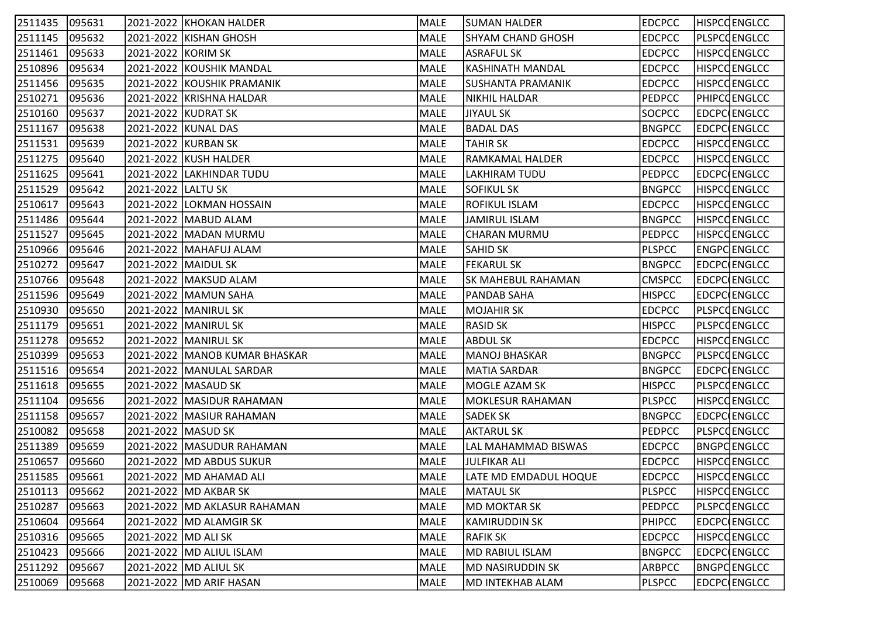| 2511435 095631 |        |                     | 2021-2022  KHOKAN HALDER        | MALE        | SUMAN HALDER             | <b>EDCPCC</b> | <b>HISPCCENGLCC</b> |
|----------------|--------|---------------------|---------------------------------|-------------|--------------------------|---------------|---------------------|
| 2511145        | 095632 |                     | 2021-2022 KISHAN GHOSH          | MALE        | <b>SHYAM CHAND GHOSH</b> | <b>EDCPCC</b> | PLSPCCENGLCC        |
| 2511461        | 095633 | 2021-2022 KORIM SK  |                                 | MALE        | <b>ASRAFUL SK</b>        | <b>EDCPCC</b> | <b>HISPCCENGLCC</b> |
| 2510896        | 095634 |                     | 2021-2022 KOUSHIK MANDAL        | MALE        | KASHINATH MANDAL         | <b>EDCPCC</b> | <b>HISPCCENGLCC</b> |
| 2511456        | 095635 |                     | 2021-2022 KOUSHIK PRAMANIK      | MALE        | <b>SUSHANTA PRAMANIK</b> | <b>EDCPCC</b> | <b>HISPCCENGLCC</b> |
| 2510271        | 095636 |                     | 2021-2022 KRISHNA HALDAR        | MALE        | NIKHIL HALDAR            | <b>PEDPCC</b> | PHIPCOENGLCC        |
| 2510160        | 095637 |                     | 2021-2022 KUDRAT SK             | MALE        | <b>JIYAUL SK</b>         | SOCPCC        | EDCPC ENGLCC        |
| 2511167        | 095638 |                     | 2021-2022 KUNAL DAS             | MALE        | <b>BADAL DAS</b>         | <b>BNGPCC</b> | EDCPC ENGLCC        |
| 2511531        | 095639 |                     | 2021-2022 KURBAN SK             | MALE        | <b>TAHIR SK</b>          | <b>EDCPCC</b> | <b>HISPCCENGLCC</b> |
| 2511275        | 095640 |                     | 2021-2022 KUSH HALDER           | MALE        | RAMKAMAL HALDER          | <b>EDCPCC</b> | <b>HISPCCENGLCC</b> |
| 2511625        | 095641 |                     | 2021-2022 LAKHINDAR TUDU        | MALE        | LAKHIRAM TUDU            | <b>PEDPCC</b> | EDCPC ENGLCC        |
| 2511529        | 095642 | 2021-2022 LALTU SK  |                                 | MALE        | <b>SOFIKUL SK</b>        | <b>BNGPCC</b> | HISPCCENGLCC        |
| 2510617        | 095643 |                     | 2021-2022 LOKMAN HOSSAIN        | <b>MALE</b> | <b>ROFIKUL ISLAM</b>     | <b>EDCPCC</b> | <b>HISPCCENGLCC</b> |
| 2511486        | 095644 |                     | 2021-2022 MABUD ALAM            | MALE        | <b>JAMIRUL ISLAM</b>     | <b>BNGPCC</b> | <b>HISPCCENGLCC</b> |
| 2511527        | 095645 |                     | 2021-2022   MADAN MURMU         | MALE        | CHARAN MURMU             | <b>PEDPCC</b> | <b>HISPCCENGLCC</b> |
| 2510966        | 095646 |                     | 2021-2022   MAHAFUJ ALAM        | MALE        | SAHID SK                 | <b>PLSPCC</b> | ENGPCENGLCC         |
| 2510272        | 095647 | 2021-2022 MAIDUL SK |                                 | MALE        | <b>FEKARUL SK</b>        | <b>BNGPCC</b> | EDCPC ENGLCC        |
| 2510766        | 095648 |                     | 2021-2022   MAKSUD ALAM         | MALE        | SK MAHEBUL RAHAMAN       | <b>CMSPCC</b> | EDCPC(ENGLCC        |
| 2511596        | 095649 |                     | 2021-2022 MAMUN SAHA            | MALE        | <b>PANDAB SAHA</b>       | <b>HISPCC</b> | <b>EDCPC ENGLCC</b> |
| 2510930        | 095650 |                     | 2021-2022   MANIRUL SK          | <b>MALE</b> | <b>MOJAHIR SK</b>        | <b>EDCPCC</b> | <b>PLSPCCENGLCC</b> |
| 2511179        | 095651 |                     | 2021-2022   MANIRUL SK          | MALE        | <b>RASID SK</b>          | <b>HISPCC</b> | <b>PLSPCCENGLCC</b> |
| 2511278        | 095652 |                     | 2021-2022   MANIRUL SK          | MALE        | ABDUL SK                 | <b>EDCPCC</b> | <b>HISPCCENGLCC</b> |
| 2510399        | 095653 |                     | 2021-2022   MANOB KUMAR BHASKAR | MALE        | MANOJ BHASKAR            | <b>BNGPCC</b> | PLSPCQENGLCC        |
| 2511516        | 095654 |                     | 2021-2022   MANULAL SARDAR      | MALE        | MATIA SARDAR             | <b>BNGPCC</b> | <b>EDCPC</b> ENGLCC |
| 2511618        | 095655 |                     | 2021-2022   MASAUD SK           | <b>MALE</b> | MOGLE AZAM SK            | <b>HISPCC</b> | <b>PLSPCCENGLCC</b> |
| 2511104        | 095656 |                     | 2021-2022   MASIDUR RAHAMAN     | MALE        | MOKLESUR RAHAMAN         | <b>PLSPCC</b> | <b>HISPCCENGLCC</b> |
| 2511158        | 095657 |                     | 2021-2022  MASIUR RAHAMAN       | MALE        | <b>SADEK SK</b>          | <b>BNGPCC</b> | EDCPC ENGLCC        |
| 2510082        | 095658 | 2021-2022 MASUD SK  |                                 | MALE        | <b>AKTARUL SK</b>        | <b>PEDPCC</b> | <b>PLSPCCENGLCC</b> |
| 2511389        | 095659 |                     | 2021-2022   MASUDUR RAHAMAN     | MALE        | LAL MAHAMMAD BISWAS      | <b>EDCPCC</b> | <b>BNGPCENGLCC</b>  |
| 2510657        | 095660 |                     | 2021-2022   MD ABDUS SUKUR      | MALE        | JULFIKAR ALI             | <b>EDCPCC</b> | <b>HISPCCENGLCC</b> |
| 2511585        | 095661 |                     | 2021-2022 MD AHAMAD ALI         | MALE        | LATE MD EMDADUL HOQUE    | <b>EDCPCC</b> | <b>HISPCCENGLCC</b> |
| 2510113        | 095662 |                     | 2021-2022   MD AKBAR SK         | MALE        | <b>MATAUL SK</b>         | <b>PLSPCC</b> | <b>HISPCCENGLCC</b> |
| 2510287        | 095663 |                     | 2021-2022 MD AKLASUR RAHAMAN    | MALE        | <b>MD MOKTAR SK</b>      | <b>PEDPCC</b> | PLSPCCENGLCC        |
| 2510604        | 095664 |                     | 2021-2022   MD ALAMGIR SK       | MALE        | <b>KAMIRUDDIN SK</b>     | PHIPCC        | EDCPC ENGLCC        |
| 2510316        | 095665 | 2021-2022 MD ALI SK |                                 | MALE        | <b>RAFIK SK</b>          | <b>EDCPCC</b> | <b>HISPCCENGLCC</b> |
| 2510423        | 095666 |                     | 2021-2022   MD ALIUL ISLAM      | MALE        | MD RABIUL ISLAM          | <b>BNGPCC</b> | EDCPC ENGLCC        |
| 2511292        | 095667 |                     | 2021-2022   MD ALIUL SK         | MALE        | <b>MD NASIRUDDIN SK</b>  | ARBPCC        | <b>BNGPCENGLCC</b>  |
| 2510069        | 095668 |                     | 2021-2022 MD ARIF HASAN         | MALE        | <b>MD INTEKHAB ALAM</b>  | <b>PLSPCC</b> | EDCPC ENGLCC        |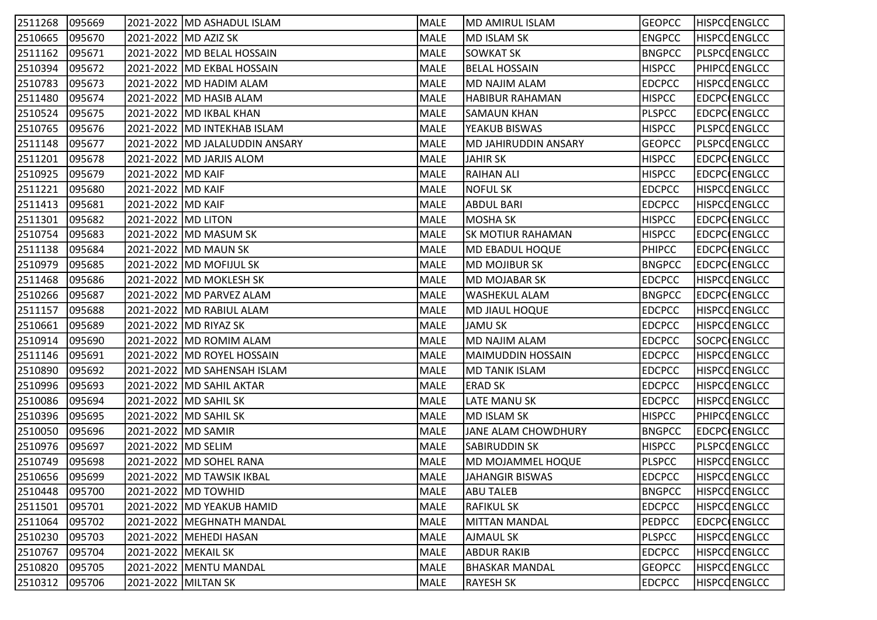| 2511268 | 095669 |                       | 2021-2022 MD ASHADUL ISLAM       | MALE        | MD AMIRUL ISLAM             | <b>GEOPCC</b> | <b>HISPCCENGLCC</b> |
|---------|--------|-----------------------|----------------------------------|-------------|-----------------------------|---------------|---------------------|
| 2510665 | 095670 |                       | 2021-2022 MD AZIZ SK             | MALE        | <b>MD ISLAM SK</b>          | <b>ENGPCC</b> | <b>HISPCCENGLCC</b> |
| 2511162 | 095671 |                       | 2021-2022   MD BELAL HOSSAIN     | MALE        | <b>SOWKAT SK</b>            | <b>BNGPCC</b> | PLSPCQENGLCC        |
| 2510394 | 095672 |                       | 2021-2022   MD EKBAL HOSSAIN     | MALE        | <b>BELAL HOSSAIN</b>        | <b>HISPCC</b> | PHIPCOENGLCC        |
| 2510783 | 095673 |                       | 2021-2022   MD HADIM ALAM        | MALE        | MD NAJIM ALAM               | <b>EDCPCC</b> | HISPCQENGLCC        |
| 2511480 | 095674 |                       | 2021-2022  MD HASIB ALAM         | MALE        | <b>HABIBUR RAHAMAN</b>      | <b>HISPCC</b> | <b>EDCPC ENGLCC</b> |
| 2510524 | 095675 |                       | 2021-2022   MD IKBAL KHAN        | MALE        | <b>SAMAUN KHAN</b>          | <b>PLSPCC</b> | EDCPC ENGLCC        |
| 2510765 | 095676 |                       | 2021-2022  MD INTEKHAB ISLAM     | MALE        | YEAKUB BISWAS               | <b>HISPCC</b> | PLSPCCENGLCC        |
| 2511148 | 095677 |                       | 2021-2022   MD JALALUDDIN ANSARY | MALE        | <b>MD JAHIRUDDIN ANSARY</b> | <b>GEOPCC</b> | PLSPCCENGLCC        |
| 2511201 | 095678 |                       | 2021-2022   MD JARJIS ALOM       | MALE        | <b>JAHIR SK</b>             | <b>HISPCC</b> | EDCPC ENGLCC        |
| 2510925 | 095679 | 2021-2022   MD KAIF   |                                  | MALE        | <b>RAIHAN ALI</b>           | <b>HISPCC</b> | EDCPC ENGLCC        |
| 2511221 | 095680 | 2021-2022   MD KAIF   |                                  | MALE        | NOFUL SK                    | <b>EDCPCC</b> | <b>HISPCCENGLCC</b> |
| 2511413 | 095681 | 2021-2022 MD KAIF     |                                  | <b>MALE</b> | <b>ABDUL BARI</b>           | <b>EDCPCC</b> | <b>HISPCCENGLCC</b> |
| 2511301 | 095682 | 2021-2022   MD LITON  |                                  | MALE        | MOSHA SK                    | <b>HISPCC</b> | EDCPC ENGLCC        |
| 2510754 | 095683 |                       | 2021-2022 MD MASUM SK            | MALE        | <b>SK MOTIUR RAHAMAN</b>    | <b>HISPCC</b> | EDCPC ENGLCC        |
| 2511138 | 095684 |                       | 2021-2022 MD MAUN SK             | MALE        | MD EBADUL HOQUE             | <b>PHIPCC</b> | EDCPC ENGLCC        |
| 2510979 | 095685 |                       | 2021-2022   MD MOFIJUL SK        | MALE        | MD MOJIBUR SK               | <b>BNGPCC</b> | EDCPC ENGLCC        |
| 2511468 | 095686 |                       | 2021-2022  MD MOKLESH SK         | MALE        | MD MOJABAR SK               | <b>EDCPCC</b> | <b>HISPCCENGLCC</b> |
| 2510266 | 095687 |                       | 2021-2022   MD PARVEZ ALAM       | MALE        | <b>WASHEKUL ALAM</b>        | <b>BNGPCC</b> | EDCPC ENGLCC        |
| 2511157 | 095688 |                       | 2021-2022  MD RABIUL ALAM        | <b>MALE</b> | MD JIAUL HOQUE              | <b>EDCPCC</b> | <b>HISPCCENGLCC</b> |
| 2510661 | 095689 |                       | 2021-2022 MD RIYAZ SK            | MALE        | <b>JAMU SK</b>              | <b>EDCPCC</b> | <b>HISPCCENGLCC</b> |
| 2510914 | 095690 |                       | 2021-2022   MD ROMIM ALAM        | MALE        | <b>MD NAJIM ALAM</b>        | <b>EDCPCC</b> | SOCPC ENGLCC        |
| 2511146 | 095691 |                       | 2021-2022   MD ROYEL HOSSAIN     | MALE        | <b>MAIMUDDIN HOSSAIN</b>    | <b>EDCPCC</b> | <b>HISPCCENGLCC</b> |
| 2510890 | 095692 |                       | 2021-2022   MD SAHENSAH ISLAM    | MALE        | MD TANIK ISLAM              | <b>EDCPCC</b> | <b>HISPCCENGLCC</b> |
| 2510996 | 095693 |                       | 2021-2022  MD SAHIL AKTAR        | <b>MALE</b> | ERAD SK                     | <b>EDCPCC</b> | <b>HISPCCENGLCC</b> |
| 2510086 | 095694 |                       | 2021-2022 MD SAHIL SK            | MALE        | <b>LATE MANU SK</b>         | <b>EDCPCC</b> | <b>HISPCCENGLCC</b> |
| 2510396 | 095695 |                       | 2021-2022  MD SAHIL SK           | MALE        | <b>MD ISLAM SK</b>          | <b>HISPCC</b> | PHIPCOENGLCC        |
| 2510050 | 095696 | 2021-2022   MD SAMIR  |                                  | MALE        | JANE ALAM CHOWDHURY         | <b>BNGPCC</b> | EDCPC ENGLCC        |
| 2510976 | 095697 | 2021-2022   MD SELIM  |                                  | MALE        | <b>SABIRUDDIN SK</b>        | <b>HISPCC</b> | PLSPCQENGLCC        |
| 2510749 | 095698 |                       | 2021-2022   MD SOHEL RANA        | MALE        | MD MOJAMMEL HOQUE           | <b>PLSPCC</b> | <b>HISPCCENGLCC</b> |
| 2510656 | 095699 |                       | 2021-2022   MD TAWSIK IKBAL      | MALE        | JAHANGIR BISWAS             | <b>EDCPCC</b> | <b>HISPCCENGLCC</b> |
| 2510448 | 095700 |                       | 2021-2022 MD TOWHID              | MALE        | <b>ABU TALEB</b>            | <b>BNGPCC</b> | <b>HISPCCENGLCC</b> |
| 2511501 | 095701 |                       | 2021-2022   MD YEAKUB HAMID      | MALE        | <b>RAFIKUL SK</b>           | <b>EDCPCC</b> | <b>HISPCCENGLCC</b> |
| 2511064 | 095702 |                       | 2021-2022   MEGHNATH MANDAL      | MALE        | <b>MITTAN MANDAL</b>        | PEDPCC        | EDCPC ENGLCC        |
| 2510230 | 095703 |                       | 2021-2022   MEHEDI HASAN         | MALE        | <b>AJMAUL SK</b>            | <b>PLSPCC</b> | <b>HISPCCENGLCC</b> |
| 2510767 | 095704 | 2021-2022   MEKAIL SK |                                  | MALE        | <b>ABDUR RAKIB</b>          | <b>EDCPCC</b> | <b>HISPCCENGLCC</b> |
| 2510820 | 095705 |                       | 2021-2022   MENTU MANDAL         | MALE        | BHASKAR MANDAL              | <b>GEOPCC</b> | <b>HISPCCENGLCC</b> |
| 2510312 | 095706 | 2021-2022 MILTAN SK   |                                  | MALE        | <b>RAYESH SK</b>            | <b>EDCPCC</b> | <b>HISPCCENGLCC</b> |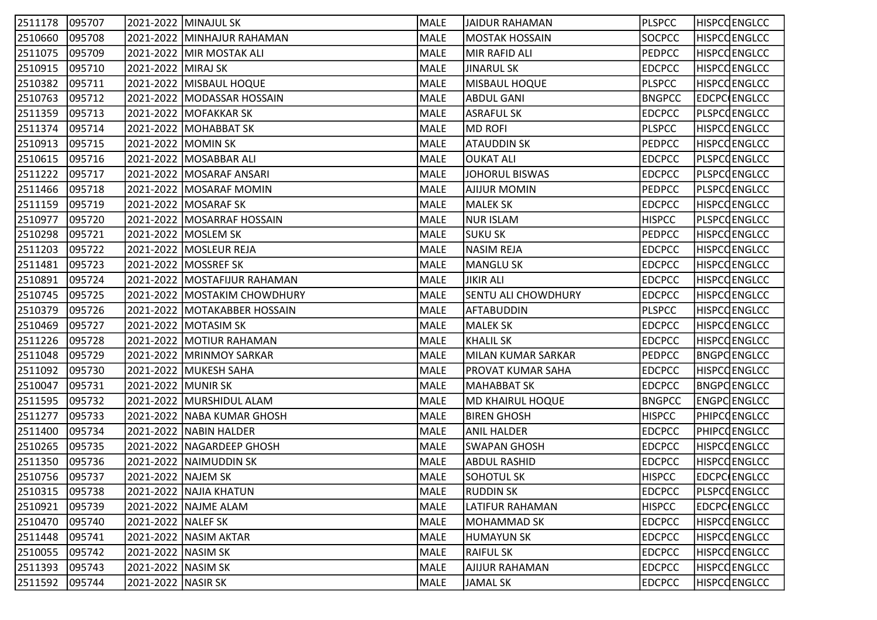| 2511178        | 095707 |                    | 2021-2022 MINAJUL SK          | MALE        | JAIDUR RAHAMAN             | <b>PLSPCC</b> | <b>HISPCCENGLCC</b> |
|----------------|--------|--------------------|-------------------------------|-------------|----------------------------|---------------|---------------------|
| 2510660        | 095708 |                    | 2021-2022 MINHAJUR RAHAMAN    | MALE        | <b>MOSTAK HOSSAIN</b>      | <b>SOCPCC</b> | <b>HISPCCENGLCC</b> |
| 2511075        | 095709 |                    | 2021-2022 MIR MOSTAK ALI      | MALE        | MIR RAFID ALI              | <b>PEDPCC</b> | <b>HISPCCENGLCC</b> |
| 2510915        | 095710 | 2021-2022 MIRAJ SK |                               | MALE        | <b>JINARUL SK</b>          | <b>EDCPCC</b> | <b>HISPCCENGLCC</b> |
| 2510382        | 095711 |                    | 2021-2022 MISBAUL HOQUE       | MALE        | <b>MISBAUL HOQUE</b>       | <b>PLSPCC</b> | <b>HISPCCENGLCC</b> |
| 2510763        | 095712 |                    | 2021-2022  MODASSAR HOSSAIN   | MALE        | <b>ABDUL GANI</b>          | <b>BNGPCC</b> | EDCPC ENGLCC        |
| 2511359        | 095713 |                    | 2021-2022   MOFAKKAR SK       | MALE        | <b>ASRAFUL SK</b>          | <b>EDCPCC</b> | PLSPCQENGLCC        |
| 2511374        | 095714 |                    | 2021-2022 MOHABBAT SK         | MALE        | <b>MD ROFI</b>             | <b>PLSPCC</b> | <b>HISPCCENGLCC</b> |
| 2510913        | 095715 | 2021-2022 MOMIN SK |                               | MALE        | <b>ATAUDDIN SK</b>         | <b>PEDPCC</b> | <b>HISPCCENGLCC</b> |
| 2510615        | 095716 |                    | 2021-2022   MOSABBAR ALI      | MALE        | <b>OUKAT ALI</b>           | <b>EDCPCC</b> | PLSPCCENGLCC        |
| 2511222        | 095717 |                    | 2021-2022   MOSARAF ANSARI    | MALE        | <b>JOHORUL BISWAS</b>      | <b>EDCPCC</b> | PLSPCQENGLCC        |
| 2511466        | 095718 |                    | 2021-2022   MOSARAF MOMIN     | MALE        | AJIJUR MOMIN               | <b>PEDPCC</b> | PLSPCQENGLCC        |
| 2511159        | 095719 |                    | 2021-2022 MOSARAF SK          | <b>MALE</b> | MALEK SK                   | <b>EDCPCC</b> | <b>HISPCCENGLCC</b> |
| 2510977        | 095720 |                    | 2021-2022 MOSARRAF HOSSAIN    | MALE        | <b>NUR ISLAM</b>           | <b>HISPCC</b> | PLSPCCENGLCC        |
| 2510298        | 095721 |                    | 2021-2022 MOSLEM SK           | MALE        | SUKU SK                    | <b>PEDPCC</b> | <b>HISPCCENGLCC</b> |
| 2511203        | 095722 |                    | 2021-2022 MOSLEUR REJA        | MALE        | NASIM REJA                 | <b>EDCPCC</b> | <b>HISPCCENGLCC</b> |
| 2511481        | 095723 |                    | 2021-2022 MOSSREF SK          | MALE        | MANGLU SK                  | <b>EDCPCC</b> | <b>HISPCCENGLCC</b> |
| 2510891        | 095724 |                    | 2021-2022  MOSTAFIJUR RAHAMAN | MALE        | JIKIR ALI                  | <b>EDCPCC</b> | <b>HISPCCENGLCC</b> |
| 2510745        | 095725 |                    | 2021-2022 MOSTAKIM CHOWDHURY  | MALE        | <b>SENTU ALI CHOWDHURY</b> | <b>EDCPCC</b> | <b>HISPCCENGLCC</b> |
| 2510379        | 095726 |                    | 2021-2022  MOTAKABBER HOSSAIN | <b>MALE</b> | <b>AFTABUDDIN</b>          | <b>PLSPCC</b> | <b>HISPCCENGLCC</b> |
| 2510469        | 095727 |                    | 2021-2022 MOTASIM SK          | MALE        | <b>MALEK SK</b>            | <b>EDCPCC</b> | <b>HISPCCENGLCC</b> |
| 2511226        | 095728 |                    | 2021-2022   MOTIUR RAHAMAN    | MALE        | <b>KHALIL SK</b>           | <b>EDCPCC</b> | <b>HISPCCENGLCC</b> |
| 2511048        | 095729 |                    | 2021-2022   MRINMOY SARKAR    | MALE        | MILAN KUMAR SARKAR         | <b>PEDPCC</b> | <b>BNGPCENGLCC</b>  |
| 2511092        | 095730 |                    | 2021-2022 MUKESH SAHA         | MALE        | PROVAT KUMAR SAHA          | <b>EDCPCC</b> | HISPCQENGLCC        |
| 2510047        | 095731 | 2021-2022 MUNIR SK |                               | <b>MALE</b> | <b>MAHABBAT SK</b>         | <b>EDCPCC</b> | <b>BNGPCENGLCC</b>  |
| 2511595        | 095732 |                    | 2021-2022 MURSHIDUL ALAM      | MALE        | <b>MD KHAIRUL HOQUE</b>    | <b>BNGPCC</b> | ENGPCENGLCC         |
| 2511277        | 095733 |                    | 2021-2022  NABA KUMAR GHOSH   | MALE        | <b>BIREN GHOSH</b>         | <b>HISPCC</b> | PHIPCOENGLCC        |
| 2511400        | 095734 |                    | 2021-2022 NABIN HALDER        | MALE        | <b>ANIL HALDER</b>         | <b>EDCPCC</b> | <b>PHIPCOENGLCC</b> |
| 2510265        | 095735 |                    | 2021-2022   NAGARDEEP GHOSH   | MALE        | SWAPAN GHOSH               | <b>EDCPCC</b> | HISPCQENGLCC        |
| 2511350        | 095736 |                    | 2021-2022   NAIMUDDIN SK      | MALE        | <b>ABDUL RASHID</b>        | <b>EDCPCC</b> | <b>HISPCCENGLCC</b> |
| 2510756 095737 |        | 2021-2022 NAJEM SK |                               | MALE        | SOHOTUL SK                 | <b>HISPCC</b> | EDCPC ENGLCC        |
| 2510315        | 095738 |                    | 2021-2022 NAJIA KHATUN        | MALE        | <b>RUDDIN SK</b>           | <b>EDCPCC</b> | <b>PLSPCCENGLCC</b> |
| 2510921        | 095739 |                    | 2021-2022 NAJME ALAM          | MALE        | LATIFUR RAHAMAN            | <b>HISPCC</b> | <b>EDCPC ENGLCC</b> |
| 2510470        | 095740 | 2021-2022 NALEF SK |                               | MALE        | <b>MOHAMMAD SK</b>         | <b>EDCPCC</b> | <b>HISPCCENGLCC</b> |
| 2511448        | 095741 |                    | 2021-2022 NASIM AKTAR         | MALE        | <b>HUMAYUN SK</b>          | <b>EDCPCC</b> | <b>HISPCCENGLCC</b> |
| 2510055        | 095742 | 2021-2022 NASIM SK |                               | MALE        | <b>RAIFUL SK</b>           | <b>EDCPCC</b> | <b>HISPCCENGLCC</b> |
| 2511393        | 095743 | 2021-2022 NASIM SK |                               | MALE        | <b>AJIJUR RAHAMAN</b>      | <b>EDCPCC</b> | <b>HISPCCENGLCC</b> |
| 2511592        | 095744 | 2021-2022 NASIR SK |                               | MALE        | JAMAL SK                   | <b>EDCPCC</b> | <b>HISPCCENGLCC</b> |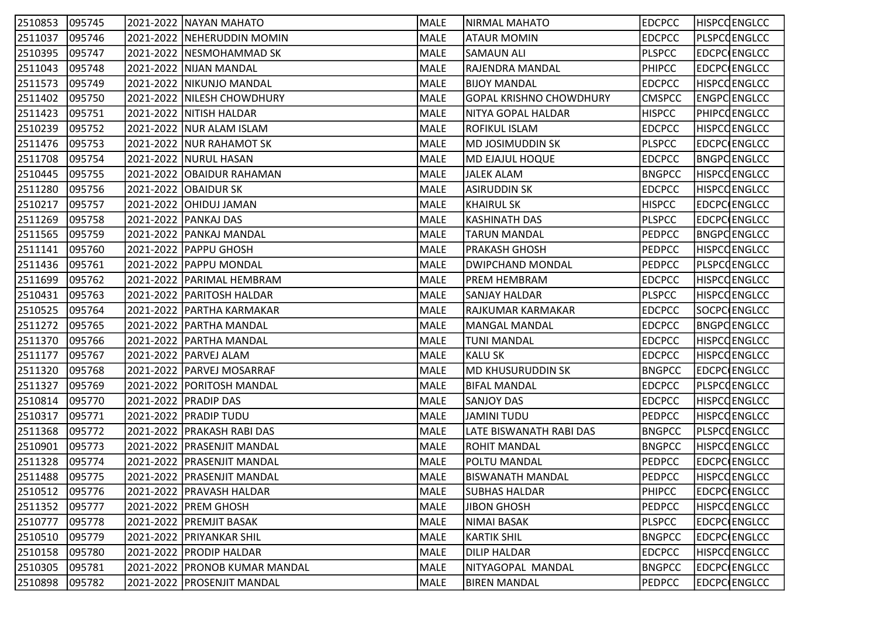| 2510853 | 095745 | 2021-2022   NAYAN MAHATO        | MALE        | NIRMAL MAHATO                  | <b>EDCPCC</b> | <b>HISPCCENGLCC</b> |
|---------|--------|---------------------------------|-------------|--------------------------------|---------------|---------------------|
| 2511037 | 095746 | 2021-2022 NEHERUDDIN MOMIN      | MALE        | <b>ATAUR MOMIN</b>             | <b>EDCPCC</b> | <b>PLSPCCENGLCC</b> |
| 2510395 | 095747 | 2021-2022 NESMOHAMMAD SK        | MALE        | <b>SAMAUN ALI</b>              | <b>PLSPCC</b> | EDCPC ENGLCC        |
| 2511043 | 095748 | 2021-2022   NIJAN MANDAL        | MALE        | <b>RAJENDRA MANDAL</b>         | <b>PHIPCC</b> | EDCPC ENGLCC        |
| 2511573 | 095749 | 2021-2022   NIKUNJO MANDAL      | MALE        | <b>BIJOY MANDAL</b>            | <b>EDCPCC</b> | <b>HISPCCENGLCC</b> |
| 2511402 | 095750 | 2021-2022 NILESH CHOWDHURY      | MALE        | <b>GOPAL KRISHNO CHOWDHURY</b> | <b>CMSPCC</b> | ENGPCENGLCC         |
| 2511423 | 095751 | 2021-2022 NITISH HALDAR         | MALE        | NITYA GOPAL HALDAR             | <b>HISPCC</b> | <b>PHIPCOENGLCC</b> |
| 2510239 | 095752 | 2021-2022   NUR ALAM ISLAM      | MALE        | ROFIKUL ISLAM                  | <b>EDCPCC</b> | <b>HISPCCENGLCC</b> |
| 2511476 | 095753 | 2021-2022   NUR RAHAMOT SK      | MALE        | MD JOSIMUDDIN SK               | <b>PLSPCC</b> | EDCPC ENGLCC        |
| 2511708 | 095754 | 2021-2022 NURUL HASAN           | MALE        | MD EJAJUL HOQUE                | <b>EDCPCC</b> | BNGPCENGLCC         |
| 2510445 | 095755 | 2021-2022 OBAIDUR RAHAMAN       | MALE        | JALEK ALAM                     | <b>BNGPCC</b> | <b>HISPCCENGLCC</b> |
| 2511280 | 095756 | 2021-2022 OBAIDUR SK            | MALE        | ASIRUDDIN SK                   | <b>EDCPCC</b> | <b>HISPCCENGLCC</b> |
| 2510217 | 095757 | 2021-2022 OHIDUJ JAMAN          | MALE        | <b>KHAIRUL SK</b>              | <b>HISPCC</b> | EDCPC ENGLCC        |
| 2511269 | 095758 | 2021-2022 PANKAJ DAS            | MALE        | <b>KASHINATH DAS</b>           | <b>PLSPCC</b> | EDCPC ENGLCC        |
| 2511565 | 095759 | 2021-2022 PANKAJ MANDAL         | MALE        | <b>TARUN MANDAL</b>            | <b>PEDPCC</b> | <b>BNGPCENGLCC</b>  |
| 2511141 | 095760 | 2021-2022   PAPPU GHOSH         | MALE        | PRAKASH GHOSH                  | <b>PEDPCC</b> | <b>HISPCCENGLCC</b> |
| 2511436 | 095761 | 2021-2022   PAPPU MONDAL        | MALE        | DWIPCHAND MONDAL               | <b>PEDPCC</b> | PLSPCQENGLCC        |
| 2511699 | 095762 | 2021-2022   PARIMAL HEMBRAM     | MALE        | PREM HEMBRAM                   | <b>EDCPCC</b> | <b>HISPCCENGLCC</b> |
| 2510431 | 095763 | 2021-2022 PARITOSH HALDAR       | MALE        | <b>SANJAY HALDAR</b>           | <b>PLSPCC</b> | <b>HISPCCENGLCC</b> |
| 2510525 | 095764 | 2021-2022   PARTHA KARMAKAR     | MALE        | RAJKUMAR KARMAKAR              | <b>EDCPCC</b> | SOCPC ENGLCC        |
| 2511272 | 095765 | 2021-2022 PARTHA MANDAL         | MALE        | MANGAL MANDAL                  | <b>EDCPCC</b> | <b>BNGPCENGLCC</b>  |
| 2511370 | 095766 | 2021-2022   PARTHA MANDAL       | MALE        | <b>TUNI MANDAL</b>             | <b>EDCPCC</b> | <b>HISPCCENGLCC</b> |
| 2511177 | 095767 | 2021-2022   PARVEJ ALAM         | MALE        | <b>KALU SK</b>                 | <b>EDCPCC</b> | <b>HISPCCENGLCC</b> |
| 2511320 | 095768 | 2021-2022   PARVEJ MOSARRAF     | MALE        | MD KHUSURUDDIN SK              | <b>BNGPCC</b> | EDCPC ENGLCC        |
| 2511327 | 095769 | 2021-2022 PORITOSH MANDAL       | MALE        | <b>BIFAL MANDAL</b>            | <b>EDCPCC</b> | PLSPCCENGLCC        |
| 2510814 | 095770 | 2021-2022 PRADIP DAS            | MALE        | <b>SANJOY DAS</b>              | <b>EDCPCC</b> | <b>HISPCCENGLCC</b> |
| 2510317 | 095771 | 2021-2022 PRADIP TUDU           | MALE        | JAMINI TUDU                    | <b>PEDPCC</b> | <b>HISPCCENGLCC</b> |
| 2511368 | 095772 | 2021-2022   PRAKASH RABI DAS    | MALE        | <b>LATE BISWANATH RABI DAS</b> | <b>BNGPCC</b> | <b>PLSPCCENGLCC</b> |
| 2510901 | 095773 | 2021-2022 PRASENJIT MANDAL      | MALE        | <b>ROHIT MANDAL</b>            | <b>BNGPCC</b> | HISPCQENGLCC        |
| 2511328 | 095774 | 2021-2022   PRASENJIT MANDAL    | MALE        | <b>POLTU MANDAL</b>            | <b>PEDPCC</b> | EDCPC ENGLCC        |
| 2511488 | 095775 | 2021-2022   PRASENJIT MANDAL    | MALE        | <b>BISWANATH MANDAL</b>        | <b>PEDPCC</b> | <b>HISPCCENGLCC</b> |
| 2510512 | 095776 | 2021-2022   PRAVASH HALDAR      | MALE        | <b>SUBHAS HALDAR</b>           | <b>PHIPCC</b> | <b>EDCPC ENGLCC</b> |
| 2511352 | 095777 | 2021-2022 PREM GHOSH            | MALE        | <b>JIBON GHOSH</b>             | PEDPCC        | <b>HISPCCENGLCC</b> |
| 2510777 | 095778 | 2021-2022 PREMJIT BASAK         | MALE        | <b>NIMAI BASAK</b>             | <b>PLSPCC</b> | EDCPC ENGLCC        |
| 2510510 | 095779 | 2021-2022 PRIYANKAR SHIL        | MALE        | <b>KARTIK SHIL</b>             | <b>BNGPCC</b> | EDCPC ENGLCC        |
| 2510158 | 095780 | 2021-2022 PRODIP HALDAR         | <b>MALE</b> | <b>DILIP HALDAR</b>            | <b>EDCPCC</b> | <b>HISPCCENGLCC</b> |
| 2510305 | 095781 | 2021-2022   PRONOB KUMAR MANDAL | MALE        | NITYAGOPAL MANDAL              | <b>BNGPCC</b> | EDCPC ENGLCC        |
| 2510898 | 095782 | 2021-2022 PROSENJIT MANDAL      | MALE        | <b>BIREN MANDAL</b>            | <b>PEDPCC</b> | EDCPC ENGLCC        |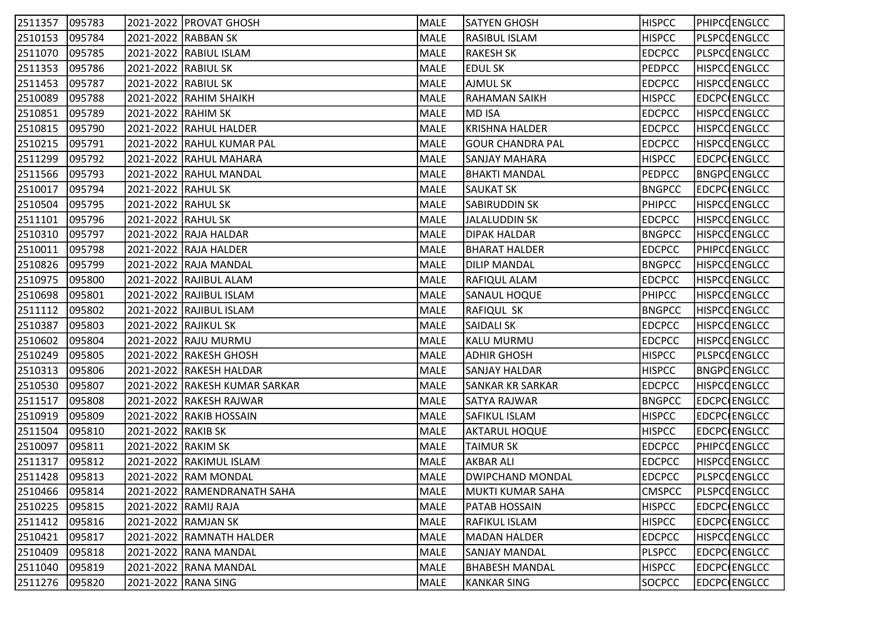| 2511357 | 095783 |                      | 2021-2022 PROVAT GHOSH         | MALE        | SATYEN GHOSH            | <b>HISPCC</b> | <b>PHIPCOENGLCC</b> |
|---------|--------|----------------------|--------------------------------|-------------|-------------------------|---------------|---------------------|
| 2510153 | 095784 |                      | 2021-2022 RABBAN SK            | MALE        | <b>RASIBUL ISLAM</b>    | <b>HISPCC</b> | <b>PLSPCCENGLCC</b> |
| 2511070 | 095785 |                      | 2021-2022 RABIUL ISLAM         | MALE        | <b>RAKESH SK</b>        | <b>EDCPCC</b> | PLSPCOENGLCC        |
| 2511353 | 095786 | 2021-2022 RABIUL SK  |                                | MALE        | <b>EDUL SK</b>          | <b>PEDPCC</b> | <b>HISPCCENGLCC</b> |
| 2511453 | 095787 | 2021-2022 RABIUL SK  |                                | MALE        | AJMUL SK                | <b>EDCPCC</b> | <b>HISPCCENGLCC</b> |
| 2510089 | 095788 |                      | 2021-2022 RAHIM SHAIKH         | MALE        | <b>RAHAMAN SAIKH</b>    | <b>HISPCC</b> | <b>EDCPC ENGLCC</b> |
| 2510851 | 095789 | 2021-2022 RAHIM SK   |                                | MALE        | <b>MD ISA</b>           | <b>EDCPCC</b> | <b>HISPCCENGLCC</b> |
| 2510815 | 095790 |                      | 2021-2022   RAHUL HALDER       | MALE        | KRISHNA HALDER          | <b>EDCPCC</b> | <b>HISPCCENGLCC</b> |
| 2510215 | 095791 |                      | 2021-2022 RAHUL KUMAR PAL      | MALE        | <b>GOUR CHANDRA PAL</b> | <b>EDCPCC</b> | <b>HISPCCENGLCC</b> |
| 2511299 | 095792 |                      | 2021-2022 RAHUL MAHARA         | MALE        | <b>SANJAY MAHARA</b>    | <b>HISPCC</b> | EDCPC ENGLCC        |
| 2511566 | 095793 |                      | 2021-2022 RAHUL MANDAL         | MALE        | BHAKTI MANDAL           | <b>PEDPCC</b> | <b>BNGPCENGLCC</b>  |
| 2510017 | 095794 | 2021-2022 RAHUL SK   |                                | MALE        | <b>SAUKAT SK</b>        | <b>BNGPCC</b> | EDCPC ENGLCC        |
| 2510504 | 095795 | 2021-2022 RAHUL SK   |                                | <b>MALE</b> | <b>SABIRUDDIN SK</b>    | <b>PHIPCC</b> | <b>HISPCCENGLCC</b> |
| 2511101 | 095796 | 2021-2022 RAHUL SK   |                                | MALE        | <b>JALALUDDIN SK</b>    | <b>EDCPCC</b> | <b>HISPCCENGLCC</b> |
| 2510310 | 095797 |                      | 2021-2022 RAJA HALDAR          | MALE        | <b>DIPAK HALDAR</b>     | <b>BNGPCC</b> | <b>HISPCCENGLCC</b> |
| 2510011 | 095798 |                      | 2021-2022 RAJA HALDER          | MALE        | <b>BHARAT HALDER</b>    | <b>EDCPCC</b> | <b>PHIPCOENGLCC</b> |
| 2510826 | 095799 |                      | 2021-2022 RAJA MANDAL          | MALE        | <b>DILIP MANDAL</b>     | <b>BNGPCC</b> | <b>HISPCCENGLCC</b> |
| 2510975 | 095800 |                      | 2021-2022 RAJIBUL ALAM         | MALE        | <b>RAFIQUL ALAM</b>     | <b>EDCPCC</b> | <b>HISPCCENGLCC</b> |
| 2510698 | 095801 |                      | 2021-2022 RAJIBUL ISLAM        | MALE        | <b>SANAUL HOQUE</b>     | <b>PHIPCC</b> | <b>HISPCCENGLCC</b> |
| 2511112 | 095802 |                      | 2021-2022 RAJIBUL ISLAM        | <b>MALE</b> | <b>RAFIQUL SK</b>       | <b>BNGPCC</b> | <b>HISPCCENGLCC</b> |
| 2510387 | 095803 | 2021-2022 RAJIKUL SK |                                | MALE        | <b>SAIDALI SK</b>       | <b>EDCPCC</b> | <b>HISPCCENGLCC</b> |
| 2510602 | 095804 |                      | 2021-2022 RAJU MURMU           | MALE        | KALU MURMU              | <b>EDCPCC</b> | <b>HISPCCENGLCC</b> |
| 2510249 | 095805 |                      | 2021-2022 RAKESH GHOSH         | MALE        | <b>ADHIR GHOSH</b>      | <b>HISPCC</b> | PLSPCCENGLCC        |
| 2510313 | 095806 |                      | 2021-2022 RAKESH HALDAR        | MALE        | <b>SANJAY HALDAR</b>    | <b>HISPCC</b> | <b>BNGPCENGLCC</b>  |
| 2510530 | 095807 |                      | 2021-2022  RAKESH KUMAR SARKAR | <b>MALE</b> | <b>SANKAR KR SARKAR</b> | <b>EDCPCC</b> | <b>HISPCCENGLCC</b> |
| 2511517 | 095808 |                      | 2021-2022 RAKESH RAJWAR        | MALE        | SATYA RAJWAR            | <b>BNGPCC</b> | EDCPC ENGLCC        |
| 2510919 | 095809 |                      | 2021-2022 RAKIB HOSSAIN        | MALE        | SAFIKUL ISLAM           | <b>HISPCC</b> | EDCPC ENGLCC        |
| 2511504 | 095810 | 2021-2022 RAKIB SK   |                                | MALE        | <b>AKTARUL HOQUE</b>    | <b>HISPCC</b> | EDCPC ENGLCC        |
| 2510097 | 095811 | 2021-2022 RAKIM SK   |                                | MALE        | <b>TAIMUR SK</b>        | <b>EDCPCC</b> | PHIPCQENGLCC        |
| 2511317 | 095812 |                      | 2021-2022 RAKIMUL ISLAM        | MALE        | <b>AKBAR ALI</b>        | <b>EDCPCC</b> | <b>HISPCCENGLCC</b> |
| 2511428 | 095813 |                      | 2021-2022 RAM MONDAL           | MALE        | IDWIPCHAND MONDAL       | <b>EDCPCC</b> | PLSPCCENGLCC        |
| 2510466 | 095814 |                      | 2021-2022 RAMENDRANATH SAHA    | MALE        | MUKTI KUMAR SAHA        | <b>CMSPCC</b> | <b>PLSPCCENGLCC</b> |
| 2510225 | 095815 |                      | 2021-2022 RAMIJ RAJA           | MALE        | <b>PATAB HOSSAIN</b>    | <b>HISPCC</b> | <b>EDCPC ENGLCC</b> |
| 2511412 | 095816 |                      | 2021-2022 RAMJAN SK            | MALE        | <b>RAFIKUL ISLAM</b>    | <b>HISPCC</b> | EDCPC ENGLCC        |
| 2510421 | 095817 |                      | 2021-2022 RAMNATH HALDER       | MALE        | <b>MADAN HALDER</b>     | <b>EDCPCC</b> | <b>HISPCCENGLCC</b> |
| 2510409 | 095818 |                      | 2021-2022 RANA MANDAL          | MALE        | <b>SANJAY MANDAL</b>    | <b>PLSPCC</b> | EDCPC ENGLCC        |
| 2511040 | 095819 |                      | 2021-2022 RANA MANDAL          | MALE        | <b>BHABESH MANDAL</b>   | <b>HISPCC</b> | EDCPC ENGLCC        |
| 2511276 | 095820 | 2021-2022 RANA SING  |                                | MALE        | <b>KANKAR SING</b>      | SOCPCC        | EDCPC ENGLCC        |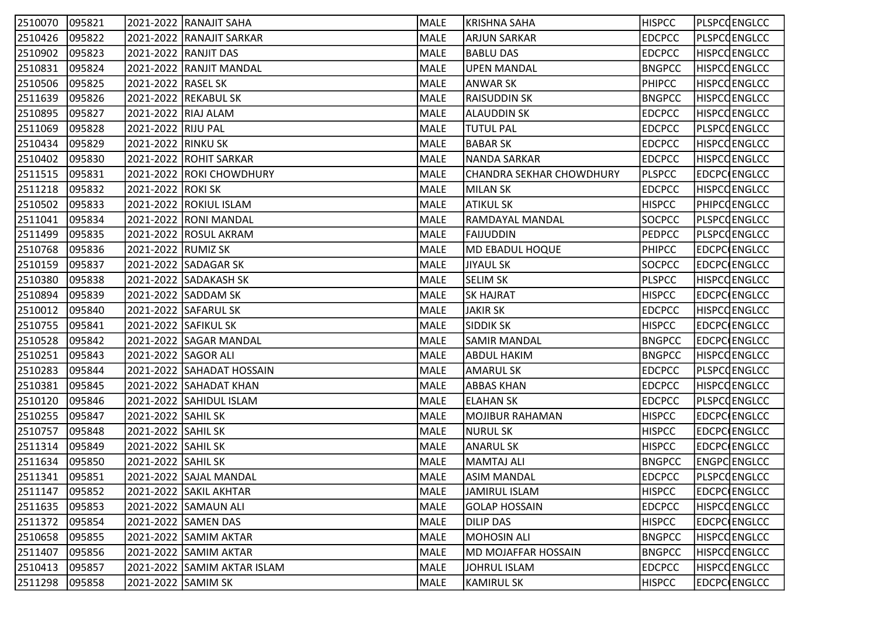| 2510070 | 095821 |                     | 2021-2022  RANAJIT SAHA     | MALE        | KRISHNA SAHA             | <b>HISPCC</b> | PLSPCQENGLCC        |
|---------|--------|---------------------|-----------------------------|-------------|--------------------------|---------------|---------------------|
| 2510426 | 095822 |                     | 2021-2022 RANAJIT SARKAR    | MALE        | <b>ARJUN SARKAR</b>      | <b>EDCPCC</b> | PLSPCCENGLCC        |
| 2510902 | 095823 |                     | 2021-2022 RANJIT DAS        | MALE        | <b>BABLU DAS</b>         | <b>EDCPCC</b> | <b>HISPCCENGLCC</b> |
| 2510831 | 095824 |                     | 2021-2022 RANJIT MANDAL     | MALE        | <b>UPEN MANDAL</b>       | <b>BNGPCC</b> | <b>HISPCCENGLCC</b> |
| 2510506 | 095825 | 2021-2022 RASEL SK  |                             | MALE        | ANWAR SK                 | <b>PHIPCC</b> | <b>HISPCCENGLCC</b> |
| 2511639 | 095826 |                     | 2021-2022 REKABUL SK        | MALE        | <b>RAISUDDIN SK</b>      | <b>BNGPCC</b> | <b>HISPCCENGLCC</b> |
| 2510895 | 095827 | 2021-2022 RIAJ ALAM |                             | MALE        | ALAUDDIN SK              | <b>EDCPCC</b> | <b>HISPCCENGLCC</b> |
| 2511069 | 095828 | 2021-2022 RIJU PAL  |                             | <b>MALE</b> | <b>TUTUL PAL</b>         | <b>EDCPCC</b> | <b>PLSPCCENGLCC</b> |
| 2510434 | 095829 | 2021-2022 RINKU SK  |                             | MALE        | <b>BABAR SK</b>          | <b>EDCPCC</b> | <b>HISPCCENGLCC</b> |
| 2510402 | 095830 |                     | 2021-2022 ROHIT SARKAR      | MALE        | NANDA SARKAR             | <b>EDCPCC</b> | <b>HISPCCENGLCC</b> |
| 2511515 | 095831 |                     | 2021-2022 ROKI CHOWDHURY    | MALE        | CHANDRA SEKHAR CHOWDHURY | <b>PLSPCC</b> | EDCPC ENGLCC        |
| 2511218 | 095832 | 2021-2022 ROKI SK   |                             | MALE        | MILAN SK                 | <b>EDCPCC</b> | <b>HISPCCENGLCC</b> |
| 2510502 | 095833 |                     | 2021-2022 ROKIUL ISLAM      | MALE        | <b>ATIKUL SK</b>         | <b>HISPCC</b> | PHIPCOENGLCC        |
| 2511041 | 095834 |                     | 2021-2022 RONI MANDAL       | MALE        | RAMDAYAL MANDAL          | <b>SOCPCC</b> | PLSPCCENGLCC        |
| 2511499 | 095835 |                     | 2021-2022 ROSUL AKRAM       | MALE        | <b>FAIJUDDIN</b>         | <b>PEDPCC</b> | <b>PLSPCCENGLCC</b> |
| 2510768 | 095836 | 2021-2022 RUMIZ SK  |                             | MALE        | <b>MD EBADUL HOQUE</b>   | <b>PHIPCC</b> | EDCPC ENGLCC        |
| 2510159 | 095837 |                     | 2021-2022 SADAGAR SK        | MALE        | <b>JIYAUL SK</b>         | <b>SOCPCC</b> | EDCPC ENGLCC        |
| 2510380 | 095838 |                     | 2021-2022 SADAKASH SK       | MALE        | <b>SELIM SK</b>          | <b>PLSPCC</b> | <b>HISPCCENGLCC</b> |
| 2510894 | 095839 |                     | 2021-2022 SADDAM SK         | MALE        | <b>SK HAJRAT</b>         | <b>HISPCC</b> | <b>EDCPC ENGLCC</b> |
| 2510012 | 095840 |                     | 2021-2022 SAFARUL SK        | MALE        | <b>JAKIR SK</b>          | <b>EDCPCC</b> | <b>HISPCCENGLCC</b> |
| 2510755 | 095841 |                     | 2021-2022 SAFIKUL SK        | MALE        | <b>SIDDIK SK</b>         | <b>HISPCC</b> | EDCPC ENGLCC        |
| 2510528 | 095842 |                     | 2021-2022 SAGAR MANDAL      | MALE        | <b>SAMIR MANDAL</b>      | <b>BNGPCC</b> | EDCPC ENGLCC        |
| 2510251 | 095843 | 2021-2022 SAGOR ALI |                             | MALE        | <b>ABDUL HAKIM</b>       | <b>BNGPCC</b> | <b>HISPCCENGLCC</b> |
| 2510283 | 095844 |                     | 2021-2022 SAHADAT HOSSAIN   | MALE        | AMARUL SK                | <b>EDCPCC</b> | PLSPCCENGLCC        |
| 2510381 | 095845 |                     | 2021-2022 SAHADAT KHAN      | <b>MALE</b> | <b>ABBAS KHAN</b>        | <b>EDCPCC</b> | <b>HISPCCENGLCC</b> |
| 2510120 | 095846 |                     | 2021-2022 SAHIDUL ISLAM     | MALE        | <b>ELAHAN SK</b>         | <b>EDCPCC</b> | <b>PLSPCCENGLCC</b> |
| 2510255 | 095847 | 2021-2022 SAHIL SK  |                             | MALE        | MOJIBUR RAHAMAN          | <b>HISPCC</b> | EDCPC ENGLCC        |
| 2510757 | 095848 | 2021-2022 SAHIL SK  |                             | MALE        | <b>NURUL SK</b>          | <b>HISPCC</b> | EDCPC ENGLCC        |
| 2511314 | 095849 | 2021-2022 SAHIL SK  |                             | MALE        | ANARUL SK                | <b>HISPCC</b> | EDCPC ENGLCC        |
| 2511634 | 095850 | 2021-2022 SAHIL SK  |                             | MALE        | MAMTAJ ALI               | <b>BNGPCC</b> | ENGPC ENGLCC        |
| 2511341 | 095851 |                     | 2021-2022 SAJAL MANDAL      | MALE        | <b>ASIM MANDAL</b>       | <b>EDCPCC</b> | PLSPCCENGLCC        |
| 2511147 | 095852 |                     | 2021-2022 SAKIL AKHTAR      | MALE        | JAMIRUL ISLAM            | <b>HISPCC</b> | <b>EDCPC</b> ENGLCC |
| 2511635 | 095853 |                     | 2021-2022 SAMAUN ALI        | MALE        | <b>GOLAP HOSSAIN</b>     | <b>EDCPCC</b> | <b>HISPCCENGLCC</b> |
| 2511372 | 095854 |                     | 2021-2022 SAMEN DAS         | MALE        | <b>DILIP DAS</b>         | <b>HISPCC</b> | EDCPC ENGLCC        |
| 2510658 | 095855 |                     | 2021-2022 SAMIM AKTAR       | MALE        | <b>MOHOSIN ALI</b>       | <b>BNGPCC</b> | <b>HISPCCENGLCC</b> |
| 2511407 | 095856 |                     | 2021-2022 SAMIM AKTAR       | MALE        | MD MOJAFFAR HOSSAIN      | <b>BNGPCC</b> | HISPCQENGLCC        |
| 2510413 | 095857 |                     | 2021-2022 SAMIM AKTAR ISLAM | MALE        | <b>JOHRUL ISLAM</b>      | <b>EDCPCC</b> | <b>HISPCCENGLCC</b> |
| 2511298 | 095858 | 2021-2022 SAMIM SK  |                             | MALE        | <b>KAMIRUL SK</b>        | <b>HISPCC</b> | EDCPC ENGLCC        |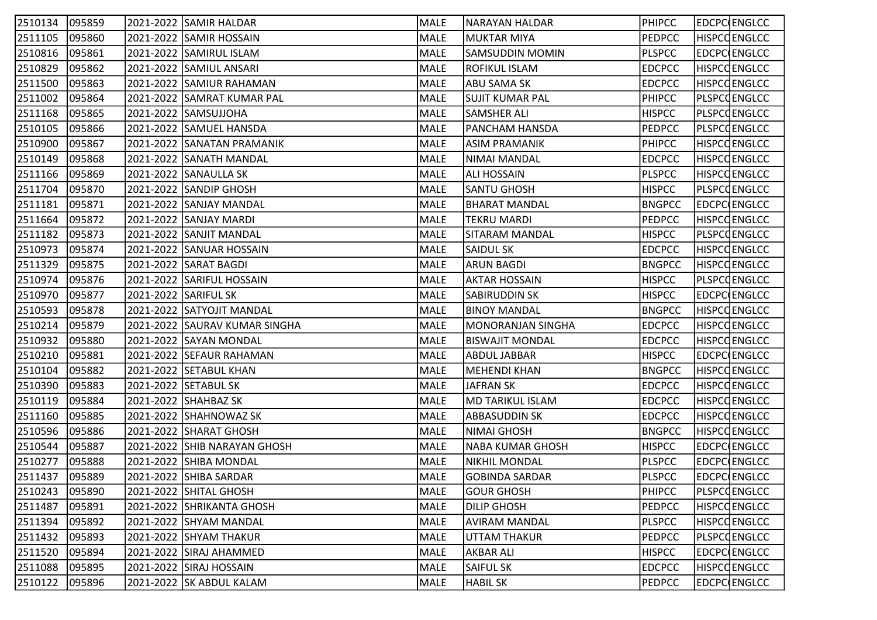| 2510134 | 095859 | 2021-2022 SAMIR HALDAR        | MALE        | NARAYAN HALDAR           | <b>PHIPCC</b> | EDCPC ENGLCC        |
|---------|--------|-------------------------------|-------------|--------------------------|---------------|---------------------|
| 2511105 | 095860 | 2021-2022 SAMIR HOSSAIN       | MALE        | MUKTAR MIYA              | <b>PEDPCC</b> | <b>HISPCCENGLCC</b> |
| 2510816 | 095861 | 2021-2022 SAMIRUL ISLAM       | MALE        | SAMSUDDIN MOMIN          | <b>PLSPCC</b> | EDCPC ENGLCC        |
| 2510829 | 095862 | 2021-2022 SAMIUL ANSARI       | MALE        | <b>ROFIKUL ISLAM</b>     | <b>EDCPCC</b> | <b>HISPCCENGLCC</b> |
| 2511500 | 095863 | 2021-2022 SAMIUR RAHAMAN      | <b>MALE</b> | ABU SAMA SK              | <b>EDCPCC</b> | HISPCCENGLCC        |
| 2511002 | 095864 | 2021-2022 SAMRAT KUMAR PAL    | MALE        | SUJIT KUMAR PAL          | <b>PHIPCC</b> | <b>PLSPCCENGLCC</b> |
| 2511168 | 095865 | 2021-2022 SAMSUJJOHA          | MALE        | <b>SAMSHER ALI</b>       | <b>HISPCC</b> | <b>PLSPCCENGLCC</b> |
| 2510105 | 095866 | 2021-2022 SAMUEL HANSDA       | MALE        | <b>PANCHAM HANSDA</b>    | <b>PEDPCC</b> | <b>PLSPCCENGLCC</b> |
| 2510900 | 095867 | 2021-2022 SANATAN PRAMANIK    | MALE        | <b>ASIM PRAMANIK</b>     | <b>PHIPCC</b> | <b>HISPCCENGLCC</b> |
| 2510149 | 095868 | 2021-2022 SANATH MANDAL       | MALE        | NIMAI MANDAL             | <b>EDCPCC</b> | <b>HISPCCENGLCC</b> |
| 2511166 | 095869 | 2021-2022 SANAULLA SK         | MALE        | <b>ALI HOSSAIN</b>       | <b>PLSPCC</b> | <b>HISPCCENGLCC</b> |
| 2511704 | 095870 | 2021-2022 SANDIP GHOSH        | MALE        | <b>SANTU GHOSH</b>       | <b>HISPCC</b> | PLSPCQENGLCC        |
| 2511181 | 095871 | 2021-2022 SANJAY MANDAL       | MALE        | <b>BHARAT MANDAL</b>     | <b>BNGPCC</b> | EDCPC ENGLCC        |
| 2511664 | 095872 | 2021-2022 SANJAY MARDI        | MALE        | <b>TEKRU MARDI</b>       | <b>PEDPCC</b> | <b>HISPCCENGLCC</b> |
| 2511182 | 095873 | 2021-2022 SANJIT MANDAL       | MALE        | SITARAM MANDAL           | <b>HISPCC</b> | <b>PLSPCCENGLCC</b> |
| 2510973 | 095874 | 2021-2022 SANUAR HOSSAIN      | MALE        | SAIDUL SK                | <b>EDCPCC</b> | <b>HISPCOENGLCC</b> |
| 2511329 | 095875 | 2021-2022 SARAT BAGDI         | MALE        | <b>ARUN BAGDI</b>        | <b>BNGPCC</b> | <b>HISPCCENGLCC</b> |
| 2510974 | 095876 | 2021-2022 SARIFUL HOSSAIN     | MALE        | <b>AKTAR HOSSAIN</b>     | <b>HISPCC</b> | <b>PLSPCCENGLCC</b> |
| 2510970 | 095877 | 2021-2022 SARIFUL SK          | MALE        | SABIRUDDIN SK            | <b>HISPCC</b> | EDCPC ENGLCC        |
| 2510593 | 095878 | 2021-2022 SATYOJIT MANDAL     | MALE        | <b>BINOY MANDAL</b>      | <b>BNGPCC</b> | <b>HISPCCENGLCC</b> |
| 2510214 | 095879 | 2021-2022 SAURAV KUMAR SINGHA | MALE        | <b>MONORANJAN SINGHA</b> | <b>EDCPCC</b> | <b>HISPCCENGLCC</b> |
| 2510932 | 095880 | 2021-2022 SAYAN MONDAL        | MALE        | BISWAJIT MONDAL          | <b>EDCPCC</b> | <b>HISPCCENGLCC</b> |
| 2510210 | 095881 | 2021-2022 SEFAUR RAHAMAN      | MALE        | <b>ABDUL JABBAR</b>      | <b>HISPCC</b> | EDCPC ENGLCC        |
| 2510104 | 095882 | 2021-2022 SETABUL KHAN        | MALE        | <b>MEHENDI KHAN</b>      | <b>BNGPCC</b> | <b>HISPCCENGLCC</b> |
| 2510390 | 095883 | 2021-2022 SETABUL SK          | MALE        | <b>JAFRAN SK</b>         | <b>EDCPCC</b> | <b>HISPCCENGLCC</b> |
| 2510119 | 095884 | 2021-2022 SHAHBAZ SK          | MALE        | <b>MD TARIKUL ISLAM</b>  | <b>EDCPCC</b> | <b>HISPCCENGLCC</b> |
| 2511160 | 095885 | 2021-2022 SHAHNOWAZ SK        | MALE        | <b>ABBASUDDIN SK</b>     | <b>EDCPCC</b> | <b>HISPCCENGLCC</b> |
| 2510596 | 095886 | 2021-2022 SHARAT GHOSH        | MALE        | <b>NIMAI GHOSH</b>       | <b>BNGPCC</b> | <b>HISPCCENGLCC</b> |
| 2510544 | 095887 | 2021-2022 SHIB NARAYAN GHOSH  | MALE        | NABA KUMAR GHOSH         | <b>HISPCC</b> | EDCPC ENGLCC        |
| 2510277 | 095888 | 2021-2022 SHIBA MONDAL        | MALE        | <b>NIKHIL MONDAL</b>     | <b>PLSPCC</b> | EDCPC ENGLCC        |
| 2511437 | 095889 | 2021-2022 SHIBA SARDAR        | MALE        | <b>GOBINDA SARDAR</b>    | <b>PLSPCC</b> | EDCPC ENGLCC        |
| 2510243 | 095890 | 2021-2022 SHITAL GHOSH        | MALE        | GOUR GHOSH               | PHIPCC        | PLSPCCENGLCC        |
| 2511487 | 095891 | 2021-2022 SHRIKANTA GHOSH     | MALE        | <b>DILIP GHOSH</b>       | PEDPCC        | <b>HISPCCENGLCC</b> |
| 2511394 | 095892 | 2021-2022 SHYAM MANDAL        | MALE        | <b>AVIRAM MANDAL</b>     | <b>PLSPCC</b> | <b>HISPCCENGLCC</b> |
| 2511432 | 095893 | 2021-2022 SHYAM THAKUR        | MALE        | <b>UTTAM THAKUR</b>      | <b>PEDPCC</b> | PLSPCCENGLCC        |
| 2511520 | 095894 | 2021-2022 SIRAJ AHAMMED       | MALE        | <b>AKBAR ALI</b>         | <b>HISPCC</b> | EDCPC ENGLCC        |
| 2511088 | 095895 | 2021-2022 SIRAJ HOSSAIN       | MALE        | <b>SAIFUL SK</b>         | <b>EDCPCC</b> | <b>HISPCCENGLCC</b> |
| 2510122 | 095896 | 2021-2022 SK ABDUL KALAM      | MALE        | <b>HABIL SK</b>          | <b>PEDPCC</b> | EDCPC ENGLCC        |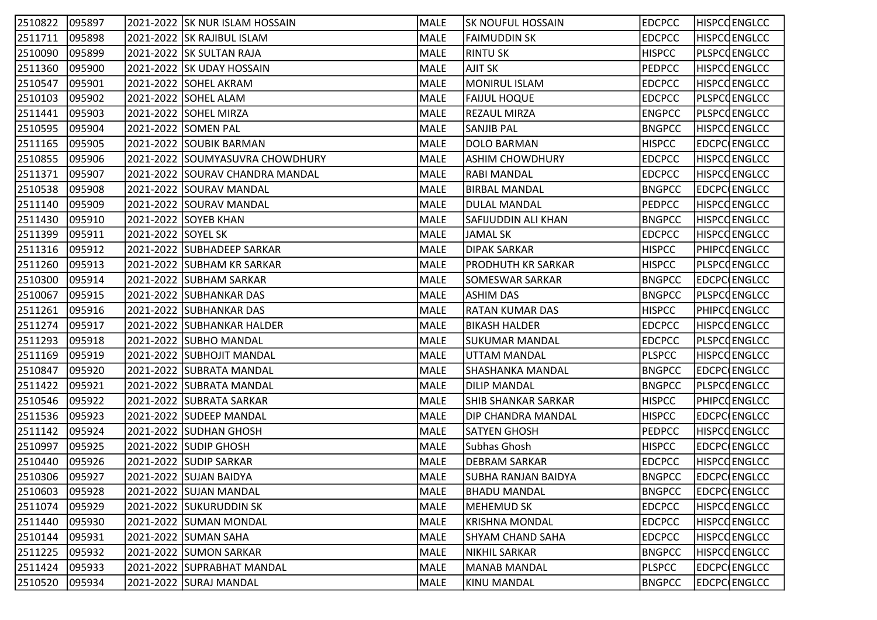| 2510822 | 095897 |                    | 2021-2022 SK NUR ISLAM HOSSAIN  | MALE | <b>SK NOUFUL HOSSAIN</b>   | <b>EDCPCC</b> | <b>HISPCCENGLCC</b> |
|---------|--------|--------------------|---------------------------------|------|----------------------------|---------------|---------------------|
| 2511711 | 095898 |                    | 2021-2022 SK RAJIBUL ISLAM      | MALE | <b>FAIMUDDIN SK</b>        | <b>EDCPCC</b> | <b>HISPCCENGLCC</b> |
| 2510090 | 095899 |                    | 2021-2022 SK SULTAN RAJA        | MALE | <b>RINTU SK</b>            | <b>HISPCC</b> | <b>PLSPCCENGLCC</b> |
| 2511360 | 095900 |                    | 2021-2022 SK UDAY HOSSAIN       | MALE | AJIT SK                    | <b>PEDPCC</b> | <b>HISPCCENGLCC</b> |
| 2510547 | 095901 |                    | 2021-2022 SOHEL AKRAM           | MALE | <b>MONIRUL ISLAM</b>       | <b>EDCPCC</b> | <b>HISPCCENGLCC</b> |
| 2510103 | 095902 |                    | 2021-2022 SOHEL ALAM            | MALE | <b>FAIJUL HOQUE</b>        | <b>EDCPCC</b> | <b>PLSPCCENGLCC</b> |
| 2511441 | 095903 |                    | 2021-2022 SOHEL MIRZA           | MALE | <b>REZAUL MIRZA</b>        | <b>ENGPCC</b> | PLSPCQENGLCC        |
| 2510595 | 095904 |                    | 2021-2022 SOMEN PAL             | MALE | <b>SANJIB PAL</b>          | <b>BNGPCC</b> | <b>HISPCCENGLCC</b> |
| 2511165 | 095905 |                    | 2021-2022 SOUBIK BARMAN         | MALE | <b>DOLO BARMAN</b>         | <b>HISPCC</b> | <b>EDCPCCENGLCC</b> |
| 2510855 | 095906 |                    | 2021-2022 SOUMYASUVRA CHOWDHURY | MALE | IASHIM CHOWDHURY           | <b>EDCPCC</b> | <b>HISPCCENGLCC</b> |
| 2511371 | 095907 |                    | 2021-2022 SOURAV CHANDRA MANDAL | MALE | RABI MANDAL                | <b>EDCPCC</b> | <b>HISPCCENGLCC</b> |
| 2510538 | 095908 |                    | 2021-2022 SOURAV MANDAL         | MALE | <b>BIRBAL MANDAL</b>       | <b>BNGPCC</b> | EDCPC ENGLCC        |
| 2511140 | 095909 |                    | 2021-2022 SOURAV MANDAL         | MALE | <b>DULAL MANDAL</b>        | <b>PEDPCC</b> | <b>HISPCCENGLCC</b> |
| 2511430 | 095910 |                    | 2021-2022 SOYEB KHAN            | MALE | SAFIJUDDIN ALI KHAN        | <b>BNGPCC</b> | <b>HISPCCENGLCC</b> |
| 2511399 | 095911 | 2021-2022 SOYEL SK |                                 | MALE | <b>JAMAL SK</b>            | <b>EDCPCC</b> | <b>HISPCCENGLCC</b> |
| 2511316 | 095912 |                    | 2021-2022 SUBHADEEP SARKAR      | MALE | <b>DIPAK SARKAR</b>        | <b>HISPCC</b> | <b>PHIPCOENGLCC</b> |
| 2511260 | 095913 |                    | 2021-2022 SUBHAM KR SARKAR      | MALE | <b>PRODHUTH KR SARKAR</b>  | <b>HISPCC</b> | PLSPCCENGLCC        |
| 2510300 | 095914 |                    | 2021-2022  SUBHAM SARKAR        | MALE | SOMESWAR SARKAR            | <b>BNGPCC</b> | <b>EDCPC(ENGLCC</b> |
| 2510067 | 095915 |                    | 2021-2022 SUBHANKAR DAS         | MALE | <b>ASHIM DAS</b>           | <b>BNGPCC</b> | PLSPCQENGLCC        |
| 2511261 | 095916 |                    | 2021-2022 SUBHANKAR DAS         | MALE | <b>RATAN KUMAR DAS</b>     | <b>HISPCC</b> | PHIPCOENGLCC        |
| 2511274 | 095917 |                    | 2021-2022 SUBHANKAR HALDER      | MALE | <b>BIKASH HALDER</b>       | <b>EDCPCC</b> | <b>HISPCCENGLCC</b> |
| 2511293 | 095918 |                    | 2021-2022 SUBHO MANDAL          | MALE | SUKUMAR MANDAL             | <b>EDCPCC</b> | PLSPCQENGLCC        |
| 2511169 | 095919 |                    | 2021-2022 SUBHOJIT MANDAL       | MALE | <b>UTTAM MANDAL</b>        | <b>PLSPCC</b> | <b>HISPCCENGLCC</b> |
| 2510847 | 095920 |                    | 2021-2022 SUBRATA MANDAL        | MALE | SHASHANKA MANDAL           | <b>BNGPCC</b> | EDCPC ENGLCC        |
| 2511422 | 095921 |                    | 2021-2022 SUBRATA MANDAL        | MALE | <b>DILIP MANDAL</b>        | <b>BNGPCC</b> | <b>PLSPCCENGLCC</b> |
| 2510546 | 095922 |                    | 2021-2022 SUBRATA SARKAR        | MALE | <b>SHIB SHANKAR SARKAR</b> | <b>HISPCC</b> | <b>PHIPCOENGLCC</b> |
| 2511536 | 095923 |                    | 2021-2022 SUDEEP MANDAL         | MALE | DIP CHANDRA MANDAL         | <b>HISPCC</b> | EDCPC ENGLCC        |
| 2511142 | 095924 |                    | 2021-2022 SUDHAN GHOSH          | MALE | <b>SATYEN GHOSH</b>        | <b>PEDPCC</b> | <b>HISPCCENGLCC</b> |
| 2510997 | 095925 |                    | 2021-2022 SUDIP GHOSH           | MALE | Subhas Ghosh               | <b>HISPCC</b> | EDCPC ENGLCC        |
| 2510440 | 095926 |                    | 2021-2022   SUDIP SARKAR        | MALE | <b>DEBRAM SARKAR</b>       | <b>EDCPCC</b> | <b>HISPCCENGLCC</b> |
| 2510306 | 095927 |                    | 2021-2022 SUJAN BAIDYA          | MALE | <b>SUBHA RANJAN BAIDYA</b> | <b>BNGPCC</b> | <b>EDCPC</b> ENGLCC |
| 2510603 | 095928 |                    | 2021-2022 SUJAN MANDAL          | MALE | <b>BHADU MANDAL</b>        | <b>BNGPCC</b> | <b>EDCPC</b> ENGLCC |
| 2511074 | 095929 |                    | 2021-2022 SUKURUDDIN SK         | MALE | <b>MEHEMUD SK</b>          | <b>EDCPCC</b> | <b>HISPCCENGLCC</b> |
| 2511440 | 095930 |                    | 2021-2022 SUMAN MONDAL          | MALE | <b>KRISHNA MONDAL</b>      | <b>EDCPCC</b> | <b>HISPCCENGLCC</b> |
| 2510144 | 095931 |                    | 2021-2022 SUMAN SAHA            | MALE | <b>SHYAM CHAND SAHA</b>    | <b>EDCPCC</b> | <b>HISPCCENGLCC</b> |
| 2511225 | 095932 |                    | 2021-2022 SUMON SARKAR          | MALE | <b>NIKHIL SARKAR</b>       | <b>BNGPCC</b> | <b>HISPCCENGLCC</b> |
| 2511424 | 095933 |                    | 2021-2022 SUPRABHAT MANDAL      | MALE | <b>MANAB MANDAL</b>        | <b>PLSPCC</b> | EDCPC ENGLCC        |
| 2510520 | 095934 |                    | 2021-2022 SURAJ MANDAL          | MALE | KINU MANDAL                | <b>BNGPCC</b> | EDCPC ENGLCC        |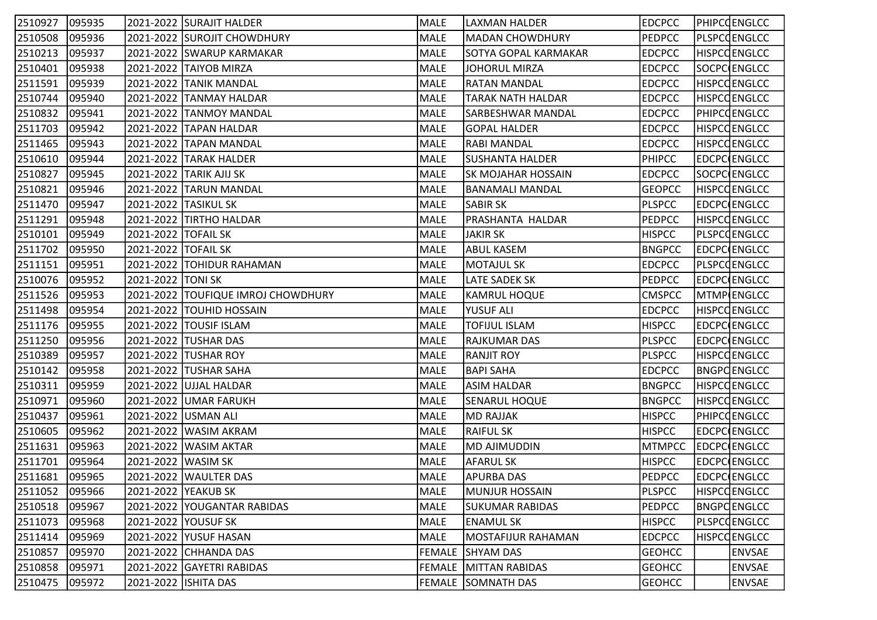| 2510927 | 095935 |                       | 2021-2022 SURAJIT HALDER           | MALE        | LAXMAN HALDER                | <b>EDCPCC</b> | <b>PHIPCOENGLCC</b> |
|---------|--------|-----------------------|------------------------------------|-------------|------------------------------|---------------|---------------------|
| 2510508 | 095936 |                       | 2021-2022 SUROJIT CHOWDHURY        | MALE        | <b>MADAN CHOWDHURY</b>       | <b>PEDPCC</b> | PLSPCCENGLCC        |
| 2510213 | 095937 |                       | 2021-2022 SWARUP KARMAKAR          | MALE        | SOTYA GOPAL KARMAKAR         | <b>EDCPCC</b> | <b>HISPCCENGLCC</b> |
| 2510401 | 095938 |                       | 2021-2022 TAIYOB MIRZA             | MALE        | <b>JOHORUL MIRZA</b>         | <b>EDCPCC</b> | SOCPC ENGLCC        |
| 2511591 | 095939 |                       | 2021-2022 TANIK MANDAL             | MALE        | <b>RATAN MANDAL</b>          | <b>EDCPCC</b> | <b>HISPCCENGLCC</b> |
| 2510744 | 095940 |                       | 2021-2022 TANMAY HALDAR            | MALE        | <b>TARAK NATH HALDAR</b>     | <b>EDCPCC</b> | <b>HISPCCENGLCC</b> |
| 2510832 | 095941 |                       | 2021-2022 TANMOY MANDAL            | MALE        | <b>SARBESHWAR MANDAL</b>     | <b>EDCPCC</b> | <b>PHIPCOENGLCC</b> |
| 2511703 | 095942 |                       | 2021-2022 TAPAN HALDAR             | MALE        | <b>GOPAL HALDER</b>          | <b>EDCPCC</b> | <b>HISPCCENGLCC</b> |
| 2511465 | 095943 |                       | 2021-2022 TAPAN MANDAL             | MALE        | <b>RABI MANDAL</b>           | <b>EDCPCC</b> | <b>HISPCCENGLCC</b> |
| 2510610 | 095944 |                       | 2021-2022 TARAK HALDER             | MALE        | SUSHANTA HALDER              | <b>PHIPCC</b> | EDCPC ENGLCC        |
| 2510827 | 095945 |                       | 2021-2022 TARIK AJIJ SK            | MALE        | <b>SK MOJAHAR HOSSAIN</b>    | <b>EDCPCC</b> | SOCPC ENGLCC        |
| 2510821 | 095946 |                       | 2021-2022 TARUN MANDAL             | MALE        | BANAMALI MANDAL              | <b>GEOPCC</b> | <b>HISPCCENGLCC</b> |
| 2511470 | 095947 |                       | 2021-2022 TASIKUL SK               | <b>MALE</b> | <b>SABIR SK</b>              | <b>PLSPCC</b> | EDCPC ENGLCC        |
| 2511291 | 095948 |                       | 2021-2022 TIRTHO HALDAR            | MALE        | PRASHANTA HALDAR             | <b>PEDPCC</b> | <b>HISPCCENGLCC</b> |
| 2510101 | 095949 | 2021-2022   TOFAIL SK |                                    | MALE        | <b>JAKIR SK</b>              | <b>HISPCC</b> | <b>PLSPCCENGLCC</b> |
| 2511702 | 095950 | 2021-2022 TOFAIL SK   |                                    | MALE        | <b>ABUL KASEM</b>            | <b>BNGPCC</b> | EDCPC ENGLCC        |
| 2511151 | 095951 |                       | 2021-2022 TOHIDUR RAHAMAN          | MALE        | <b>MOTAJUL SK</b>            | <b>EDCPCC</b> | PLSPCQENGLCC        |
| 2510076 | 095952 | 2021-2022 TONI SK     |                                    | MALE        | <b>LATE SADEK SK</b>         | <b>PEDPCC</b> | <b>EDCPC(ENGLCC</b> |
| 2511526 | 095953 |                       | 2021-2022 TOUFIQUE IMROJ CHOWDHURY | MALE        | KAMRUL HOQUE                 | <b>CMSPCC</b> | MTMP ENGLCC         |
| 2511498 | 095954 |                       | 2021-2022  TOUHID HOSSAIN          | MALE        | YUSUF ALI                    | <b>EDCPCC</b> | <b>HISPCCENGLCC</b> |
| 2511176 | 095955 |                       | 2021-2022 TOUSIF ISLAM             | MALE        | <b>TOFIJUL ISLAM</b>         | <b>HISPCC</b> | EDCPC ENGLCC        |
| 2511250 | 095956 |                       | 2021-2022 TUSHAR DAS               | MALE        | <b>RAJKUMAR DAS</b>          | <b>PLSPCC</b> | EDCPC ENGLCC        |
| 2510389 | 095957 |                       | 2021-2022 TUSHAR ROY               | MALE        | <b>RANJIT ROY</b>            | <b>PLSPCC</b> | <b>HISPCCENGLCC</b> |
| 2510142 | 095958 |                       | 2021-2022 TUSHAR SAHA              | MALE        | <b>BAPI SAHA</b>             | <b>EDCPCC</b> | <b>BNGPCENGLCC</b>  |
| 2510311 | 095959 |                       | 2021-2022 UJJAL HALDAR             | <b>MALE</b> | <b>ASIM HALDAR</b>           | <b>BNGPCC</b> | <b>HISPCCENGLCC</b> |
| 2510971 | 095960 |                       | 2021-2022 UMAR FARUKH              | MALE        | <b>SENARUL HOQUE</b>         | <b>BNGPCC</b> | <b>HISPCCENGLCC</b> |
| 2510437 | 095961 |                       | 2021-2022 USMAN ALI                | MALE        | <b>MD RAJJAK</b>             | <b>HISPCC</b> | PHIPCOENGLCC        |
| 2510605 | 095962 |                       | 2021-2022 WASIM AKRAM              | MALE        | <b>RAIFUL SK</b>             | <b>HISPCC</b> | EDCPC ENGLCC        |
| 2511631 | 095963 |                       | 2021-2022   WASIM AKTAR            | MALE        | MD AJIMUDDIN                 | <b>MTMPCC</b> | EDCPC ENGLCC        |
| 2511701 | 095964 | 2021-2022 WASIM SK    |                                    | MALE        | <b>AFARUL SK</b>             | <b>HISPCC</b> | EDCPC ENGLCC        |
| 2511681 | 095965 |                       | 2021-2022 WAULTER DAS              | MALE        | <b>APURBA DAS</b>            | <b>PEDPCC</b> | <b>EDCPC</b> ENGLCC |
| 2511052 | 095966 | 2021-2022   YEAKUB SK |                                    | MALE        | MUNJUR HOSSAIN               | <b>PLSPCC</b> | <b>HISPCCENGLCC</b> |
| 2510518 | 095967 |                       | 2021-2022 YOUGANTAR RABIDAS        | MALE        | <b>SUKUMAR RABIDAS</b>       | <b>PEDPCC</b> | <b>BNGPCENGLCC</b>  |
| 2511073 | 095968 |                       | 2021-2022 YOUSUF SK                | MALE        | <b>ENAMUL SK</b>             | <b>HISPCC</b> | PLSPCCENGLCC        |
| 2511414 | 095969 |                       | 2021-2022 YUSUF HASAN              | MALE        | MOSTAFIJUR RAHAMAN           | <b>EDCPCC</b> | <b>HISPCCENGLCC</b> |
| 2510857 | 095970 |                       | 2021-2022 CHHANDA DAS              |             | FEMALE SHYAM DAS             | <b>GEOHCC</b> | <b>ENVSAE</b>       |
| 2510858 | 095971 |                       | 2021-2022 GAYETRI RABIDAS          |             | <b>FEMALE MITTAN RABIDAS</b> | <b>GEOHCC</b> | <b>ENVSAE</b>       |
| 2510475 | 095972 | 2021-2022 ISHITA DAS  |                                    |             | FEMALE SOMNATH DAS           | <b>GEOHCC</b> | <b>ENVSAE</b>       |